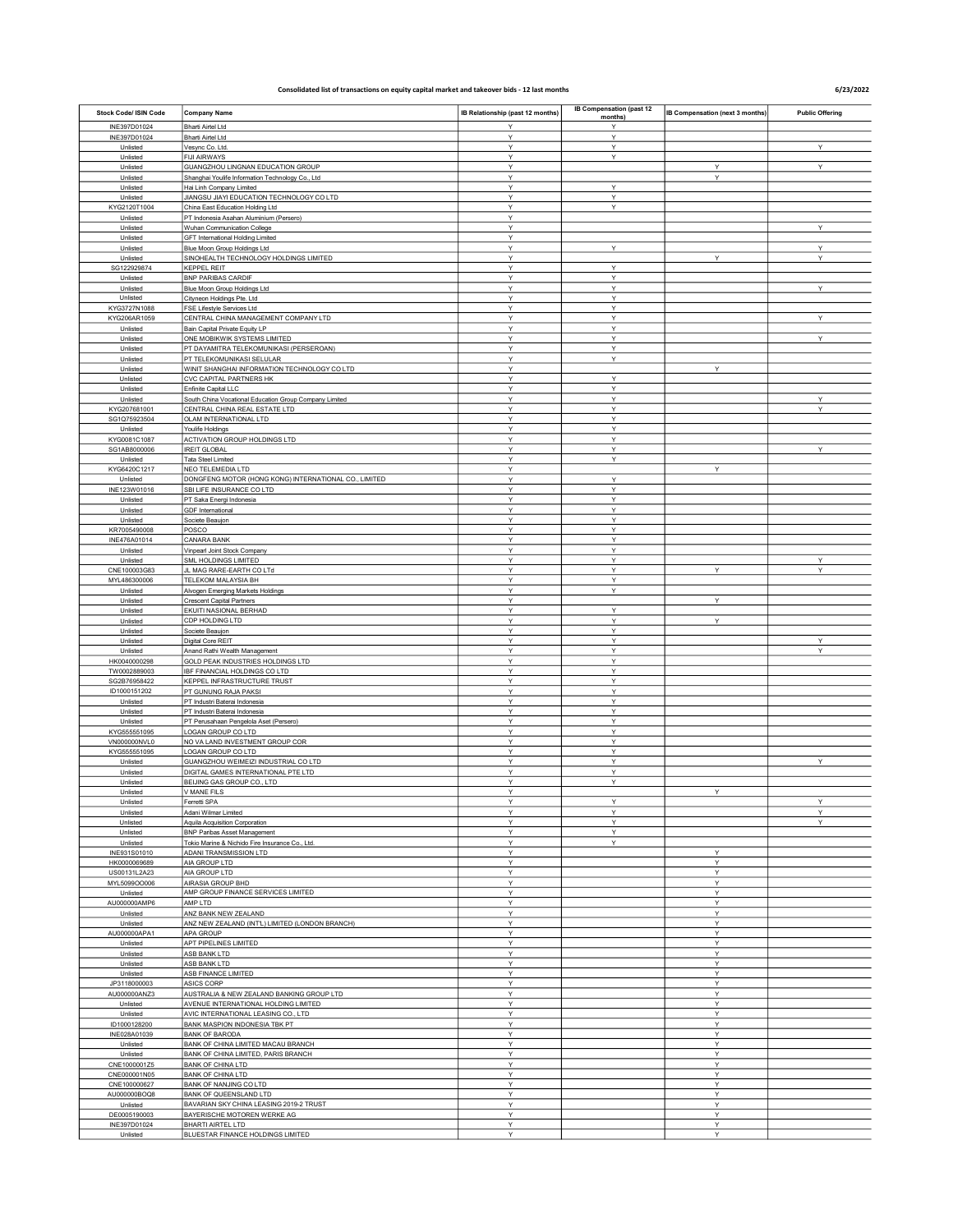## Consolidated list of transactions on equity capital market and takeover bids - 12 last months

## 6/23/2022

| Stock Code/ ISIN Code        | <b>Company Name</b>                                                               | IB Relationship (past 12 months) | IB Compensation (past 12<br>months) | IB Compensation (next 3 months) | <b>Public Offering</b> |
|------------------------------|-----------------------------------------------------------------------------------|----------------------------------|-------------------------------------|---------------------------------|------------------------|
| INE397D01024                 | Bharti Airtel Ltd                                                                 | Y                                | Y                                   |                                 |                        |
| INE397D01024<br>Unlisted     | <b>Bharti Airtel Ltd</b><br>Vesync Co. Ltd.                                       | Υ<br>Y                           | Υ<br>Υ                              |                                 | Υ                      |
| Unlisted                     | <b>FIJI AIRWAYS</b>                                                               | Y                                | Υ                                   |                                 |                        |
| Unlisted                     | GUANGZHOU LINGNAN EDUCATION GROUP                                                 | Y                                |                                     | Υ                               | Y                      |
| Unlisted<br>Unlisted         | Shanghai Youlife Information Technology Co., Ltd<br>Hai Linh Company Limited      | Y<br>Y                           | Y                                   | Υ                               |                        |
| Unlisted                     | JIANGSU JIAYI EDUCATION TECHNOLOGY CO LTD                                         | Y                                | Y                                   |                                 |                        |
| KYG2120T1004                 | China East Education Holding Ltd                                                  | Υ                                | Υ                                   |                                 |                        |
| Unlisted<br>Unlisted         | PT Indonesia Asahan Aluminium (Persero)<br>Wuhan Communication College            | Υ<br>Y                           |                                     |                                 | Υ                      |
| Unlisted                     | GFT International Holding Limited                                                 | Υ                                |                                     |                                 |                        |
| Unlisted                     | Blue Moon Group Holdings Ltd                                                      | Y                                | Υ                                   |                                 | Υ                      |
| Unlisted                     | SINOHEALTH TECHNOLOGY HOLDINGS LIMITED                                            | Y                                |                                     | Υ                               | Υ                      |
| SG122929874<br>Unlisted      | <b>KEPPEL REIT</b><br><b>BNP PARIBAS CARDIF</b>                                   | Υ<br>Υ                           | Υ<br>Υ                              |                                 |                        |
| Unlisted                     | Blue Moon Group Holdings Ltd                                                      | Y                                | Y                                   |                                 | Y                      |
| Unlisted                     | Cityneon Holdings Pte. Ltd                                                        | Y                                | Υ                                   |                                 |                        |
| KYG3727N1088<br>KYG206AR1059 | FSE Lifestyle Services Ltd<br>CENTRAL CHINA MANAGEMENT COMPANY LTD                | Υ<br>Υ                           | Υ<br>Υ                              |                                 | Υ                      |
| Unlisted                     | Bain Capital Private Equity LP                                                    | Y                                | Υ                                   |                                 |                        |
| Unlisted                     | ONE MOBIKWIK SYSTEMS LIMITED                                                      | Y                                | Υ                                   |                                 | Υ                      |
| Unlisted<br>Unlisted         | PT DAYAMITRA TELEKOMUNIKASI (PERSEROAN)<br>PT TELEKOMUNIKASI SELULAR              | Y<br>Y                           | Υ<br>Υ                              |                                 |                        |
| Unlisted                     | WINIT SHANGHAI INFORMATION TECHNOLOGY CO LTD                                      | Y                                |                                     | Υ                               |                        |
| Unlisted                     | CVC CAPITAL PARTNERS HK                                                           | Y                                | Υ                                   |                                 |                        |
| Unlisted<br>Unlisted         | Enfinite Capital LLC<br>South China Vocational Education Group Company Limited    | Y<br>Y                           | Y<br>Υ                              |                                 | Υ                      |
| KYG207681001                 | CENTRAL CHINA REAL ESTATE LTD                                                     | Υ                                | Υ                                   |                                 | Y                      |
| SG1Q75923504                 | OLAM INTERNATIONAL LTD                                                            | Y                                | Y                                   |                                 |                        |
| Unlisted                     | Youlife Holdings                                                                  | Υ                                | Υ                                   |                                 |                        |
| KYG0081C1087<br>SG1AB8000006 | ACTIVATION GROUP HOLDINGS LTD<br><b>IREIT GLOBAL</b>                              | Y<br>Y                           | Υ<br>Υ                              |                                 | Y                      |
| Unlisted                     | <b>Tata Steel Limited</b>                                                         | Υ                                | Υ                                   |                                 |                        |
| KYG6420C1217                 | NEO TELEMEDIA LTD<br>DONGFENG MOTOR (HONG KONG) INTERNATIONAL CO., LIMITED        | Υ                                |                                     | Y                               |                        |
| Unlisted<br>INE123W01016     | SBI LIFE INSURANCE CO LTD                                                         | Y<br>Υ                           | Y<br>Υ                              |                                 |                        |
| Unlisted                     | PT Saka Energi Indonesia                                                          | Y                                | Υ                                   |                                 |                        |
| Unlisted                     | <b>GDF</b> International                                                          | Y                                | Y                                   |                                 |                        |
| Unlisted<br>KR7005490008     | Societe Beaujon<br>POSCO                                                          | Y<br>Υ                           | Y<br>Υ                              |                                 |                        |
| INE476A01014                 | CANARA BANK                                                                       | Y                                | Y                                   |                                 |                        |
| Unlisted                     | Vinpearl Joint Stock Company                                                      | Y                                | Y                                   |                                 |                        |
| Unlisted<br>CNE100003G83     | SML HOLDINGS LIMITED<br>JL MAG RARE-EARTH CO LTd                                  | Y<br>Y                           | Υ<br>Υ                              | Υ                               | Υ<br>Υ                 |
| MYL486300006                 | TELEKOM MALAYSIA BH                                                               | Y                                | Υ                                   |                                 |                        |
| Unlisted                     | Alvogen Emerging Markets Holdings                                                 | Υ                                | Υ                                   |                                 |                        |
| Unlisted                     | <b>Crescent Capital Partners</b>                                                  | Υ                                |                                     | Y                               |                        |
| Unlisted<br>Unlisted         | EKUITI NASIONAL BERHAD<br>CDP HOLDING LTD                                         | Υ<br>Y                           | Υ<br>Υ                              | Υ                               |                        |
| Unlisted                     | Societe Beaujon                                                                   | Y                                | Υ                                   |                                 |                        |
| Unlisted                     | Digital Core REIT                                                                 | Y                                | Υ                                   |                                 | Υ                      |
| Unlisted<br>HK0040000298     | Anand Rathi Wealth Management<br>GOLD PEAK INDUSTRIES HOLDINGS LTD                | Y<br>Υ                           | Υ<br>Υ                              |                                 | Υ                      |
| TW0002889003                 | IBF FINANCIAL HOLDINGS CO LTD                                                     | Y                                | Υ                                   |                                 |                        |
| SG2B76958422                 | KEPPEL INFRASTRUCTURE TRUST                                                       | Y                                | Υ                                   |                                 |                        |
| ID1000151202<br>Unlisted     | PT GUNUNG RAJA PAKSI<br>PT Industri Baterai Indonesia                             | Y<br>Y                           | Υ<br>Y                              |                                 |                        |
| Unlisted                     | PT Industri Baterai Indonesia                                                     | Υ                                | Υ                                   |                                 |                        |
| Unlisted                     | PT Perusahaan Pengelola Aset (Persero)                                            | Υ                                | Y                                   |                                 |                        |
| KYG555551095                 | LOGAN GROUP CO LTD                                                                | Y<br>Υ                           | Y<br>Υ                              |                                 |                        |
| VN000000NVL0<br>KYG555551095 | NO VA LAND INVESTMENT GROUP COR<br>LOGAN GROUP CO LTD                             | Y                                | Υ                                   |                                 |                        |
| Unlisted                     | GUANGZHOU WEIMEIZI INDUSTRIAL CO LTD                                              | Y                                | Υ                                   |                                 | Υ                      |
| Unlisted                     | DIGITAL GAMES INTERNATIONAL PTE LTD                                               | Υ                                | Υ                                   |                                 |                        |
| Unlisted<br>Unlisted         | BEIJING GAS GROUP CO., LTD<br>V MANE FILS                                         | Υ<br>Y                           | Υ                                   | Y                               |                        |
| <b>Linlietod</b>             | Ferretti SPA                                                                      |                                  | $\checkmark$                        |                                 |                        |
| Unlisted                     | Adani Wilmar Limited                                                              | Y                                | Υ                                   |                                 | Υ                      |
| Unlisted<br>Unlisted         | Aquila Acquisition Corporation<br><b>BNP Paribas Asset Management</b>             | Y<br>Y                           | Υ<br>Y                              |                                 | Υ                      |
| Unlisted                     | Tokio Marine & Nichido Fire Insurance Co., Ltd.                                   | Y                                | Υ                                   |                                 |                        |
| INE931S01010                 | ADANI TRANSMISSION LTD                                                            | Υ                                |                                     | Υ                               |                        |
| HK0000069689<br>US00131L2A23 | AIA GROUP LTD<br>AIA GROUP LTD                                                    | Y<br>Y                           |                                     | Υ<br>Υ                          |                        |
| MYL5099OO006                 | AIRASIA GROUP BHD                                                                 | Y                                |                                     | Υ                               |                        |
| Unlisted                     | AMP GROUP FINANCE SERVICES LIMITED                                                | Y                                |                                     | Υ                               |                        |
| AU000000AMP6                 | AMP LTD                                                                           | Υ                                |                                     | Υ                               |                        |
| Unlisted<br>Unlisted         | ANZ BANK NEW ZEALAND<br>ANZ NEW ZEALAND (INT'L) LIMITED (LONDON BRANCH)           | Υ<br>Y                           |                                     | Y<br>Y                          |                        |
| AU000000APA1                 | APA GROUP                                                                         | Υ                                |                                     | Υ                               |                        |
| Unlisted                     | APT PIPELINES LIMITED                                                             | Y                                |                                     | Υ                               |                        |
| Unlisted<br>Unlisted         | ASB BANK LTD<br>ASB BANK LTD                                                      | Y<br>Υ                           |                                     | Υ<br>Υ                          |                        |
| Unlisted                     | ASB FINANCE LIMITED                                                               | Υ                                |                                     | Υ                               |                        |
| JP3118000003                 | ASICS CORP                                                                        | Y                                |                                     | Υ                               |                        |
| AU000000ANZ3<br>Unlisted     | AUSTRALIA & NEW ZEALAND BANKING GROUP LTD<br>AVENUE INTERNATIONAL HOLDING LIMITED | Υ<br>Y                           |                                     | Υ<br>Υ                          |                        |
| Unlisted                     | AVIC INTERNATIONAL LEASING CO., LTD                                               | Y                                |                                     | Y                               |                        |
| ID1000128200                 | BANK MASPION INDONESIA TBK PT                                                     | Y                                |                                     | Υ                               |                        |
| INE028A01039                 | <b>BANK OF BARODA</b>                                                             | Υ                                |                                     | Υ                               |                        |
| Unlisted<br>Unlisted         | BANK OF CHINA LIMITED MACAU BRANCH<br>BANK OF CHINA LIMITED, PARIS BRANCH         | Y<br>Y                           |                                     | Y<br>Υ                          |                        |
| CNE1000001Z5                 | <b>BANK OF CHINA LTD</b>                                                          | Y                                |                                     | Υ                               |                        |
| CNE000001N05                 | <b>BANK OF CHINA LTD</b>                                                          | Y                                |                                     | Υ                               |                        |
| CNE100000627<br>AU000000BOQ8 | BANK OF NANJING CO LTD<br>BANK OF QUEENSLAND LTD                                  | Υ<br>Υ                           |                                     | Y<br>Υ                          |                        |
| Unlisted                     | BAVARIAN SKY CHINA LEASING 2019-2 TRUST                                           | Y                                |                                     | Υ                               |                        |
| DE0005190003                 | BAYERISCHE MOTOREN WERKE AG                                                       | Υ                                |                                     | Υ                               |                        |
| INE397D01024<br>Unlisted     | BHARTI AIRTEL LTD<br>BLUESTAR FINANCE HOLDINGS LIMITED                            | Y<br>Y                           |                                     | Υ<br>$\checkmark$               |                        |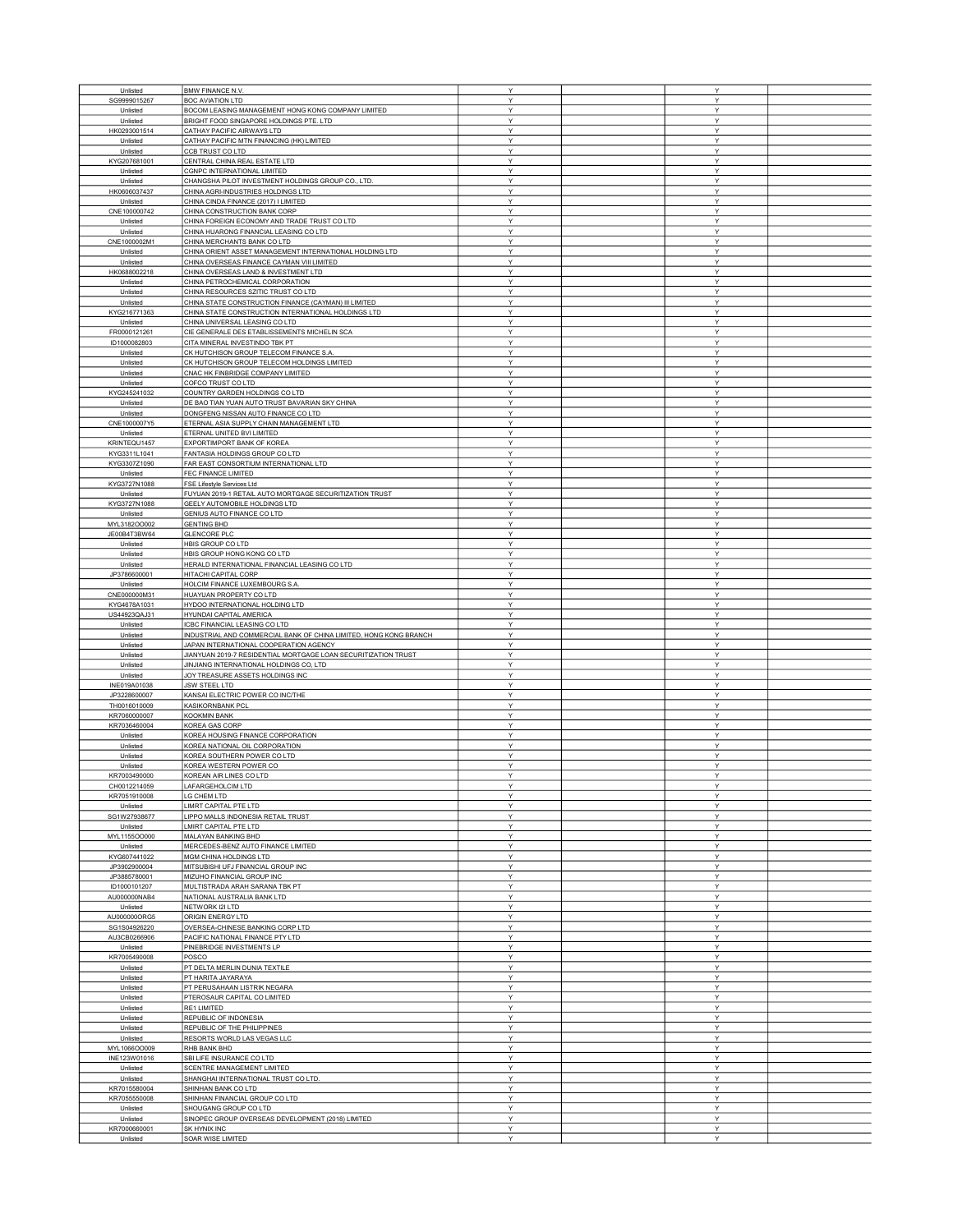| Unlisted                 |                                                                   | Υ            | Y      |  |
|--------------------------|-------------------------------------------------------------------|--------------|--------|--|
|                          | <b>BMW FINANCE N.V.</b>                                           |              |        |  |
| SG9999015267             | <b>BOC AVIATION LTD</b>                                           | Y            | Y      |  |
| Unlisted                 | BOCOM LEASING MANAGEMENT HONG KONG COMPANY LIMITED                | Y            | Υ      |  |
| Unlisted                 | BRIGHT FOOD SINGAPORE HOLDINGS PTE. LTD                           | Y            | Υ      |  |
| HK0293001514             | CATHAY PACIFIC AIRWAYS LTD                                        | Y            | Y      |  |
|                          |                                                                   |              |        |  |
| Unlisted                 | CATHAY PACIFIC MTN FINANCING (HK) LIMITED                         | Y            | Υ      |  |
| Unlisted                 | CCB TRUST CO LTD                                                  | Y            | Y      |  |
| KYG207681001             | CENTRAL CHINA REAL ESTATE LTD                                     | Y            | Y      |  |
| Unlisted                 | <b>CGNPC INTERNATIONAL LIMITED</b>                                | Υ            | Υ      |  |
|                          | CHANGSHA PILOT INVESTMENT HOLDINGS GROUP CO., LTD.                | Y            | Υ      |  |
| Unlisted                 |                                                                   |              |        |  |
| HK0606037437             | CHINA AGRI-INDUSTRIES HOLDINGS LTD                                | Υ            | Υ      |  |
| Unlisted                 | CHINA CINDA FINANCE (2017) I LIMITED                              | Y            | Υ      |  |
| CNE100000742             | CHINA CONSTRUCTION BANK CORP                                      | Y            | Υ      |  |
| Unlisted                 | CHINA FOREIGN ECONOMY AND TRADE TRUST CO LTD                      | Y            | Υ      |  |
|                          |                                                                   |              |        |  |
| Unlisted                 | CHINA HUARONG FINANCIAL LEASING CO LTD                            | Y            | Y      |  |
| CNE1000002M1             | CHINA MERCHANTS BANK CO LTD                                       | Y            | Υ      |  |
| Unlisted                 | CHINA ORIENT ASSET MANAGEMENT INTERNATIONAL HOLDING LTD           | Y            | Υ      |  |
| Unlisted                 | CHINA OVERSEAS FINANCE CAYMAN VIII LIMITED                        | Υ            | Y      |  |
|                          |                                                                   |              |        |  |
| HK0688002218             | CHINA OVERSEAS LAND & INVESTMENT LTD                              | Y            | Y      |  |
| Unlisted                 | CHINA PETROCHEMICAL CORPORATION                                   | Y            | Y      |  |
| Unlisted                 | CHINA RESOURCES SZITIC TRUST CO LTD                               | Y            | Y      |  |
| Unlisted                 | CHINA STATE CONSTRUCTION FINANCE (CAYMAN) III LIMITED             | Y            | Υ      |  |
|                          |                                                                   |              |        |  |
| KYG216771363             | CHINA STATE CONSTRUCTION INTERNATIONAL HOLDINGS LTD               | Υ            | Υ      |  |
| Unlisted                 | CHINA UNIVERSAL LEASING CO LTD                                    | Y            | Υ      |  |
| FR0000121261             | CIE GENERALE DES ETABLISSEMENTS MICHELIN SCA                      | Y            | Υ      |  |
| ID1000082803             | CITA MINERAL INVESTINDO TBK PT                                    | Y            | Y      |  |
|                          |                                                                   | Y            | Y      |  |
| Unlisted                 | CK HUTCHISON GROUP TELECOM FINANCE S.A                            |              |        |  |
| Unlisted                 | CK HUTCHISON GROUP TELECOM HOLDINGS LIMITED                       | Y            | Υ      |  |
| Unlisted                 | CNAC HK FINBRIDGE COMPANY LIMITED                                 | Y            | Υ      |  |
| Unlisted                 | COFCO TRUST CO LTD                                                | Y            | Y      |  |
| KYG245241032             | COUNTRY GARDEN HOLDINGS CO LTD                                    | Y            | Υ      |  |
|                          |                                                                   |              |        |  |
| Unlisted                 | DE BAO TIAN YUAN AUTO TRUST BAVARIAN SKY CHINA                    | Y            | Y      |  |
| Unlisted                 | DONGFENG NISSAN AUTO FINANCE CO LTD                               | Y            | Y      |  |
| CNE1000007Y5             | ETERNAL ASIA SUPPLY CHAIN MANAGEMENT LTD                          | Y            | Y      |  |
| Unlisted                 | ETERNAL UNITED BVI LIMITED                                        | Y            | Υ      |  |
|                          |                                                                   |              |        |  |
| KRINTEQU1457             | EXPORTIMPORT BANK OF KOREA                                        | Υ            | Υ      |  |
| KYG3311L1041             | FANTASIA HOLDINGS GROUP CO LTD                                    | Y            | Υ      |  |
| KYG3307Z1090             | FAR EAST CONSORTIUM INTERNATIONAL LTD                             | Y            | Υ      |  |
| Unlisted                 | FEC FINANCE LIMITED                                               | Y            | Υ      |  |
|                          |                                                                   |              |        |  |
| KYG3727N1088             | FSE Lifestyle Services Ltd                                        | Y            | Y      |  |
| Unlisted                 | FUYUAN 2019-1 RETAIL AUTO MORTGAGE SECURITIZATION TRUST           | Y            | Υ      |  |
| KYG3727N1088             | GEELY AUTOMOBILE HOLDINGS LTD                                     | Y            | Υ      |  |
| Unlisted                 | GENIUS AUTO FINANCE CO LTD                                        | Υ            | Y      |  |
|                          |                                                                   |              |        |  |
| MYL3182OO002             | <b>GENTING BHD</b>                                                | Y            | Y      |  |
| JE00B4T3BW64             | <b>GLENCORE PLC</b>                                               | Y            | Y      |  |
| Unlisted                 | HBIS GROUP CO LTD                                                 | Υ            | Y      |  |
|                          | HBIS GROUP HONG KONG CO LTD                                       | Y            | Υ      |  |
| Unlisted                 |                                                                   |              |        |  |
| Unlisted                 | HERALD INTERNATIONAL FINANCIAL LEASING CO LTD                     | Υ            | Υ      |  |
| JP3786600001             | HITACHI CAPITAL CORP                                              | Y            | Y      |  |
| Unlisted                 | HOLCIM FINANCE LUXEMBOURG S.A.                                    | Y            | Υ      |  |
| CNE000000M31             | HUAYUAN PROPERTY CO LTD                                           | Y            | Y      |  |
|                          |                                                                   |              |        |  |
| KYG4678A1031             | HYDOO INTERNATIONAL HOLDING LTD                                   | Y            | Υ      |  |
| US44923QAJ31             | HYUNDAI CAPITAL AMERICA                                           | Y            | Υ      |  |
|                          | ICBC FINANCIAL LEASING CO LTD                                     | Y            | Υ      |  |
| Unlisted                 |                                                                   |              |        |  |
|                          |                                                                   |              |        |  |
| Unlisted                 | INDUSTRIAL AND COMMERCIAL BANK OF CHINA LIMITED, HONG KONG BRANCH | Y            | Y      |  |
| Unlisted                 | JAPAN INTERNATIONAL COOPERATION AGENCY                            | Y            | Υ      |  |
| Unlisted                 | JIANYUAN 2019-7 RESIDENTIAL MORTGAGE LOAN SECURITIZATION TRUST    | Y            | Y      |  |
|                          | JINJIANG INTERNATIONAL HOLDINGS CO, LTD                           | $\mathsf{Y}$ | Y      |  |
| Unlisted                 |                                                                   | Y            | Y      |  |
| Unlisted                 | JOY TREASURE ASSETS HOLDINGS INC                                  |              |        |  |
| INE019A01038             | <b>JSW STEEL LTD</b>                                              | Y            | Υ      |  |
| JP3228600007             | KANSAI ELECTRIC POWER CO INC/THE                                  | Υ            | Υ      |  |
| TH0016010009             | <b>KASIKORNBANK PCL</b>                                           | Y            | Υ      |  |
| KR7060000007             | KOOKMIN BANK                                                      | Y            | Y      |  |
| KR7036460004             | KOREA GAS CORP                                                    | Y            | Y      |  |
|                          |                                                                   |              |        |  |
| Unlisted                 | KOREA HOUSING FINANCE CORPORATION                                 | Y            | Y      |  |
| Unlisted                 | KOREA NATIONAL OIL CORPORATION                                    | Υ            | Y      |  |
| Unlisted                 | KOREA SOUTHERN POWER CO LTD                                       | Υ            | Υ      |  |
| Unlisted                 |                                                                   | Y            | Y      |  |
|                          | KOREA WESTERN POWER CO                                            | Y            | Y      |  |
| KR7003490000             | KOREAN AIR LINES CO LTD                                           |              |        |  |
| CH0012214059             | LAFARGEHOLCIM LTD                                                 | Υ            | Y      |  |
| KR7051910008             | LG CHEM LTD                                                       | Y            | Y      |  |
| Unlisted                 | LIMRT CAPITAL PTE LTD                                             | Υ            | Υ      |  |
| SG1W27938677             | LIPPO MALLS INDONESIA RETAIL TRUST                                |              |        |  |
|                          |                                                                   | Υ            | Y      |  |
| Unlisted                 | LMIRT CAPITAL PTE LTD                                             | Y            | Y      |  |
| MYL1155OO000             | MALAYAN BANKING BHD                                               | Y            | Υ      |  |
| Unlisted                 | MERCEDES-BENZ AUTO FINANCE LIMITED                                | Y            | Υ      |  |
|                          |                                                                   | Y            | Υ      |  |
| KYG607441022             | MGM CHINA HOLDINGS LTD                                            |              |        |  |
| JP3902900004             | MITSUBISHI UFJ FINANCIAL GROUP INC                                | Y            | Y      |  |
| JP3885780001             | MIZUHO FINANCIAL GROUP INC                                        | Y            | Υ      |  |
| ID1000101207             | MULTISTRADA ARAH SARANA TBK PT                                    | Y            | Y      |  |
| AU000000NAB4             | NATIONAL AUSTRALIA BANK LTD                                       | Y            | Υ      |  |
|                          |                                                                   | Y            | Y      |  |
| Unlisted                 | NETWORK I2I LTD                                                   |              |        |  |
| AU000000ORG5             | ORIGIN ENERGY LTD                                                 | Y            | Y      |  |
| SG1S04926220             | OVERSEA-CHINESE BANKING CORP LTD                                  | Y            | Y      |  |
| AU3CB0266906             | PACIFIC NATIONAL FINANCE PTY LTD                                  | Y            | Υ      |  |
| Unlisted                 | PINEBRIDGE INVESTMENTS LP                                         | Υ            | Υ      |  |
|                          |                                                                   | $\mathsf{Y}$ | Y      |  |
| KR7005490008             | POSCO                                                             |              |        |  |
| Unlisted                 | PT DELTA MERLIN DUNIA TEXTILE                                     | Y            | Υ      |  |
| Unlisted                 | PT HARITA JAYARAYA                                                | Υ            | Y      |  |
| Unlisted                 | PT PERUSAHAAN LISTRIK NEGARA                                      | Y            | Y      |  |
| Unlisted                 | PTEROSAUR CAPITAL CO LIMITED                                      | Υ            | Y      |  |
|                          |                                                                   |              |        |  |
| Unlisted                 | RE1 LIMITED                                                       | Y            | Υ      |  |
| Unlisted                 | REPUBLIC OF INDONESIA                                             | Y            | Y      |  |
| Unlisted                 | REPUBLIC OF THE PHILIPPINES                                       | Y            | Y      |  |
| Unlisted                 | RESORTS WORLD LAS VEGAS LLC                                       | Y            | Y      |  |
|                          |                                                                   | Y            | Υ      |  |
| MYL1066OO009             | RHB BANK BHD                                                      |              |        |  |
| INE123W01016             | SBI LIFE INSURANCE CO LTD                                         | Υ            | Υ      |  |
| Unlisted                 | SCENTRE MANAGEMENT LIMITED                                        | Y            | Υ      |  |
| Unlisted                 | SHANGHAI INTERNATIONAL TRUST CO LTD.                              | Y            | Y      |  |
| KR7015580004             | SHINHAN BANK CO LTD                                               | Y            | Υ      |  |
|                          |                                                                   |              |        |  |
| KR7055550008             | SHINHAN FINANCIAL GROUP CO LTD                                    | Y            | Υ      |  |
| Unlisted                 | SHOUGANG GROUP CO LTD                                             | Y            | Y      |  |
| Unlisted                 | SINOPEC GROUP OVERSEAS DEVELOPMENT (2018) LIMITED                 | Y            | Y      |  |
| KR7000660001<br>Unlisted | SK HYNIX INC<br>SOAR WISE LIMITED                                 | Υ<br>Y       | Υ<br>Y |  |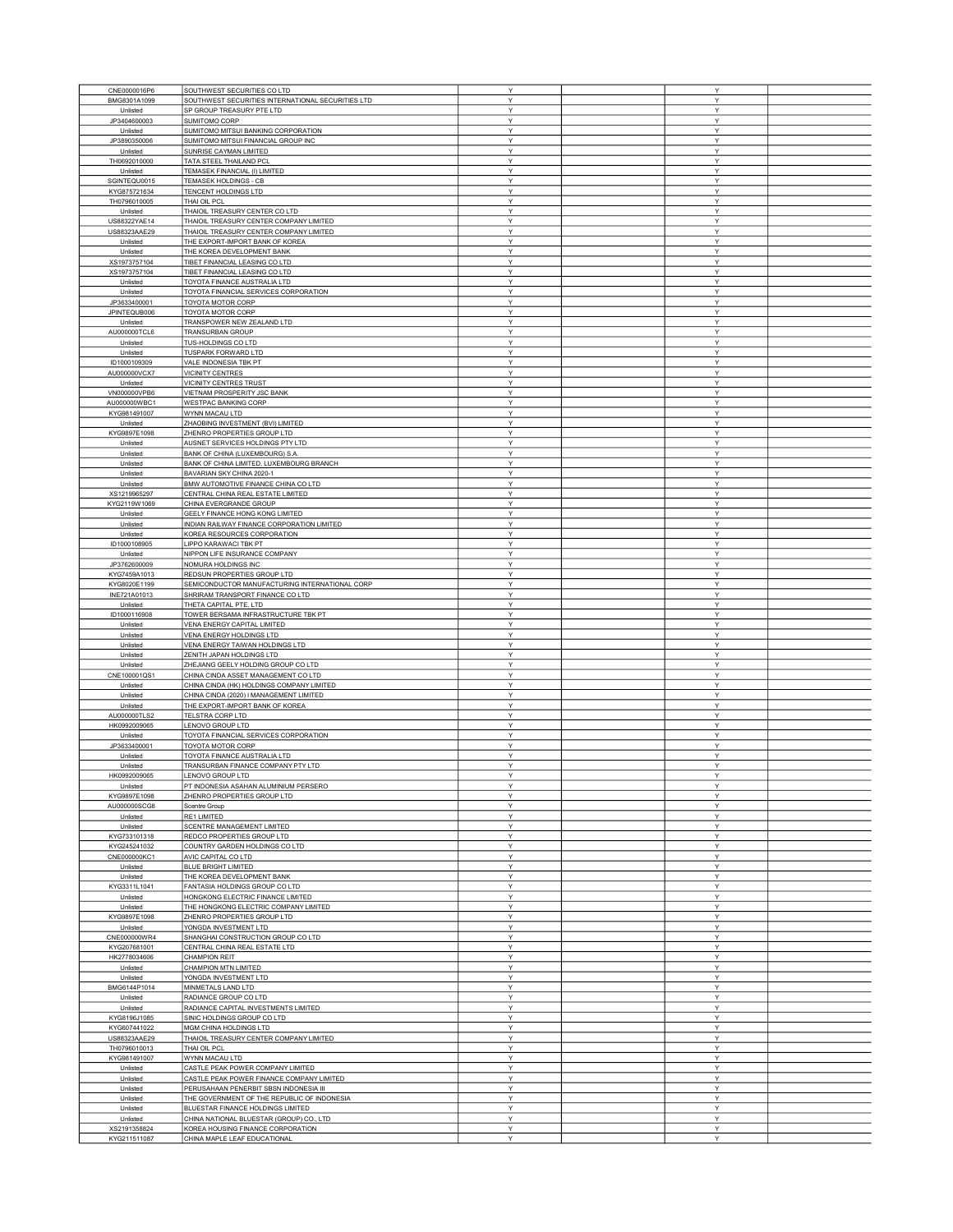| CNE0000016P6                 | SOUTHWEST SECURITIES CO LTD                                       | Υ      | Υ      |  |
|------------------------------|-------------------------------------------------------------------|--------|--------|--|
|                              | SOUTHWEST SECURITIES INTERNATIONAL SECURITIES LTD                 | Υ      | Y      |  |
| BMG8301A1099                 | SP GROUP TREASURY PTE LTD                                         | Υ      | Y      |  |
| Unlisted                     |                                                                   |        |        |  |
| JP3404600003                 | SUMITOMO CORP                                                     | Υ      | Y      |  |
| Unlisted                     | SUMITOMO MITSUI BANKING CORPORATION                               | Υ      | Υ      |  |
| JP3890350006                 | SUMITOMO MITSUI FINANCIAL GROUP INC                               | Υ      | Υ      |  |
| Unlisted                     | SUNRISE CAYMAN LIMITED                                            | Y      | Y      |  |
| TH0692010000                 | TATA STEEL THAILAND PCL                                           | Υ      | Y      |  |
| Unlisted                     | TEMASEK FINANCIAL (I) LIMITED                                     | Υ      | Y      |  |
| SGINTEQU0015                 | TEMASEK HOLDINGS - CB                                             | Y      | Y      |  |
| KYG875721634                 | TENCENT HOLDINGS LTD                                              | Υ      | Υ      |  |
| TH0796010005                 | THAI OIL PCL                                                      | Υ      | Υ      |  |
| Unlisted                     | THAIOIL TREASURY CENTER CO LTD                                    | Υ      | Υ      |  |
| US88322YAE14                 | THAIOIL TREASURY CENTER COMPANY LIMITED                           | Υ      | Υ      |  |
| US88323AAE29                 | THAIOIL TREASURY CENTER COMPANY LIMITED                           | Υ      | Y      |  |
|                              |                                                                   |        | Y      |  |
| Unlisted                     | THE EXPORT-IMPORT BANK OF KOREA                                   | Υ      |        |  |
| Unlisted                     | THE KOREA DEVELOPMENT BANK                                        | Υ      | Υ      |  |
| XS1973757104                 | TIBET FINANCIAL LEASING CO LTD                                    | Υ      | Υ      |  |
| XS1973757104                 | TIBET FINANCIAL LEASING CO LTD                                    | Y      | Y      |  |
| Unlisted                     | TOYOTA FINANCE AUSTRALIA LTD                                      | Υ      | Υ      |  |
| Unlisted                     | TOYOTA FINANCIAL SERVICES CORPORATION                             | Υ      | Υ      |  |
| JP3633400001                 | TOYOTA MOTOR CORP                                                 | Y      | Y      |  |
|                              |                                                                   |        |        |  |
| JPINTEQUB006                 | TOYOTA MOTOR CORP                                                 | Y      | Y      |  |
| Unlisted                     | TRANSPOWER NEW ZEALAND LTD                                        | Υ      | Υ      |  |
| AU000000TCL6                 | TRANSURBAN GROUP                                                  | Υ      | Υ      |  |
| Unlisted                     | TUS-HOLDINGS CO LTD                                               | Υ      | Υ      |  |
| Unlisted                     | TUSPARK FORWARD LTD                                               | Υ      | Υ      |  |
| ID1000109309                 | VALE INDONESIA TBK PT                                             | Υ      | Υ      |  |
| AU000000VCX7                 | <b>VICINITY CENTRES</b>                                           | Υ      | Y      |  |
| Unlisted                     | VICINITY CENTRES TRUST                                            | Υ      | Υ      |  |
| VN000000VPB6                 |                                                                   | Y      | Υ      |  |
|                              | VIETNAM PROSPERITY JSC BANK                                       |        |        |  |
| AU000000WBC1                 | <b>WESTPAC BANKING CORP</b>                                       | Υ      | Υ      |  |
| KYG981491007                 | WYNN MACAU LTD                                                    | Υ      | Y      |  |
| Unlisted                     | ZHAOBING INVESTMENT (BVI) LIMITED                                 | Υ      | Y      |  |
| KYG9897E1098                 | ZHENRO PROPERTIES GROUP LTD                                       | Υ      | Υ      |  |
| Unlisted                     | AUSNET SERVICES HOLDINGS PTY LTD                                  | Υ      | Υ      |  |
| Unlisted                     | BANK OF CHINA (LUXEMBOURG) S.A.                                   | Υ      | Y      |  |
|                              | BANK OF CHINA LIMITED, LUXEMBOURG BRANCH                          | Y      | Y      |  |
| Unlisted                     |                                                                   | Υ      | Υ      |  |
| Unlisted                     | BAVARIAN SKY CHINA 2020-1                                         |        |        |  |
| Unlisted                     | BMW AUTOMOTIVE FINANCE CHINA CO LTD                               | Υ      | Y      |  |
| XS1219965297                 | CENTRAL CHINA REAL ESTATE LIMITED                                 | Υ      | Y      |  |
| KYG2119W1069                 | CHINA EVERGRANDE GROUP                                            | Υ      | Υ      |  |
| Unlisted                     | GEELY FINANCE HONG KONG LIMITED                                   | Υ      | Υ      |  |
| Unlisted                     | INDIAN RAILWAY FINANCE CORPORATION LIMITED                        | Y      | Y      |  |
| Unlisted                     | KOREA RESOURCES CORPORATION                                       | Υ      | Υ      |  |
|                              |                                                                   | Υ      | Y      |  |
| ID1000108905                 | LIPPO KARAWACI TBK PT                                             |        |        |  |
| Unlisted                     | NIPPON LIFE INSURANCE COMPANY                                     | Y      | Y      |  |
| JP3762600009                 | NOMURA HOLDINGS INC                                               | Υ      | Y      |  |
| KYG7459A1013                 | REDSUN PROPERTIES GROUP LTD                                       | Υ      | Υ      |  |
| KYG8020E1199                 | SEMICONDUCTOR MANUFACTURING INTERNATIONAL CORP                    | Υ      | Υ      |  |
| INE721A01013                 | SHRIRAM TRANSPORT FINANCE CO LTD                                  | Υ      | Υ      |  |
| Unlisted                     | THETA CAPITAL PTE. LTD                                            | Υ      | Y      |  |
|                              |                                                                   | Υ      | Υ      |  |
| ID1000116908                 | TOWER BERSAMA INFRASTRUCTURE TBK PT                               |        |        |  |
| Unlisted                     | <b>VENA ENERGY CAPITAL LIMITED</b>                                | Υ      | Y      |  |
| Unlisted                     | VENA ENERGY HOLDINGS LTD                                          | Υ      | Υ      |  |
| Unlisted                     | VENA ENERGY TAIWAN HOLDINGS LTD                                   | Υ      | Υ      |  |
| Unlisted                     | ZENITH JAPAN HOLDINGS LTD                                         | Υ      | Y      |  |
| Unlisted                     | ZHEJIANG GEELY HOLDING GROUP CO LTD                               | Υ      | Y      |  |
| CNE100001QS1                 | CHINA CINDA ASSET MANAGEMENT CO LTD                               | Υ      | Y      |  |
| Unlisted                     | CHINA CINDA (HK) HOLDINGS COMPANY LIMITED                         | Υ      | Υ      |  |
|                              |                                                                   | Υ      | Υ      |  |
| Unlisted                     | CHINA CINDA (2020) I MANAGEMENT LIMITED                           |        |        |  |
| Unlisted                     | THE EXPORT-IMPORT BANK OF KOREA                                   | Y      | Y      |  |
| AU000000TLS2                 | TELSTRA CORP LTD                                                  | Y      | Y      |  |
| HK0992009065                 | LENOVO GROUP LTD                                                  | Υ      | Υ      |  |
| Unlisted                     | TOYOTA FINANCIAL SERVICES CORPORATION                             | Υ      | Y      |  |
| JP3633400001                 | TOYOTA MOTOR CORP                                                 | Υ      | Y      |  |
| Unlisted                     | TOYOTA FINANCE AUSTRALIA LTD                                      | Υ      | Y      |  |
| Unlisted                     | TRANSURBAN FINANCE COMPANY PTY LTD                                | Υ      | Υ      |  |
|                              |                                                                   | Y      | Y      |  |
| HK0992009065                 | LENOVO GROUP LTD                                                  |        |        |  |
| Unlisted                     | PT INDONESIA ASAHAN ALUMINIUM PERSERO                             | Υ      | Y      |  |
| KYG9897E1098                 | ZHENRO PROPERTIES GROUP LTD                                       | Υ      | Y      |  |
| AU000000SCG8                 | Scentre Group                                                     | Y      | Y      |  |
| Unlisted                     | RE1 LIMITED                                                       | Y      | Y      |  |
| Unlisted                     | SCENTRE MANAGEMENT LIMITED                                        | Y      | Υ      |  |
| KYG733101318                 | REDCO PROPERTIES GROUP LTD                                        | Υ      | Υ      |  |
| KYG245241032                 | COUNTRY GARDEN HOLDINGS CO LTD                                    | Υ      | Y      |  |
| CNE000000KC1                 | AVIC CAPITAL CO LTD                                               | Υ      | Υ      |  |
| Unlisted                     | <b>BLUE BRIGHT LIMITED</b>                                        | Υ      | Y      |  |
|                              |                                                                   |        |        |  |
| Unlisted                     | THE KOREA DEVELOPMENT BANK                                        | Υ      | Y      |  |
| KYG3311L1041                 | FANTASIA HOLDINGS GROUP CO LTD                                    | Y      | Y      |  |
| Unlisted                     | HONGKONG ELECTRIC FINANCE LIMITED                                 | Υ      | Υ      |  |
| Unlisted                     | THE HONGKONG ELECTRIC COMPANY LIMITED                             | Υ      | Y      |  |
| KYG9897E1098                 | ZHENRO PROPERTIES GROUP LTD                                       | Υ      | Υ      |  |
| Unlisted                     | YONGDA INVESTMENT LTD                                             | Υ      | Y      |  |
| CNE000000WR4                 | SHANGHAI CONSTRUCTION GROUP CO LTD                                | Υ      | Υ      |  |
| KYG207681001                 | CENTRAL CHINA REAL ESTATE LTD                                     | Υ      | Υ      |  |
| HK2778034606                 | <b>CHAMPION REIT</b>                                              | Y      | Y      |  |
|                              |                                                                   | Y      | Y      |  |
| Unlisted                     | CHAMPION MTN LIMITED                                              |        |        |  |
| Unlisted                     | YONGDA INVESTMENT LTD                                             | Υ      | Υ      |  |
| BMG6144P1014                 | MINMETALS LAND LTD                                                | Υ      | Y      |  |
| Unlisted                     | RADIANCE GROUP CO LTD                                             | Y      | Y      |  |
| Unlisted                     | RADIANCE CAPITAL INVESTMENTS LIMITED                              | Υ      | Y      |  |
| KYG8196J1085                 | SINIC HOLDINGS GROUP CO LTD                                       | Υ      | Υ      |  |
|                              | MGM CHINA HOLDINGS LTD                                            | Y      | Y      |  |
| KYG607441022                 |                                                                   |        |        |  |
| US88323AAE29                 | THAIOIL TREASURY CENTER COMPANY LIMITED                           | Υ      | Υ      |  |
| TH0796010013                 | THAI OIL PCL                                                      | Υ      | Υ      |  |
| KYG981491007                 | WYNN MACAU LTD                                                    | Y      | Y      |  |
| Unlisted                     | CASTLE PEAK POWER COMPANY LIMITED                                 | Υ      | Υ      |  |
| Unlisted                     | CASTLE PEAK POWER FINANCE COMPANY LIMITED                         | Y      | Y      |  |
| Unlisted                     | PERUSAHAAN PENERBIT SBSN INDONESIA III                            | Υ      | Y      |  |
| Unlisted                     | THE GOVERNMENT OF THE REPUBLIC OF INDONESIA                       | Υ      | Y      |  |
|                              |                                                                   |        |        |  |
|                              |                                                                   |        |        |  |
| Unlisted                     | BLUESTAR FINANCE HOLDINGS LIMITED                                 | Υ      | Y      |  |
| Unlisted                     | CHINA NATIONAL BLUESTAR (GROUP) CO., LTD                          | Υ      | Υ      |  |
| XS2191358824<br>KYG211511087 | KOREA HOUSING FINANCE CORPORATION<br>CHINA MAPLE LEAF EDUCATIONAL | Υ<br>Υ | Y<br>Υ |  |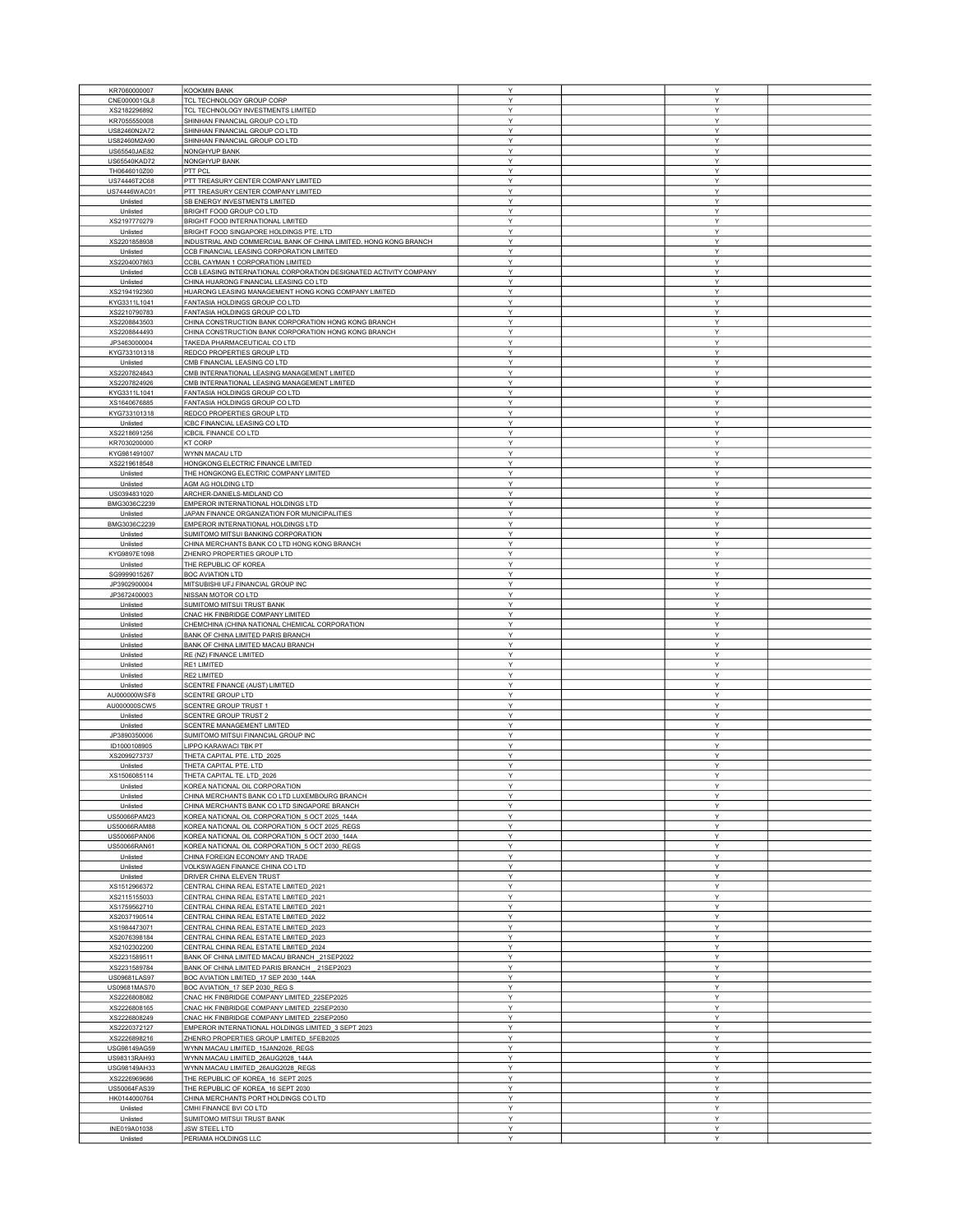| KR7060000007 | <b>KOOKMIN BANK</b>                                               | Υ | Υ |  |
|--------------|-------------------------------------------------------------------|---|---|--|
|              |                                                                   |   |   |  |
| CNE000001GL8 | TCL TECHNOLOGY GROUP CORP                                         | Υ | Y |  |
| XS2182296892 | TCL TECHNOLOGY INVESTMENTS LIMITED                                | Υ | Y |  |
| KR7055550008 | SHINHAN FINANCIAL GROUP CO LTD                                    | Υ | Υ |  |
| US82460N2A72 | SHINHAN FINANCIAL GROUP CO LTD                                    | Υ | Υ |  |
|              |                                                                   | Y | Y |  |
| US82460M2A90 | SHINHAN FINANCIAL GROUP CO LTD                                    |   |   |  |
| US65540JAE82 | NONGHYUP BANK                                                     | Υ | Υ |  |
| US65540KAD72 | NONGHYUP BANK                                                     | Υ | Y |  |
| TH0646010Z00 | PTT PCL                                                           | Y | Y |  |
| US74446T2C68 | PTT TREASURY CENTER COMPANY LIMITED                               | Υ | Y |  |
|              |                                                                   |   |   |  |
| US74446WAC01 | PTT TREASURY CENTER COMPANY LIMITED                               | Y | Υ |  |
| Unlisted     | SB ENERGY INVESTMENTS LIMITED                                     | Υ | Υ |  |
| Unlisted     | BRIGHT FOOD GROUP CO LTD                                          | Υ | Υ |  |
| XS2197770279 | BRIGHT FOOD INTERNATIONAL LIMITED                                 | Υ | Υ |  |
|              |                                                                   | Y | Y |  |
| Unlisted     | BRIGHT FOOD SINGAPORE HOLDINGS PTE. LTD                           |   |   |  |
| XS2201858938 | INDUSTRIAL AND COMMERCIAL BANK OF CHINA LIMITED, HONG KONG BRANCH | Υ | Y |  |
| Unlisted     | CCB FINANCIAL LEASING CORPORATION LIMITED                         | Υ | Υ |  |
| XS2204007863 | CCBL CAYMAN 1 CORPORATION LIMITED                                 | Y | Υ |  |
| Unlisted     | CCB LEASING INTERNATIONAL CORPORATION DESIGNATED ACTIVITY COMPANY | Υ | Y |  |
|              |                                                                   |   |   |  |
| Unlisted     | CHINA HUARONG FINANCIAL LEASING CO LTD                            | Υ | Y |  |
| XS2194192360 | HUARONG LEASING MANAGEMENT HONG KONG COMPANY LIMITED              | Y | Y |  |
| KYG3311L1041 | FANTASIA HOLDINGS GROUP CO LTD                                    | Y | Y |  |
| XS2210790783 | FANTASIA HOLDINGS GROUP CO LTD                                    | Y | Y |  |
|              |                                                                   |   |   |  |
| XS2208843503 | CHINA CONSTRUCTION BANK CORPORATION HONG KONG BRANCH              | Υ | Υ |  |
| XS2208844493 | CHINA CONSTRUCTION BANK CORPORATION HONG KONG BRANCH              | Υ | Y |  |
| JP3463000004 | TAKEDA PHARMACEUTICAL CO LTD                                      | Υ | Y |  |
| KYG733101318 | REDCO PROPERTIES GROUP LTD                                        | Υ | Υ |  |
|              |                                                                   |   | Y |  |
| Unlisted     | CMB FINANCIAL LEASING CO LTD                                      | Υ |   |  |
| XS2207824843 | CMB INTERNATIONAL LEASING MANAGEMENT LIMITED                      | Υ | Υ |  |
| XS2207824926 | CMB INTERNATIONAL LEASING MANAGEMENT LIMITED                      | Y | Υ |  |
| KYG3311L1041 | FANTASIA HOLDINGS GROUP CO LTD                                    | Υ | Υ |  |
|              |                                                                   |   | Υ |  |
| XS1640676885 | FANTASIA HOLDINGS GROUP CO LTD                                    | Υ |   |  |
| KYG733101318 | REDCO PROPERTIES GROUP LTD                                        | Υ | Y |  |
| Unlisted     | ICBC FINANCIAL LEASING CO LTD                                     | Y | Y |  |
| XS2218691256 | <b>ICBCIL FINANCE CO LTD</b>                                      | Υ | Υ |  |
|              |                                                                   |   |   |  |
| KR7030200000 | <b>KT CORP</b>                                                    | Υ | Υ |  |
| KYG981491007 | WYNN MACAU LTD                                                    | Y | Y |  |
| XS2219618548 | HONGKONG ELECTRIC FINANCE LIMITED                                 | Υ | Υ |  |
| Unlisted     | THE HONGKONG ELECTRIC COMPANY LIMITED                             | Υ | Υ |  |
|              |                                                                   |   |   |  |
| Unlisted     | AGM AG HOLDING LTD                                                | Y | Y |  |
| US0394831020 | ARCHER-DANIELS-MIDLAND CO                                         | Υ | Υ |  |
| BMG3036C2239 | EMPEROR INTERNATIONAL HOLDINGS LTD                                | Υ | Υ |  |
| Unlisted     | JAPAN FINANCE ORGANIZATION FOR MUNICIPALITIES                     | Y | Υ |  |
|              |                                                                   |   |   |  |
| BMG3036C2239 | EMPEROR INTERNATIONAL HOLDINGS LTD                                | Υ | Y |  |
| Unlisted     | SUMITOMO MITSUI BANKING CORPORATION                               | Υ | Y |  |
| Unlisted     | CHINA MERCHANTS BANK CO LTD HONG KONG BRANCH                      | Υ | Y |  |
|              |                                                                   | Y | Y |  |
| KYG9897E1098 | ZHENRO PROPERTIES GROUP LTD                                       |   |   |  |
| Unlisted     | THE REPUBLIC OF KOREA                                             | Y | Υ |  |
| SG9999015267 | <b>BOC AVIATION LTD</b>                                           | Υ | Υ |  |
| JP3902900004 | MITSUBISHI UFJ FINANCIAL GROUP INC                                | Υ | Y |  |
| JP3672400003 | NISSAN MOTOR CO LTD                                               | Υ | Y |  |
|              |                                                                   |   |   |  |
| Unlisted     | SUMITOMO MITSUI TRUST BANK                                        | Υ | Y |  |
| Unlisted     | CNAC HK FINBRIDGE COMPANY LIMITED                                 | Υ | Y |  |
| Unlisted     | CHEMCHINA (CHINA NATIONAL CHEMICAL CORPORATION                    | Υ | Υ |  |
| Unlisted     | BANK OF CHINA LIMITED PARIS BRANCH                                | Y | Υ |  |
|              | BANK OF CHINA LIMITED MACAU BRANCH                                | Y | Υ |  |
| Unlisted     |                                                                   |   |   |  |
| Unlisted     | RE (NZ) FINANCE LIMITED                                           | Υ | Υ |  |
| Unlisted     | RE1 LIMITED                                                       | Y | Y |  |
| Unlisted     | RE2 LIMITED                                                       | Y | Y |  |
|              |                                                                   |   |   |  |
| Unlisted     | SCENTRE FINANCE (AUST) LIMITED                                    | Υ | Υ |  |
| AU000000WSF8 | <b>SCENTRE GROUP LTD</b>                                          | Υ | Υ |  |
| AU000000SCW5 | <b>SCENTRE GROUP TRUST 1</b>                                      | Y | Y |  |
| Unlisted     | <b>SCENTRE GROUP TRUST 2</b>                                      | Υ | Υ |  |
| Unlisted     | SCENTRE MANAGEMENT LIMITED                                        | Υ | Υ |  |
|              |                                                                   | Y | Y |  |
| JP3890350006 | SUMITOMO MITSUI FINANCIAL GROUP INC                               |   |   |  |
| ID1000108905 | LIPPO KARAWACI TBK PT                                             | Υ | Υ |  |
| XS2099273737 | THETA CAPITAL PTE. LTD_2025                                       | Y | Y |  |
| Unlisted     | THETA CAPITAL PTE. LTD                                            | Y | Y |  |
|              |                                                                   | Y | v |  |
| XS1506085114 | THETA CAPITAL TE. LTD_2026                                        |   |   |  |
| Unlisted     | KOREA NATIONAL OIL CORPORATION                                    | Y | Y |  |
| Unlisted     | CHINA MERCHANTS BANK CO LTD LUXEMBOURG BRANCH                     | Y | Y |  |
| Unlisted     | CHINA MERCHANTS BANK CO LTD SINGAPORE BRANCH                      | Y | Y |  |
| US50066PAM23 | KOREA NATIONAL OIL CORPORATION_5 OCT 2025_144A                    | Y | Υ |  |
|              |                                                                   |   |   |  |
| US50066RAM88 | KOREA NATIONAL OIL CORPORATION 5 OCT 2025 REGS                    | Υ | Y |  |
| US50066PAN06 | KOREA NATIONAL OIL CORPORATION_5 OCT 2030_144A                    | Υ | Υ |  |
| US50066RAN61 | KOREA NATIONAL OIL CORPORATION_5 OCT 2030_REGS                    | Υ | Y |  |
| Unlisted     | CHINA FOREIGN ECONOMY AND TRADE                                   | Υ | Υ |  |
|              |                                                                   | Υ | Y |  |
| Unlisted     | VOLKSWAGEN FINANCE CHINA CO LTD                                   |   |   |  |
| Unlisted     | DRIVER CHINA ELEVEN TRUST                                         | Υ | Υ |  |
| XS1512966372 | CENTRAL CHINA REAL ESTATE LIMITED 2021                            | Y | Υ |  |
| XS2115155033 | CENTRAL CHINA REAL ESTATE LIMITED_2021                            | Y | Υ |  |
| XS1759562710 | CENTRAL CHINA REAL ESTATE LIMITED_2021                            | Υ | Υ |  |
|              |                                                                   |   |   |  |
| XS2037190514 | CENTRAL CHINA REAL ESTATE LIMITED 2022                            | Υ | Y |  |
| XS1984473071 | CENTRAL CHINA REAL ESTATE LIMITED_2023                            | Υ | Υ |  |
| XS2076398184 | CENTRAL CHINA REAL ESTATE LIMITED_2023                            | Υ | Υ |  |
| XS2102302200 | CENTRAL CHINA REAL ESTATE LIMITED_2024                            | Y | Y |  |
| XS2231589511 | BANK OF CHINA LIMITED MACAU BRANCH 21SEP2022                      | Y | Y |  |
|              |                                                                   |   |   |  |
| XS2231589784 | BANK OF CHINA LIMITED PARIS BRANCH 21SEP2023                      | Υ | Υ |  |
| US09681LAS97 | BOC AVIATION LIMITED_17 SEP 2030_144A                             | Υ | Υ |  |
| US09681MAS70 | BOC AVIATION_17 SEP 2030_REG S                                    | Y | Y |  |
| XS2226808082 | CNAC HK FINBRIDGE COMPANY LIMITED_22SEP2025                       | Υ | Y |  |
|              |                                                                   | Υ | Υ |  |
| XS2226808165 | CNAC HK FINBRIDGE COMPANY LIMITED_22SEP2030                       |   |   |  |
| XS2226808249 | CNAC HK FINBRIDGE COMPANY LIMITED_22SEP2050                       | Y | Υ |  |
| XS2220372127 | EMPEROR INTERNATIONAL HOLDINGS LIMITED_3 SEPT 2023                | Υ | Υ |  |
| XS2226898216 | ZHENRO PROPERTIES GROUP LIMITED_5FEB2025                          | Υ | Y |  |
| USG98149AG59 | WYNN MACAU LIMITED_15JAN2026_REGS                                 | Υ | Υ |  |
|              |                                                                   |   |   |  |
| US98313RAH93 | WYNN MACAU LIMITED_26AUG2028_144A                                 | Y | Y |  |
| USG98149AH33 | WYNN MACAU LIMITED_26AUG2028_REGS                                 | Y | Y |  |
| XS2226969686 | THE REPUBLIC OF KOREA_16 SEPT 2025                                | Υ | Υ |  |
| US50064FAS39 | THE REPUBLIC OF KOREA_16 SEPT 2030                                | Υ | Υ |  |
| HK0144000764 | CHINA MERCHANTS PORT HOLDINGS CO LTD                              | Υ | Y |  |
|              |                                                                   |   |   |  |
| Unlisted     | CMHI FINANCE BVI CO LTD                                           | Υ | Υ |  |
| Unlisted     | SUMITOMO MITSUI TRUST BANK                                        | Υ | Y |  |
| INE019A01038 | JSW STEEL LTD                                                     | Υ | Υ |  |
| Unlisted     | PERIAMA HOLDINGS LLC                                              | Υ | Y |  |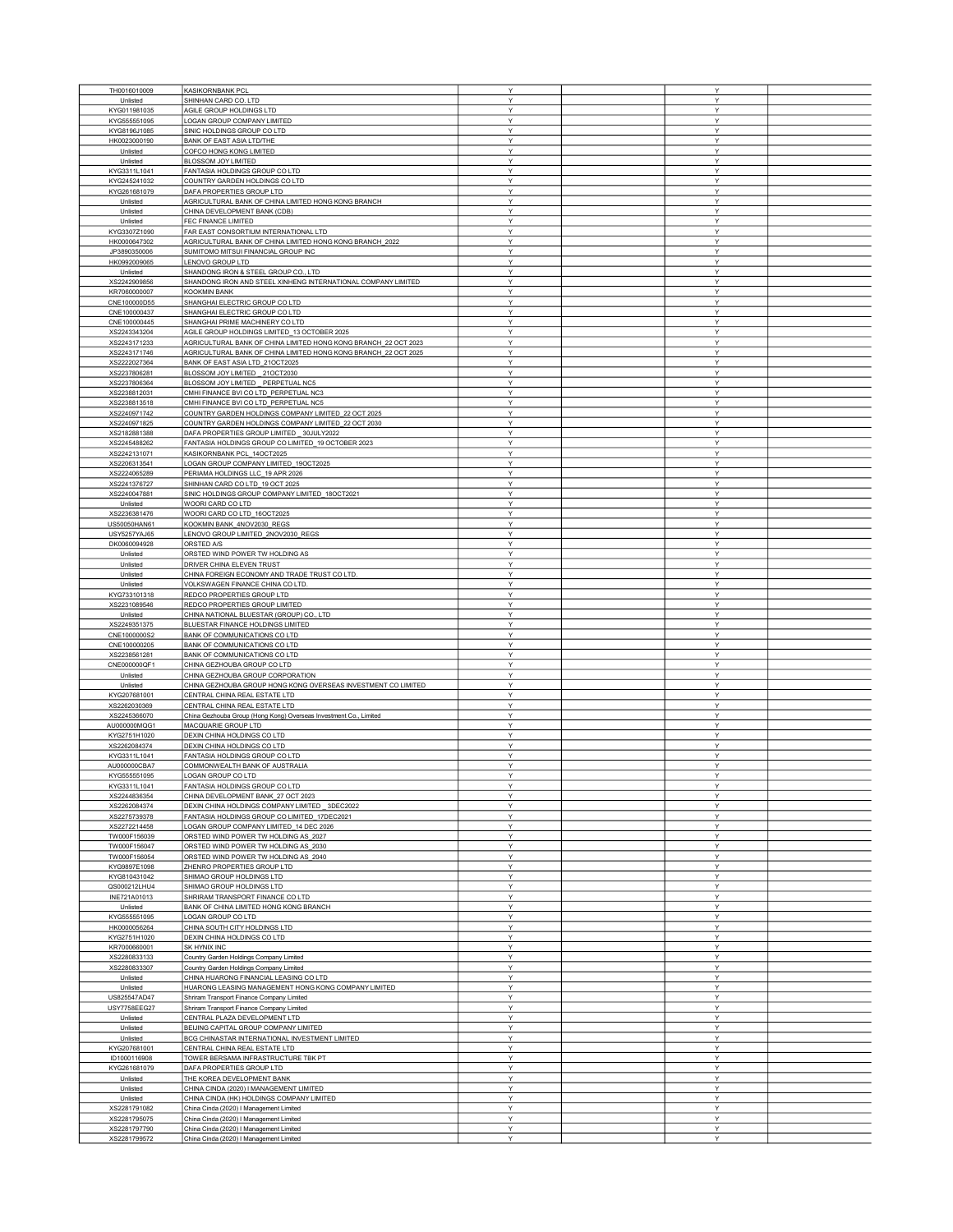| TH0016010009 | <b>KASIKORNBANK PCL</b>                                           | Y            | Y |  |
|--------------|-------------------------------------------------------------------|--------------|---|--|
|              |                                                                   |              |   |  |
| Unlisted     | SHINHAN CARD CO. LTD                                              | Y            | Υ |  |
| KYG011981035 | AGILE GROUP HOLDINGS LTD                                          | Y            | Y |  |
| KYG555551095 | LOGAN GROUP COMPANY LIMITED                                       | Y            | Υ |  |
| KYG8196J1085 | SINIC HOLDINGS GROUP CO LTD                                       | Y            | Υ |  |
| HK0023000190 | <b>BANK OF EAST ASIA LTD/THE</b>                                  | Y            | Υ |  |
|              |                                                                   |              |   |  |
| Unlisted     | COFCO HONG KONG LIMITED                                           | Y            | Υ |  |
| Unlisted     | BLOSSOM JOY LIMITED                                               | Y            | Υ |  |
| KYG3311L1041 | FANTASIA HOLDINGS GROUP CO LTD                                    | Y            | Y |  |
| KYG245241032 | COUNTRY GARDEN HOLDINGS CO LTD                                    | Y            | Y |  |
|              |                                                                   |              |   |  |
| KYG261681079 | DAFA PROPERTIES GROUP LTD                                         | Υ            | Υ |  |
| Unlisted     | AGRICULTURAL BANK OF CHINA LIMITED HONG KONG BRANCH               | Y            | Υ |  |
| Unlisted     | CHINA DEVELOPMENT BANK (CDB)                                      | Υ            | Υ |  |
| Unlisted     | FEC FINANCE LIMITED                                               | Y            | Υ |  |
|              | FAR EAST CONSORTIUM INTERNATIONAL LTD                             | Y            | Υ |  |
| KYG3307Z1090 |                                                                   |              |   |  |
| HK0000647302 | AGRICULTURAL BANK OF CHINA LIMITED HONG KONG BRANCH_2022          | Υ            | Υ |  |
| JP3890350006 | SUMITOMO MITSUI FINANCIAL GROUP INC                               | Y            | Υ |  |
| HK0992009065 | LENOVO GROUP LTD                                                  | Υ            | Υ |  |
| Unlisted     | SHANDONG IRON & STEEL GROUP CO., LTD                              | Y            | Υ |  |
| XS2242909856 |                                                                   | Y            | Υ |  |
|              | SHANDONG IRON AND STEEL XINHENG INTERNATIONAL COMPANY LIMITED     |              |   |  |
| KR7060000007 | <b>KOOKMIN BANK</b>                                               | Y            | Υ |  |
| CNE100000D55 | SHANGHAI ELECTRIC GROUP CO LTD                                    | Y            | Y |  |
| CNE100000437 | SHANGHAI ELECTRIC GROUP CO LTD                                    | Y            | Υ |  |
| CNE100000445 | SHANGHAI PRIME MACHINERY CO LTD                                   | Υ            | Υ |  |
|              |                                                                   |              |   |  |
| XS2243343204 | AGILE GROUP HOLDINGS LIMITED_13 OCTOBER 2025                      | Y            | Υ |  |
| XS2243171233 | AGRICULTURAL BANK OF CHINA LIMITED HONG KONG BRANCH_22 OCT 2023   | Y            | Υ |  |
| XS2243171746 | AGRICULTURAL BANK OF CHINA LIMITED HONG KONG BRANCH_22 OCT 2025   | Y            | Υ |  |
| XS2222027364 | BANK OF EAST ASIA LTD_21OCT2025                                   | Y            | Y |  |
|              |                                                                   |              |   |  |
| XS2237806281 | BLOSSOM JOY LIMITED _21OCT2030                                    | Y            | Υ |  |
| XS2237806364 | BLOSSOM JOY LIMITED _ PERPETUAL NC5                               | Υ            | Υ |  |
| XS2238812031 | CMHI FINANCE BVI CO LTD_PERPETUAL NC3                             | Y            | Υ |  |
| XS2238813518 | CMHI FINANCE BVI CO LTD_PERPETUAL NC5                             | Υ            | Υ |  |
| XS2240971742 | COUNTRY GARDEN HOLDINGS COMPANY LIMITED 22 OCT 2025               | Y            | Υ |  |
|              |                                                                   |              |   |  |
| XS2240971825 | COUNTRY GARDEN HOLDINGS COMPANY LIMITED_22 OCT 2030               | Y            | Υ |  |
| XS2182881388 | DAFA PROPERTIES GROUP LIMITED _ 30JULY2022                        | Υ            | Υ |  |
| XS2245488262 | FANTASIA HOLDINGS GROUP CO LIMITED 19 OCTOBER 2023                | Υ            | Υ |  |
| XS2242131071 | KASIKORNBANK PCL_14OCT2025                                        | Y            | Y |  |
|              |                                                                   |              |   |  |
| XS2206313541 | LOGAN GROUP COMPANY LIMITED_19OCT2025                             | Υ            | Υ |  |
| XS2224065289 | PERIAMA HOLDINGS LLC_19 APR 2026                                  | Y            | Υ |  |
| XS2241376727 | SHINHAN CARD CO LTD_19 OCT 2025                                   | Y            | Y |  |
| XS2240047881 | SINIC HOLDINGS GROUP COMPANY LIMITED_18OCT2021                    | Y            | Y |  |
|              |                                                                   | Y            | Υ |  |
| Unlisted     | WOORI CARD CO LTD                                                 |              |   |  |
| XS2236381476 | WOORI CARD CO LTD_16OCT2025                                       | Y            | Υ |  |
| US50050HAN61 | KOOKMIN BANK_4NOV2030_REGS                                        | Υ            | Y |  |
| USY5257YAJ65 | LENOVO GROUP LIMITED_2NOV2030_REGS                                | Y            | Υ |  |
| DK0060094928 | ORSTED A/S                                                        | Y            | Υ |  |
|              |                                                                   |              |   |  |
| Unlisted     | ORSTED WIND POWER TW HOLDING AS                                   | Y            | Υ |  |
| Unlisted     | DRIVER CHINA ELEVEN TRUST                                         | Y            | Y |  |
| Unlisted     | CHINA FOREIGN ECONOMY AND TRADE TRUST CO LTD.                     | Υ            | Υ |  |
| Unlisted     | VOLKSWAGEN FINANCE CHINA CO LTD                                   | Y            | Υ |  |
|              |                                                                   | Y            | Y |  |
| KYG733101318 | REDCO PROPERTIES GROUP LTD                                        |              |   |  |
| XS2231089546 | REDCO PROPERTIES GROUP LIMITED                                    | Y            | Υ |  |
| Unlisted     | CHINA NATIONAL BLUESTAR (GROUP) CO., LTD                          | Y            | Y |  |
| XS2249351375 | BLUESTAR FINANCE HOLDINGS LIMITED                                 | Y            | Υ |  |
| CNE1000000S2 | BANK OF COMMUNICATIONS CO LTD                                     | Y            | Υ |  |
|              |                                                                   |              |   |  |
| CNE100000205 | BANK OF COMMUNICATIONS CO LTD                                     | Υ            | Υ |  |
| XS2238561281 | BANK OF COMMUNICATIONS CO LTD                                     | Y            | Υ |  |
| CNE000000QF1 | CHINA GEZHOUBA GROUP CO LTD                                       | Y            | Υ |  |
| Unlisted     | CHINA GEZHOUBA GROUP CORPORATION                                  | Y            | Y |  |
| Unlisted     | CHINA GEZHOUBA GROUP HONG KONG OVERSEAS INVESTMENT CO LIMITED     | Υ            | Υ |  |
|              |                                                                   |              |   |  |
| KYG207681001 | CENTRAL CHINA REAL ESTATE LTD                                     | Υ            | Υ |  |
| XS2262030369 | CENTRAL CHINA REAL ESTATE LTD                                     | Y            | Y |  |
| XS2245366070 | China Gezhouba Group (Hong Kong) Overseas Investment Co., Limited | Υ            | Υ |  |
| AU000000MQG1 | MACQUARIE GROUP LTD                                               | Y            | Υ |  |
|              | DEXIN CHINA HOLDINGS CO LTD                                       | Y            | Y |  |
| KYG2751H1020 |                                                                   |              |   |  |
| XS2262084374 | DEXIN CHINA HOLDINGS CO LTD                                       | Υ            | Υ |  |
| KYG3311L1041 | FANTASIA HOLDINGS GROUP CO LTD                                    | Υ            | Y |  |
| AU000000CBA7 | COMMONWEALTH BANK OF AUSTRALIA                                    | Υ            | Υ |  |
| KYG555551095 | LOGAN GROUP CO LTD                                                | $\checkmark$ | Y |  |
|              |                                                                   | Y            | Y |  |
| KYG3311L1041 | FANTASIA HOLDINGS GROUP CO LTD                                    |              |   |  |
| XS2244836354 | CHINA DEVELOPMENT BANK_27 OCT 2023                                | Y            | Υ |  |
| XS2262084374 | DEXIN CHINA HOLDINGS COMPANY LIMITED _ 3DEC2022                   | Y            | Y |  |
| XS2275739378 | FANTASIA HOLDINGS GROUP CO LIMITED_17DEC2021                      | Υ            | Υ |  |
| XS2272214458 | LOGAN GROUP COMPANY LIMITED 14 DEC 2026                           | Υ            | Υ |  |
|              |                                                                   | Y            | Υ |  |
| TW000F156039 | ORSTED WIND POWER TW HOLDING AS_2027                              |              |   |  |
| TW000F156047 | ORSTED WIND POWER TW HOLDING AS_2030                              | Y            | Y |  |
| TW000F156054 | ORSTED WIND POWER TW HOLDING AS 2040                              | Y            | Υ |  |
| KYG9897E1098 | ZHENRO PROPERTIES GROUP LTD                                       | Y            | Y |  |
| KYG810431042 | SHIMAO GROUP HOLDINGS LTD                                         | Υ            | Υ |  |
|              |                                                                   |              |   |  |
| QS000212LHU4 | SHIMAO GROUP HOLDINGS LTD                                         | Υ            | Υ |  |
| INE721A01013 | SHRIRAM TRANSPORT FINANCE CO LTD                                  | Y            | Υ |  |
| Unlisted     | BANK OF CHINA LIMITED HONG KONG BRANCH                            | Υ            | Υ |  |
| KYG555551095 | LOGAN GROUP CO LTD                                                | Y            | Υ |  |
|              |                                                                   |              |   |  |
| HK0000056264 | CHINA SOUTH CITY HOLDINGS LTD                                     | Y            | Υ |  |
| KYG2751H1020 | DEXIN CHINA HOLDINGS CO LTD                                       | Y            | Υ |  |
| KR7000660001 | SK HYNIX INC                                                      | Υ            | Y |  |
| XS2280833133 | Country Garden Holdings Company Limited                           | Y            | Y |  |
| XS2280833307 | Country Garden Holdings Company Limited                           | Υ            | Υ |  |
|              |                                                                   |              |   |  |
| Unlisted     | CHINA HUARONG FINANCIAL LEASING CO LTD                            | Υ            | Υ |  |
| Unlisted     | HUARONG LEASING MANAGEMENT HONG KONG COMPANY LIMITED              | Y            | Y |  |
| US825547AD47 | Shriram Transport Finance Company Limited                         | Y            | Y |  |
| USY7758EEG27 | Shriram Transport Finance Company Limited                         | Υ            | Υ |  |
| Unlisted     | CENTRAL PLAZA DEVELOPMENT LTD                                     | Υ            | Υ |  |
|              |                                                                   |              |   |  |
| Unlisted     | BEIJING CAPITAL GROUP COMPANY LIMITED                             | Y            | Y |  |
| Unlisted     | BCG CHINASTAR INTERNATIONAL INVESTMENT LIMITED                    | Y            | Υ |  |
| KYG207681001 | CENTRAL CHINA REAL ESTATE LTD                                     | Υ            | Υ |  |
| ID1000116908 | TOWER BERSAMA INFRASTRUCTURE TBK PT                               | Y            | Υ |  |
|              |                                                                   |              |   |  |
| KYG261681079 | DAFA PROPERTIES GROUP LTD                                         | Y            | Y |  |
| Unlisted     | THE KOREA DEVELOPMENT BANK                                        | Υ            | Y |  |
| Unlisted     | CHINA CINDA (2020) I MANAGEMENT LIMITED                           | Y            | Υ |  |
| Unlisted     | CHINA CINDA (HK) HOLDINGS COMPANY LIMITED                         | Y            | Y |  |
| XS2281791082 | China Cinda (2020) I Management Limited                           | Y            | Υ |  |
|              |                                                                   |              |   |  |
| XS2281795075 | China Cinda (2020) I Management Limited                           | Υ            | Υ |  |
| XS2281797790 | China Cinda (2020) I Management Limited                           | Υ            | Υ |  |
| XS2281799572 | China Cinda (2020) I Management Limited                           | Y            | Y |  |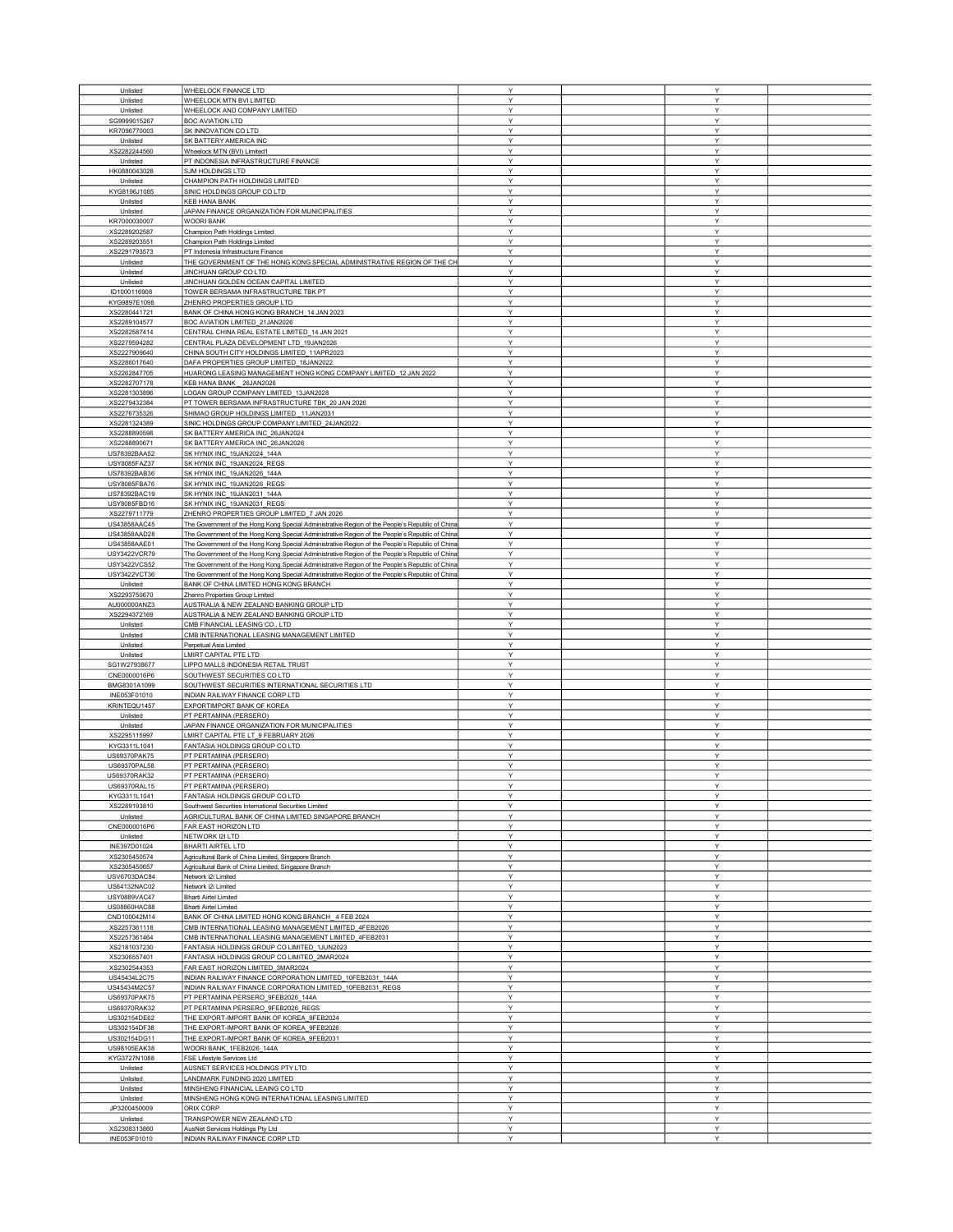| Unlisted                     |                                                                                                 |        |        |  |
|------------------------------|-------------------------------------------------------------------------------------------------|--------|--------|--|
|                              | WHEELOCK FINANCE LTD                                                                            | Y      | Y      |  |
| Unlisted                     | WHEELOCK MTN BVI LIMITED                                                                        | Y      | Y      |  |
| Unlisted                     | WHEELOCK AND COMPANY LIMITED                                                                    | Υ      | Υ      |  |
| SG9999015267                 | <b>BOC AVIATION LTD</b>                                                                         | Y      | Y      |  |
| KR7096770003                 | SK INNOVATION CO LTD                                                                            | Y      | Y      |  |
|                              |                                                                                                 |        |        |  |
| Unlisted                     | SK BATTERY AMERICA INC                                                                          | Υ      | Υ      |  |
| XS2282244560                 | Wheelock MTN (BVI) Limited1                                                                     | Y      | Υ      |  |
| Unlisted                     | PT INDONESIA INFRASTRUCTURE FINANCE                                                             | Y      | Υ      |  |
| HK0880043028                 | SJM HOLDINGS LTD                                                                                | Y      | Y      |  |
|                              |                                                                                                 |        |        |  |
| Unlisted                     | CHAMPION PATH HOLDINGS LIMITED                                                                  | Υ      | Υ      |  |
| KYG8196J1085                 | SINIC HOLDINGS GROUP CO LTD                                                                     | Υ      | Υ      |  |
| Unlisted                     | KEB HANA BANK                                                                                   | Υ      | Υ      |  |
|                              |                                                                                                 |        |        |  |
| Unlisted                     | JAPAN FINANCE ORGANIZATION FOR MUNICIPALITIES                                                   | Υ      | Υ      |  |
| KR7000030007                 | <b>WOORI BANK</b>                                                                               | Υ      | Υ      |  |
| XS2289202587                 | Champion Path Holdings Limited                                                                  | Y      | Y      |  |
|                              |                                                                                                 |        |        |  |
| XS2289203551                 | Champion Path Holdings Limited                                                                  | Y      | Υ      |  |
| XS2291793573                 | PT Indonesia Infrastructure Finance                                                             | Υ      | Υ      |  |
| Unlisted                     | THE GOVERNMENT OF THE HONG KONG SPECIAL ADMINISTRATIVE REGION OF THE CH                         | Y      | Υ      |  |
|                              |                                                                                                 | Y      | Y      |  |
| Unlisted                     | JINCHUAN GROUP CO LTD                                                                           |        |        |  |
| Unlisted                     | JINCHUAN GOLDEN OCEAN CAPITAL LIMITED                                                           | Y      | Υ      |  |
| ID1000116908                 | TOWER BERSAMA INFRASTRUCTURE TBK PT                                                             | Y      | Y      |  |
| KYG9897E1098                 | ZHENRO PROPERTIES GROUP LTD                                                                     | Y      | Υ      |  |
|                              |                                                                                                 |        |        |  |
| XS2280441721                 | BANK OF CHINA HONG KONG BRANCH_14 JAN 2023                                                      | Υ      | Υ      |  |
| XS2289104577                 | BOC AVIATION LIMITED_21JAN2026                                                                  | Y      | Y      |  |
| XS2282587414                 | CENTRAL CHINA REAL ESTATE LIMITED_14 JAN 2021                                                   | Υ      | Υ      |  |
|                              |                                                                                                 |        |        |  |
| XS2279594282                 | CENTRAL PLAZA DEVELOPMENT LTD 19JAN2026                                                         | Y      | Υ      |  |
| XS2227909640                 | CHINA SOUTH CITY HOLDINGS LIMITED_11APR2023                                                     | Y      | Y      |  |
| XS2286017640                 | DAFA PROPERTIES GROUP LIMITED_18JAN2022                                                         | Υ      | Y      |  |
|                              |                                                                                                 | Υ      |        |  |
| XS2262847705                 | HUARONG LEASING MANAGEMENT HONG KONG COMPANY LIMITED_12 JAN 2022                                |        | Υ      |  |
| XS2282707178                 | KEB HANA BANK _ 26JAN2026                                                                       | Y      | Υ      |  |
| XS2281303896                 | LOGAN GROUP COMPANY LIMITED_13JAN2028                                                           | Υ      | Υ      |  |
| XS2279432384                 | PT TOWER BERSAMA INFRASTRUCTURE TBK 20 JAN 2026                                                 | Y      | Υ      |  |
|                              |                                                                                                 |        |        |  |
| XS2276735326                 | SHIMAO GROUP HOLDINGS LIMITED _11JAN2031                                                        | Y      | Υ      |  |
| XS2281324389                 | SINIC HOLDINGS GROUP COMPANY LIMITED_24JAN2022                                                  | Υ      | Υ      |  |
| XS2288890598                 | SK BATTERY AMERICA INC_26JAN2024                                                                | Υ      | Υ      |  |
|                              |                                                                                                 | Υ      | Υ      |  |
| XS2288890671                 | SK BATTERY AMERICA INC_26JAN2026                                                                |        |        |  |
| US78392BAA52                 | SK HYNIX INC 19JAN2024 144A                                                                     | Y      | Y      |  |
| USY8085FAZ37                 | SK HYNIX INC 19JAN2024 REGS                                                                     | Y      | Υ      |  |
| US78392BAB36                 | SK HYNIX INC_19JAN2026_144A                                                                     | Y      | Υ      |  |
|                              |                                                                                                 |        |        |  |
| USY8085FBA76                 | SK HYNIX INC_19JAN2026_REGS                                                                     | Y      | Y      |  |
| US78392BAC19                 | SK HYNIX INC_19JAN2031_144A                                                                     | Y      | Υ      |  |
| USY8085FBD16                 | SK HYNIX INC_19JAN2031_REGS                                                                     | Υ      | Υ      |  |
|                              |                                                                                                 |        |        |  |
| XS2279711779                 | ZHENRO PROPERTIES GROUP LIMITED_7 JAN 2026                                                      | Y      | Υ      |  |
| US43858AAC45                 | The Government of the Hong Kong Special Administrative Region of the People's Republic of China | Y      | Y      |  |
| US43858AAD28                 | The Government of the Hong Kong Special Administrative Region of the People's Republic of China | Y      | Υ      |  |
|                              |                                                                                                 |        |        |  |
| US43858AAE01                 | The Government of the Hong Kong Special Administrative Region of the People's Republic of China | Y      | Y      |  |
| USY3422VCR79                 | The Government of the Hong Kong Special Administrative Region of the People's Republic of China | Y      | Υ      |  |
| USY3422VCS52                 | The Government of the Hong Kong Special Administrative Region of the People's Republic of China | Υ      | Υ      |  |
|                              |                                                                                                 |        |        |  |
| USY3422VCT36                 | The Government of the Hong Kong Special Administrative Region of the People's Republic of China | Υ      | Υ      |  |
| Unlisted                     | BANK OF CHINA LIMITED HONG KONG BRANCH                                                          | Υ      | Υ      |  |
| XS2293750670                 | Zhenro Properties Group Limited                                                                 | Y      | Υ      |  |
| AU000000ANZ3                 | AUSTRALIA & NEW ZEALAND BANKING GROUP LTD                                                       | Y      | Y      |  |
|                              |                                                                                                 |        |        |  |
| XS2294372169                 | AUSTRALIA & NEW ZEALAND BANKING GROUP LTD                                                       | Υ      | Υ      |  |
| Unlisted                     | CMB FINANCIAL LEASING CO., LTD                                                                  | Y      | Υ      |  |
| Unlisted                     | CMB INTERNATIONAL LEASING MANAGEMENT LIMITED                                                    | Y      | Y      |  |
|                              |                                                                                                 |        |        |  |
| Unlisted                     | Perpetual Asia Limited                                                                          | Υ      | Υ      |  |
| Unlisted                     | LMIRT CAPITAL PTE LTD                                                                           | Y      | Υ      |  |
| SG1W27938677                 | LIPPO MALLS INDONESIA RETAIL TRUST                                                              | Y      | Υ      |  |
|                              |                                                                                                 |        |        |  |
| CNE0000016P6                 | SOUTHWEST SECURITIES CO LTD                                                                     | Y      | Y      |  |
| BMG8301A1099                 | SOUTHWEST SECURITIES INTERNATIONAL SECURITIES LTD                                               | Υ      | Υ      |  |
| INE053F01010                 | INDIAN RAILWAY FINANCE CORP LTD                                                                 | Υ      | Υ      |  |
| KRINTEQU1457                 | EXPORTIMPORT BANK OF KOREA                                                                      | Υ      | Υ      |  |
|                              |                                                                                                 |        |        |  |
| Unlisted                     | PT PERTAMINA (PERSERO)                                                                          | Y      | Υ      |  |
| Unlisted                     | JAPAN FINANCE ORGANIZATION FOR MUNICIPALITIES                                                   |        |        |  |
| XS2295115997                 |                                                                                                 | Y      | Υ      |  |
|                              |                                                                                                 |        |        |  |
|                              | LMIRT CAPITAL PTE LT_9 FEBRUARY 2026                                                            | Y      | Y      |  |
| KYG3311L1041                 | FANTASIA HOLDINGS GROUP CO LTD                                                                  | Υ      | Y      |  |
| US69370PAK75                 | PT PERTAMINA (PERSERO)                                                                          | Υ      | Υ      |  |
|                              |                                                                                                 | Y      | Y      |  |
| US69370PAL58                 | PT PERTAMINA (PERSERO)                                                                          |        |        |  |
| US69370RAK32                 | PT PERTAMINA (PERSERO)                                                                          | Y      | Ÿ      |  |
| US69370RAL15                 | PT PERTAMINA (PERSERO)                                                                          | Y      | Υ      |  |
|                              |                                                                                                 | Y      | Y      |  |
| KYG3311L1041                 | FANTASIA HOLDINGS GROUP CO LTD                                                                  |        |        |  |
| XS2289193810                 | Southwest Securities International Securities Limited                                           | Υ      | Υ      |  |
| Unlisted                     | AGRICULTURAL BANK OF CHINA LIMITED SINGAPORE BRANCH                                             | Y      | Y      |  |
| CNE0000016P6                 | FAR EAST HORIZON LTD                                                                            | Y      | Y      |  |
|                              |                                                                                                 | Υ      |        |  |
| Unlisted                     | NETWORK I2I LTD                                                                                 |        | Υ      |  |
| INE397D01024                 | BHARTI AIRTEL LTD                                                                               | Y      | Υ      |  |
| XS2305450574                 | Agricultural Bank of China Limited, Singapore Branch                                            | Y      | Υ      |  |
| XS2305450657                 | Agricultural Bank of China Limited, Singapore Branch                                            | Y      | Y      |  |
|                              |                                                                                                 |        |        |  |
| USV6703DAC84                 | Network i2i Limited                                                                             | Υ      | Υ      |  |
| US64132NAC02                 | Network i2i Limited                                                                             | Y      | Υ      |  |
| USY0889VAC47                 | <b>Bharti Airtel Limited</b>                                                                    | Υ      | Υ      |  |
|                              |                                                                                                 | Y      | Υ      |  |
| US08860HAC88                 | <b>Bharti Airtel Limited</b>                                                                    |        |        |  |
| CND100042M14                 | BANK OF CHINA LIMITED HONG KONG BRANCH_4 FEB 2024                                               | Y      | Υ      |  |
| XS2257361118                 | CMB INTERNATIONAL LEASING MANAGEMENT LIMITED_4FEB2026                                           | Υ      | Υ      |  |
| XS2257361464                 | CMB INTERNATIONAL LEASING MANAGEMENT LIMITED 4FEB2031                                           | Y      | Υ      |  |
|                              |                                                                                                 |        |        |  |
| XS2181037230                 | FANTASIA HOLDINGS GROUP CO LIMITED_1JUN2023                                                     | Υ      | Υ      |  |
| XS2306557401                 | FANTASIA HOLDINGS GROUP CO LIMITED_2MAR2024                                                     | Y      | Υ      |  |
| XS2302544353                 | FAR EAST HORIZON LIMITED 3MAR2024                                                               | Y      | Υ      |  |
|                              |                                                                                                 |        |        |  |
| US45434L2C75                 | INDIAN RAILWAY FINANCE CORPORATION LIMITED 10FEB2031 144A                                       | Y      | Υ      |  |
| US45434M2C57                 | INDIAN RAILWAY FINANCE CORPORATION LIMITED_10FEB2031_REGS                                       | Y      | Y      |  |
| US69370PAK75                 | PT PERTAMINA PERSERO_9FEB2026_144A                                                              | Y      | Υ      |  |
|                              |                                                                                                 |        |        |  |
| US69370RAK32                 | PT PERTAMINA PERSERO_9FEB2026_REGS                                                              | Υ      | Υ      |  |
| US302154DE62                 | THE EXPORT-IMPORT BANK OF KOREA_9FEB2024                                                        | Y      | Y      |  |
| US302154DF38                 | THE EXPORT-IMPORT BANK OF KOREA_9FEB2026                                                        | Y      | Y      |  |
|                              |                                                                                                 |        |        |  |
| US302154DG11                 | THE EXPORT-IMPORT BANK OF KOREA_9FEB2031                                                        | Y      | Υ      |  |
| US98105EAK38                 | WOORI BANK_1FEB2026_144A                                                                        | Y      | Y      |  |
| KYG3727N1088                 | FSE Lifestyle Services Ltd                                                                      | Υ      | Υ      |  |
| Unlisted                     | AUSNET SERVICES HOLDINGS PTY LTD                                                                | Υ      | Υ      |  |
|                              |                                                                                                 |        |        |  |
| Unlisted                     | LANDMARK FUNDING 2020 LIMITED                                                                   | Y      | Υ      |  |
| Unlisted                     | MINSHENG FINANCIAL LEAING CO LTD                                                                | Υ      | Υ      |  |
| Unlisted                     | MINSHENG HONG KONG INTERNATIONAL LEASING LIMITED                                                | Y      | Υ      |  |
|                              | ORIX CORP                                                                                       | Y      | Y      |  |
| JP3200450009                 |                                                                                                 |        |        |  |
| Unlisted                     | TRANSPOWER NEW ZEALAND LTD                                                                      | Υ      | Υ      |  |
| XS2308313860<br>INE053F01010 | AusNet Services Holdings Pty Ltd<br>INDIAN RAILWAY FINANCE CORP LTD                             | Y<br>Y | Y<br>Y |  |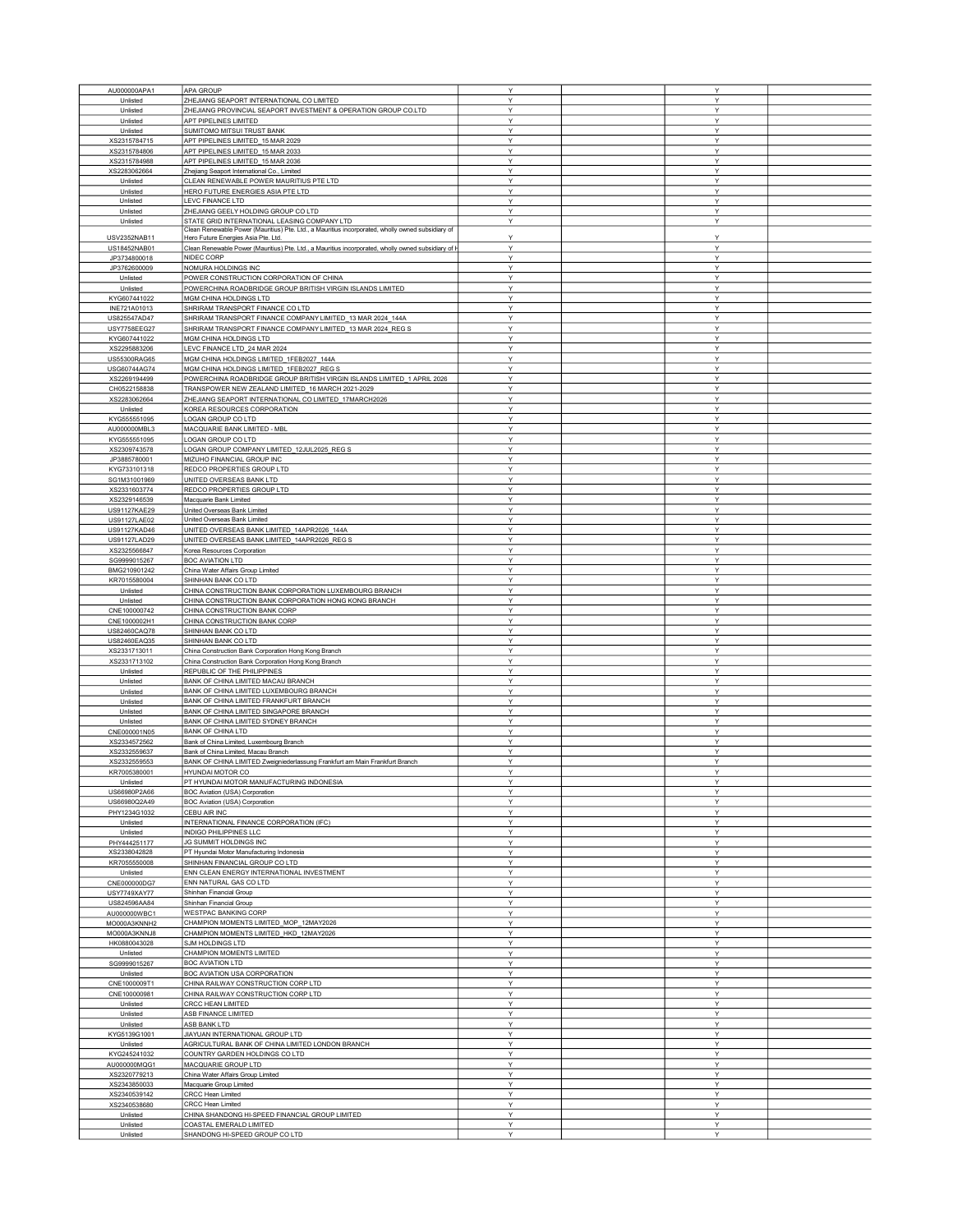| AU000000APA1        | APA GROUP                                                                                                                                | Y | Y |  |
|---------------------|------------------------------------------------------------------------------------------------------------------------------------------|---|---|--|
| Unlisted            | ZHEJIANG SEAPORT INTERNATIONAL CO LIMITED                                                                                                | Y | Υ |  |
|                     | ZHEJIANG PROVINCIAL SEAPORT INVESTMENT & OPERATION GROUP CO.LTD                                                                          | Y | Y |  |
| Unlisted            |                                                                                                                                          |   |   |  |
| Unlisted            | APT PIPELINES LIMITED                                                                                                                    | Y | Υ |  |
| Unlisted            | SUMITOMO MITSUI TRUST BANK                                                                                                               | Y | Υ |  |
| XS2315784715        | APT PIPELINES LIMITED_15 MAR 2029                                                                                                        | Y | Υ |  |
| XS2315784806        | APT PIPELINES LIMITED_15 MAR 2033                                                                                                        | Y | Υ |  |
| XS2315784988        | APT PIPELINES LIMITED_15 MAR 2036                                                                                                        | Y | Υ |  |
| XS2283062664        | Zhejiang Seaport International Co., Limited                                                                                              | Y | Y |  |
| Unlisted            | CLEAN RENEWABLE POWER MAURITIUS PTE LTD                                                                                                  | Y | Υ |  |
| Unlisted            | HERO FUTURE ENERGIES ASIA PTE LTD                                                                                                        | Υ | Υ |  |
| Unlisted            | LEVC FINANCE LTD                                                                                                                         | Y | Υ |  |
| Unlisted            | ZHEJIANG GEELY HOLDING GROUP CO LTD                                                                                                      | Y | Υ |  |
|                     |                                                                                                                                          |   |   |  |
| Unlisted            | STATE GRID INTERNATIONAL LEASING COMPANY LTD                                                                                             | Υ | Υ |  |
| USV2352NAB11        | Clean Renewable Power (Mauritius) Pte. Ltd., a Mauritius incorporated, wholly owned subsidiary of<br>Hero Future Energies Asia Pte. Ltd. | Y | Υ |  |
|                     |                                                                                                                                          |   |   |  |
| US18452NAB01        | Clean Renewable Power (Mauritius) Pte. Ltd., a Mauritius incorporated, wholly owned subsidiary of F                                      | Y | Υ |  |
| JP3734800018        | NIDEC CORP                                                                                                                               | Y | Y |  |
| JP3762600009        | NOMURA HOLDINGS INC                                                                                                                      | Y | Υ |  |
| Unlisted            | POWER CONSTRUCTION CORPORATION OF CHINA                                                                                                  | Y | Υ |  |
| Unlisted            | POWERCHINA ROADBRIDGE GROUP BRITISH VIRGIN ISLANDS LIMITED                                                                               | Y | Y |  |
| KYG607441022        | MGM CHINA HOLDINGS LTD                                                                                                                   | Y | Υ |  |
| INE721A01013        | SHRIRAM TRANSPORT FINANCE CO LTD                                                                                                         | Υ | Υ |  |
|                     |                                                                                                                                          | Y | Y |  |
| US825547AD47        | SHRIRAM TRANSPORT FINANCE COMPANY LIMITED_13 MAR 2024_144A                                                                               |   |   |  |
| <b>USY7758EEG27</b> | SHRIRAM TRANSPORT FINANCE COMPANY LIMITED_13 MAR 2024_REG S                                                                              | Y | Y |  |
| KYG607441022        | MGM CHINA HOLDINGS LTD                                                                                                                   | Y | Υ |  |
| XS2295883206        | LEVC FINANCE LTD_24 MAR 2024                                                                                                             | Y | Y |  |
| US55300RAG65        | MGM CHINA HOLDINGS LIMITED_1FEB2027_144A                                                                                                 | Y | Y |  |
| USG60744AG74        | MGM CHINA HOLDINGS LIMITED_1FEB2027_REG S                                                                                                | Υ | Υ |  |
|                     | POWERCHINA ROADBRIDGE GROUP BRITISH VIRGIN ISLANDS LIMITED_1 APRIL 2026                                                                  | Υ | Υ |  |
| XS2269194499        |                                                                                                                                          |   |   |  |
| CH0522158838        | TRANSPOWER NEW ZEALAND LIMITED_16 MARCH 2021-2029                                                                                        | Υ | Υ |  |
| XS2283062664        | ZHEJIANG SEAPORT INTERNATIONAL CO LIMITED 17MARCH2026                                                                                    | Y | Y |  |
| Unlisted            | KOREA RESOURCES CORPORATION                                                                                                              | Y | Y |  |
| KYG555551095        | LOGAN GROUP CO LTD                                                                                                                       | Υ | Υ |  |
| AU000000MBL3        | MACQUARIE BANK LIMITED - MBL                                                                                                             | Υ | Υ |  |
| KYG555551095        | LOGAN GROUP CO LTD                                                                                                                       | Y | Y |  |
| XS2309743578        | LOGAN GROUP COMPANY LIMITED_12JUL2025_REG S                                                                                              | Y | Υ |  |
|                     |                                                                                                                                          |   |   |  |
| JP3885780001        | MIZUHO FINANCIAL GROUP INC                                                                                                               | Y | Υ |  |
| KYG733101318        | REDCO PROPERTIES GROUP LTD                                                                                                               | Y | Υ |  |
| SG1M31001969        | UNITED OVERSEAS BANK LTD                                                                                                                 | Y | Y |  |
| XS2331603774        | REDCO PROPERTIES GROUP LTD                                                                                                               | Υ | Υ |  |
| XS2329146539        | Macquarie Bank Limited                                                                                                                   | Υ | Υ |  |
| US91127KAE29        | United Overseas Bank Limited                                                                                                             | Υ | Υ |  |
|                     |                                                                                                                                          |   |   |  |
| US91127LAE02        | United Overseas Bank Limited                                                                                                             | Y | Υ |  |
| US91127KAD46        | UNITED OVERSEAS BANK LIMITED 14APR2026 144A                                                                                              | Y | Υ |  |
| US91127LAD29        | UNITED OVERSEAS BANK LIMITED_14APR2026_REG S                                                                                             | Y | Υ |  |
| XS2325566847        | Korea Resources Corporation                                                                                                              | Υ | Y |  |
| SG9999015267        | <b>BOC AVIATION LTD</b>                                                                                                                  | Υ | Υ |  |
| BMG210901242        | China Water Affairs Group Limited                                                                                                        | Υ | Υ |  |
| KR7015580004        | SHINHAN BANK CO LTD                                                                                                                      | Y | Y |  |
|                     |                                                                                                                                          | Y |   |  |
| Unlisted            | CHINA CONSTRUCTION BANK CORPORATION LUXEMBOURG BRANCH                                                                                    |   | Υ |  |
| Unlisted            | CHINA CONSTRUCTION BANK CORPORATION HONG KONG BRANCH                                                                                     | Y | Υ |  |
| CNE100000742        | CHINA CONSTRUCTION BANK CORP                                                                                                             | Υ | Υ |  |
| CNE1000002H1        | CHINA CONSTRUCTION BANK CORP                                                                                                             | Υ | Υ |  |
| US82460CAQ78        | SHINHAN BANK CO LTD                                                                                                                      | Y | Y |  |
| US82460EAQ35        | SHINHAN BANK CO LTD                                                                                                                      | Υ | Υ |  |
| XS2331713011        | China Construction Bank Corporation Hong Kong Branch                                                                                     | Y | Υ |  |
|                     |                                                                                                                                          | Y | Y |  |
| XS2331713102        | China Construction Bank Corporation Hong Kong Branch                                                                                     |   |   |  |
| Unlisted            | REPUBLIC OF THE PHILIPPINES                                                                                                              | Υ | Y |  |
| Unlisted            | BANK OF CHINA LIMITED MACAU BRANCH                                                                                                       | Y | Υ |  |
| Unlisted            | BANK OF CHINA LIMITED LUXEMBOURG BRANCH                                                                                                  | Y | Y |  |
| Unlisted            | BANK OF CHINA LIMITED FRANKFURT BRANCH                                                                                                   | Υ | Y |  |
| Unlisted            | BANK OF CHINA LIMITED SINGAPORE BRANCH                                                                                                   | Y | Υ |  |
| Unlisted            | BANK OF CHINA LIMITED SYDNEY BRANCH                                                                                                      | Y | Υ |  |
| CNE000001N05        | <b>BANK OF CHINA LTD</b>                                                                                                                 | Υ | Υ |  |
|                     |                                                                                                                                          |   |   |  |
| XS2334572562        | Bank of China Limited, Luxembourg Branch                                                                                                 | Y | Y |  |
| XS2332559637        | Bank of China Limited, Macau Branch                                                                                                      | Υ | Υ |  |
| XS2332559553        | BANK OF CHINA LIMITED Zweigniederlassung Frankfurt am Main Frankfurt Branch                                                              | Y | Y |  |
| KR7005380001        | HYUNDAI MOTOR CO                                                                                                                         | Y | Y |  |
| Unlisted            | PT HYUNDAI MOTOR MANUFACTURING INDONESIA                                                                                                 |   |   |  |
| US66980P2A66        | BOC Aviation (USA) Corporation                                                                                                           | Υ | Υ |  |
| US66980Q2A49        | BOC Aviation (USA) Corporation                                                                                                           | Y | Υ |  |
| PHY1234G1032        | CEBU AIR INC                                                                                                                             | Υ | Υ |  |
| Unlisted            | INTERNATIONAL FINANCE CORPORATION (IFC)                                                                                                  | Y | Y |  |
|                     |                                                                                                                                          |   |   |  |
| Unlisted            | INDIGO PHILIPPINES LLC                                                                                                                   | Y | Υ |  |
| PHY444251177        | JG SUMMIT HOLDINGS INC                                                                                                                   | Y | Υ |  |
| XS2338042828        | PT Hyundai Motor Manufacturing Indonesia                                                                                                 | Y | Y |  |
| KR7055550008        | SHINHAN FINANCIAL GROUP CO LTD                                                                                                           | Υ | Υ |  |
| Unlisted            | ENN CLEAN ENERGY INTERNATIONAL INVESTMENT                                                                                                | Υ | Υ |  |
| CNE000000DG7        | ENN NATURAL GAS CO LTD                                                                                                                   | Υ | Υ |  |
| USY7749XAY77        | Shinhan Financial Group                                                                                                                  | Y | Υ |  |
|                     |                                                                                                                                          |   |   |  |
| US824596AA84        | Shinhan Financial Group                                                                                                                  | Y | Υ |  |
| AU000000WBC1        | <b>WESTPAC BANKING CORP</b>                                                                                                              | Y | Y |  |
| MO000A3KNNH2        | CHAMPION MOMENTS LIMITED_MOP_12MAY2026                                                                                                   | Y | Υ |  |
| MO000A3KNNJ8        | CHAMPION MOMENTS LIMITED_HKD_12MAY2026                                                                                                   | Υ | Υ |  |
| HK0880043028        | SJM HOLDINGS LTD                                                                                                                         | Y | Y |  |
| Unlisted            | CHAMPION MOMENTS LIMITED                                                                                                                 | Υ | Υ |  |
| SG9999015267        | <b>BOC AVIATION LTD</b>                                                                                                                  | Y | Υ |  |
|                     | BOC AVIATION USA CORPORATION                                                                                                             | Y |   |  |
| Unlisted            |                                                                                                                                          |   | Υ |  |
| CNE1000009T1        | CHINA RAILWAY CONSTRUCTION CORP LTD                                                                                                      | Y | Y |  |
| CNE100000981        | CHINA RAILWAY CONSTRUCTION CORP LTD                                                                                                      | Υ | Υ |  |
| Unlisted            | CRCC HEAN LIMITED                                                                                                                        | Υ | Υ |  |
| Unlisted            | ASB FINANCE LIMITED                                                                                                                      | Υ | Υ |  |
| Unlisted            | ASB BANK LTD                                                                                                                             | Y | Υ |  |
| KYG5139G1001        | JIAYUAN INTERNATIONAL GROUP LTD                                                                                                          | Y | Υ |  |
|                     | AGRICULTURAL BANK OF CHINA LIMITED LONDON BRANCH                                                                                         |   |   |  |
| Unlisted            |                                                                                                                                          | Y | Υ |  |
| KYG245241032        | COUNTRY GARDEN HOLDINGS CO LTD                                                                                                           | Υ | Υ |  |
| AU000000MQG1        | MACQUARIE GROUP LTD                                                                                                                      | Υ | Υ |  |
| XS2320779213        | China Water Affairs Group Limited                                                                                                        | Υ | Υ |  |
| XS2343850033        | Macquarie Group Limited                                                                                                                  | Y | Υ |  |
| XS2340539142        | CRCC Hean Limited                                                                                                                        | Y | Υ |  |
| XS2340538680        | CRCC Hean Limited                                                                                                                        | Y | Υ |  |
| Unlisted            | CHINA SHANDONG HI-SPEED FINANCIAL GROUP LIMITED                                                                                          | Υ | Υ |  |
| Unlisted            | COASTAL EMERALD LIMITED                                                                                                                  | Y | Y |  |
| Unlisted            | SHANDONG HI-SPEED GROUP CO LTD                                                                                                           | Y | Y |  |
|                     |                                                                                                                                          |   |   |  |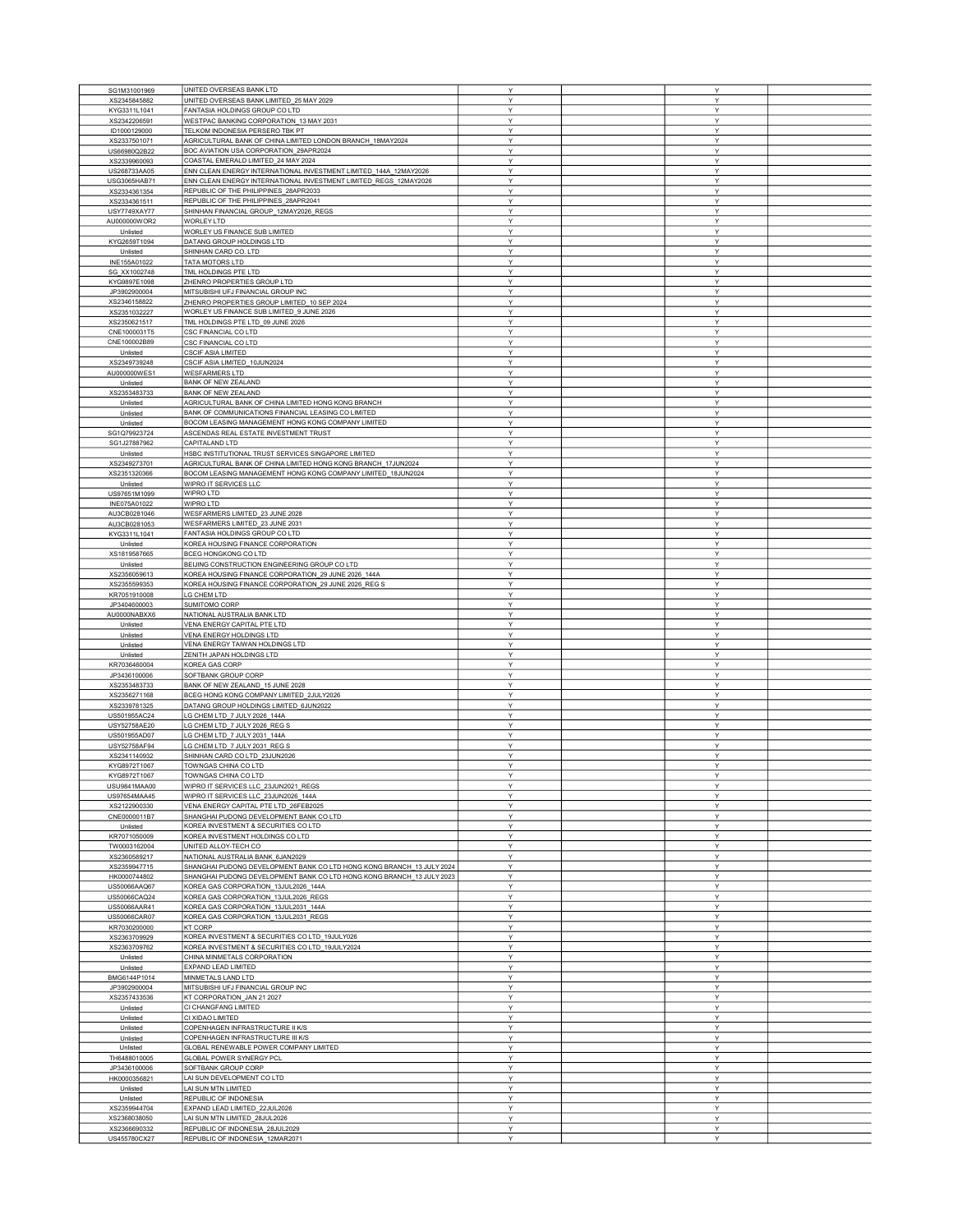|                              | UNITED OVERSEAS BANK LTD                                              | Υ      | Y      |  |
|------------------------------|-----------------------------------------------------------------------|--------|--------|--|
| SG1M31001969                 | UNITED OVERSEAS BANK LIMITED_25 MAY 2029                              | Υ      | Y      |  |
| XS2345845882                 | FANTASIA HOLDINGS GROUP CO LTD                                        | Υ      | Υ      |  |
| KYG3311L1041                 |                                                                       |        |        |  |
| XS2342206591                 | WESTPAC BANKING CORPORATION_13 MAY 2031                               | Y      | Y      |  |
| ID1000129000                 | TELKOM INDONESIA PERSERO TBK PT                                       | Υ      | Υ      |  |
| XS2337501071                 | AGRICULTURAL BANK OF CHINA LIMITED LONDON BRANCH 18MAY2024            | Y      | Υ      |  |
| US66980Q2B22                 | BOC AVIATION USA CORPORATION_29APR2024                                | Y      | Υ      |  |
| XS2339960093                 | COASTAL EMERALD LIMITED_24 MAY 2024                                   | Υ      | Υ      |  |
| US268733AA05                 | ENN CLEAN ENERGY INTERNATIONAL INVESTMENT LIMITED 144A 12MAY2026      | Υ      | Y      |  |
| USG3065HAB71                 | ENN CLEAN ENERGY INTERNATIONAL INVESTMENT LIMITED_REGS_12MAY2026      | Y      | Y      |  |
| XS2334361354                 | REPUBLIC OF THE PHILIPPINES_28APR2033                                 | Y      | Υ      |  |
| XS2334361511                 | REPUBLIC OF THE PHILIPPINES_28APR2041                                 | Y      | Υ      |  |
|                              |                                                                       |        |        |  |
| USY7749XAY77                 | SHINHAN FINANCIAL GROUP_12MAY2026_REGS                                | Υ      | Υ      |  |
| AU000000WOR2                 | <b>WORLEY LTD</b>                                                     | Υ      | Υ      |  |
| Unlisted                     | WORLEY US FINANCE SUB LIMITED                                         | Υ      | Y      |  |
| KYG2659T1094                 | DATANG GROUP HOLDINGS LTD                                             | Υ      | Y      |  |
| Unlisted                     | SHINHAN CARD CO. LTD                                                  | Υ      | Υ      |  |
| INE155A01022                 | TATA MOTORS LTD                                                       | Υ      | Υ      |  |
|                              |                                                                       |        |        |  |
| SG_XX1002748                 | TML HOLDINGS PTE LTD                                                  | Y      | Y      |  |
| KYG9897E1098                 | ZHENRO PROPERTIES GROUP LTD                                           | Υ      | Υ      |  |
| JP3902900004                 | MITSUBISHI UFJ FINANCIAL GROUP INC                                    | Υ      | Y      |  |
| XS2346158822                 | ZHENRO PROPERTIES GROUP LIMITED_10 SEP 2024                           | Y      | Y      |  |
| XS2351032227                 | WORLEY US FINANCE SUB LIMITED_9 JUNE 2026                             | Y      | Y      |  |
| XS2350621517                 | TML HOLDINGS PTE LTD_09 JUNE 2026                                     | Y      | Υ      |  |
|                              |                                                                       |        |        |  |
| CNE1000031T5                 | CSC FINANCIAL CO LTD                                                  | Υ      | Υ      |  |
| CNE100002B89                 | CSC FINANCIAL CO LTD                                                  | Υ      | Υ      |  |
| Unlisted                     | CSCIF ASIA LIMITED                                                    | Υ      | Y      |  |
| XS2349739248                 | CSCIF ASIA LIMITED_10JUN2024                                          | Υ      | Υ      |  |
| AU000000WES1                 | <b>WESFARMERS LTD</b>                                                 | Y      | Y      |  |
|                              |                                                                       |        |        |  |
| Unlisted                     | BANK OF NEW ZEALAND                                                   | Υ      | Υ      |  |
| XS2353483733                 | <b>BANK OF NEW ZEALAND</b>                                            | Y      | Υ      |  |
| Unlisted                     | AGRICULTURAL BANK OF CHINA LIMITED HONG KONG BRANCH                   | Υ      | Υ      |  |
| Unlisted                     | BANK OF COMMUNICATIONS FINANCIAL LEASING CO LIMITED                   | Y      | Υ      |  |
| Unlisted                     | BOCOM LEASING MANAGEMENT HONG KONG COMPANY LIMITED                    | Υ      | Y      |  |
|                              |                                                                       | Y      |        |  |
| SG1Q79923724                 | ASCENDAS REAL ESTATE INVESTMENT TRUST                                 |        | Y      |  |
| SG1J27887962                 | CAPITALAND LTD                                                        | Y      | Υ      |  |
| Unlisted                     | HSBC INSTITUTIONAL TRUST SERVICES SINGAPORE LIMITED                   | Υ      | Υ      |  |
| XS2349273701                 | AGRICULTURAL BANK OF CHINA LIMITED HONG KONG BRANCH_17JUN2024         | Y      | Y      |  |
| XS2351320366                 | BOCOM LEASING MANAGEMENT HONG KONG COMPANY LIMITED_18JUN2024          | Υ      | Υ      |  |
|                              |                                                                       |        |        |  |
| Unlisted                     | WIPRO IT SERVICES LLC                                                 | Υ      | Y      |  |
| US97651M1099                 | WIPRO LTD                                                             | Υ      | Y      |  |
| INE075A01022                 | WIPRO LTD                                                             | Υ      | Υ      |  |
| AU3CB0281046                 | WESFARMERS LIMITED_23 JUNE 2028                                       | Υ      | Υ      |  |
|                              | WESFARMERS LIMITED_23 JUNE 2031                                       | Y      | Y      |  |
| AU3CB0281053                 |                                                                       |        |        |  |
| KYG3311L1041                 | FANTASIA HOLDINGS GROUP CO LTD                                        | Υ      | Υ      |  |
| Unlisted                     | KOREA HOUSING FINANCE CORPORATION                                     | Υ      | Y      |  |
| XS1819587665                 | BCEG HONGKONG CO LTD                                                  | Y      | Y      |  |
| Unlisted                     | BEIJING CONSTRUCTION ENGINEERING GROUP CO LTD                         | Y      | Y      |  |
|                              |                                                                       |        |        |  |
| XS2356059613                 | KOREA HOUSING FINANCE CORPORATION_29 JUNE 2026_144A                   | Y      | Υ      |  |
| XS2355599353                 | KOREA HOUSING FINANCE CORPORATION_29 JUNE 2026_REG S                  | Y      | Υ      |  |
| KR7051910008                 | LG CHEM LTD                                                           | Υ      | Υ      |  |
| JP3404600003                 | SUMITOMO CORP                                                         | Υ      | Y      |  |
| AU0000NABXX6                 | NATIONAL AUSTRALIA BANK LTD                                           | Υ      | Υ      |  |
|                              |                                                                       |        |        |  |
| Unlisted                     | VENA ENERGY CAPITAL PTE LTD                                           | Υ      | Y      |  |
| Unlisted                     | VENA ENERGY HOLDINGS LTD                                              | Υ      | Y      |  |
| Unlisted                     | VENA ENERGY TAIWAN HOLDINGS LTD                                       | Υ      | Υ      |  |
| Unlisted                     | ZENITH JAPAN HOLDINGS LTD                                             | Υ      | Y      |  |
| KR7036460004                 | KOREA GAS CORP                                                        | Y      | Υ      |  |
|                              |                                                                       |        |        |  |
| JP3436100006                 | SOFTBANK GROUP CORP                                                   | Υ      | Υ      |  |
| XS2353483733                 | BANK OF NEW ZEALAND_15 JUNE 2028                                      | Y      | Υ      |  |
| XS2356271168                 | BCEG HONG KONG COMPANY LIMITED_2JULY2026                              | Υ      | Υ      |  |
| XS2339781325                 | DATANG GROUP HOLDINGS LIMITED 6JUN2022                                | Υ      | Y      |  |
| US501955AC24                 | LG CHEM LTD 7 JULY 2026 144A                                          | Y      | Y      |  |
|                              |                                                                       |        |        |  |
| USY52758AE20                 | LG CHEM LTD_7 JULY 2026_REG S                                         | Υ      | Υ      |  |
| US501955AD07                 | LG CHEM LTD_7 JULY 2031_144A                                          | Υ      | Υ      |  |
| USY52758AF94                 | LG CHEM LTD_7 JULY 2031_REG S                                         | Y      | Υ      |  |
| XS2341140932                 | SHINHAN CARD CO LTD_23JUN2026                                         | Υ      | Y      |  |
| KYG8972T1067                 | TOWNGAS CHINA CO LTD                                                  | Υ      | Υ      |  |
|                              |                                                                       |        |        |  |
| KYG8972T1067                 | TOWNGAS CHINA CO LTD                                                  | Y      | Y      |  |
| USU9841MAA00                 | WIPRO IT SERVICES LLC_23JUN2021_REGS                                  | Υ      | Y      |  |
| US97654MAA45                 | WIPRO IT SERVICES LLC_23JUN2026_144A                                  | Υ      | Y      |  |
| XS2122900330                 | VENA ENERGY CAPITAL PTE LTD 26FEB2025                                 | Y      | Y      |  |
| CNE0000011B7                 | SHANGHAI PUDONG DEVELOPMENT BANK CO LTD                               | Y      |        |  |
| Unlisted                     |                                                                       |        | Y      |  |
|                              |                                                                       |        |        |  |
| KR7071050009                 | KOREA INVESTMENT & SECURITIES CO LTD                                  | Y      | Y      |  |
| TW0003162004                 | KOREA INVESTMENT HOLDINGS CO LTD                                      | Υ      | Υ      |  |
| XS2360589217                 | UNITED ALLOY-TECH CO                                                  | Υ      | Υ      |  |
|                              | NATIONAL AUSTRALIA BANK_6JAN2029                                      | Υ      | Υ      |  |
| XS2359947715                 |                                                                       |        |        |  |
|                              | SHANGHAI PUDONG DEVELOPMENT BANK CO LTD HONG KONG BRANCH 13 JULY 2024 | Υ      | Y      |  |
| HK0000744802                 | SHANGHAI PUDONG DEVELOPMENT BANK CO LTD HONG KONG BRANCH 13 JULY 2023 | Υ      | Y      |  |
| US50066AAQ67                 | KOREA GAS CORPORATION_13JUL2026_144A                                  | Υ      | Y      |  |
| US50066CAQ24                 | KOREA GAS CORPORATION_13JUL2026_REGS                                  | Υ      | Υ      |  |
|                              |                                                                       | Υ      | Y      |  |
| US50066AAR41                 | KOREA GAS CORPORATION_13JUL2031_144A                                  |        |        |  |
| US50066CAR07                 | KOREA GAS CORPORATION_13JUL2031_REGS                                  | Υ      | Υ      |  |
| KR7030200000                 | <b>KT CORP</b>                                                        | Υ      | Υ      |  |
| XS2363709929                 | KOREA INVESTMENT & SECURITIES CO LTD_19JULY026                        | Υ      | Y      |  |
| XS2363709762                 | KOREA INVESTMENT & SECURITIES CO LTD_19JULY2024                       | Y      | Υ      |  |
| Unlisted                     | CHINA MINMETALS CORPORATION                                           | Y      | Y      |  |
|                              |                                                                       |        |        |  |
| Unlisted                     | EXPAND LEAD LIMITED                                                   | Y      | Y      |  |
| BMG6144P1014                 | MINMETALS LAND LTD                                                    | Υ      | Υ      |  |
| JP3902900004                 | MITSUBISHI UFJ FINANCIAL GROUP INC                                    | Υ      | Υ      |  |
| XS2357433536                 | KT CORPORATION_JAN 21 2027                                            | Y      | Y      |  |
|                              |                                                                       |        | Y      |  |
| Unlisted                     | CI CHANGFANG LIMITED                                                  | Υ      |        |  |
| Unlisted                     | CI XIDAO LIMITED                                                      | Υ      | Υ      |  |
| Unlisted                     | COPENHAGEN INFRASTRUCTURE II K/S                                      | Y      | Y      |  |
| Unlisted                     | COPENHAGEN INFRASTRUCTURE III K/S                                     | Y      | Υ      |  |
| Unlisted                     | GLOBAL RENEWABLE POWER COMPANY LIMITED                                | Υ      | Υ      |  |
|                              |                                                                       |        |        |  |
| TH6488010005                 | GLOBAL POWER SYNERGY PCL                                              | Y      | Y      |  |
| JP3436100006                 | SOFTBANK GROUP CORP                                                   | Υ      | Υ      |  |
| HK0000356821                 | LAI SUN DEVELOPMENT CO LTD                                            | Y      | Y      |  |
| Unlisted                     | LAI SUN MTN LIMITED                                                   | Υ      | Y      |  |
| Unlisted                     |                                                                       | Y      | Y      |  |
|                              | REPUBLIC OF INDONESIA                                                 |        |        |  |
| XS2359944704                 | EXPAND LEAD LIMITED_22JUL2026                                         | Υ      | Y      |  |
| XS2368038050                 | LAI SUN MTN LIMITED 28JUL2026                                         | Υ      | Υ      |  |
| XS2366690332<br>US455780CX27 | REPUBLIC OF INDONESIA_28JUL2029<br>REPUBLIC OF INDONESIA_12MAR2071    | Y<br>Υ | Y<br>Υ |  |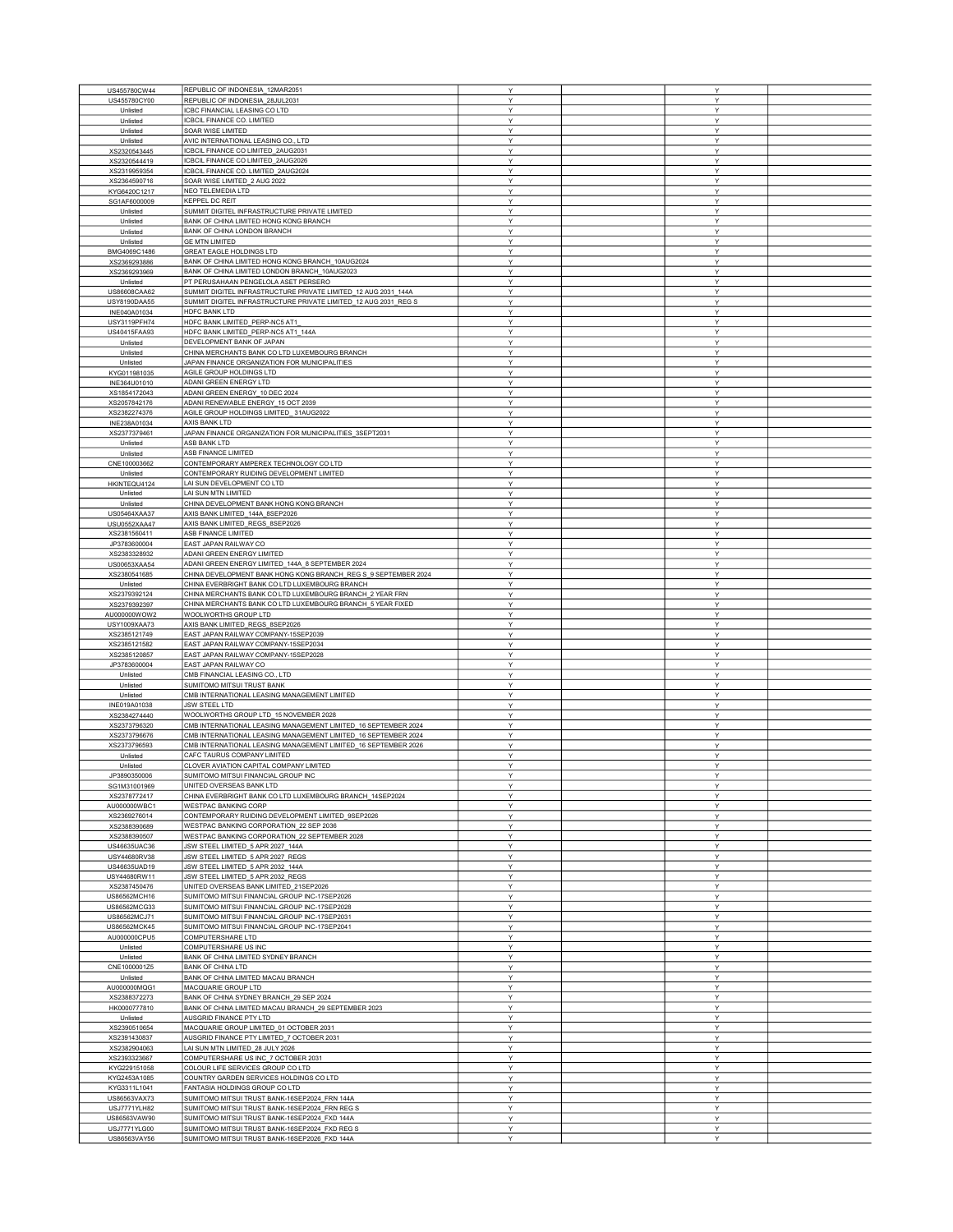| US455780CW44 | REPUBLIC OF INDONESIA_12MAR2051                                                              | Υ            | Y |  |
|--------------|----------------------------------------------------------------------------------------------|--------------|---|--|
| US455780CY00 | REPUBLIC OF INDONESIA_28JUL2031                                                              | Υ            | Y |  |
| Unlisted     | ICBC FINANCIAL LEASING CO LTD                                                                | Υ            | Y |  |
| Unlisted     | ICBCIL FINANCE CO. LIMITED                                                                   | Υ            | Υ |  |
| Unlisted     | SOAR WISE LIMITED                                                                            | Y            | Y |  |
|              | AVIC INTERNATIONAL LEASING CO., LTD                                                          | Y            | Y |  |
| Unlisted     |                                                                                              | Υ            | Υ |  |
| XS2320543445 | ICBCIL FINANCE CO LIMITED_2AUG2031<br>ICBCIL FINANCE CO LIMITED 2AUG2026                     |              |   |  |
| XS2320544419 |                                                                                              | Υ            | Y |  |
| XS2319959354 | CBCIL FINANCE CO. LIMITED_2AUG2024                                                           | Y            | Y |  |
| XS2364590716 | SOAR WISE LIMITED_2 AUG 2022                                                                 | Υ            | Y |  |
| KYG6420C1217 | NEO TELEMEDIA LTD                                                                            | Y            | Υ |  |
| SG1AF6000009 | <b>KEPPEL DC REIT</b>                                                                        | Y            | Υ |  |
| Unlisted     | SUMMIT DIGITEL INFRASTRUCTURE PRIVATE LIMITED                                                | Υ            | Υ |  |
| Unlisted     | BANK OF CHINA LIMITED HONG KONG BRANCH                                                       | Υ            | Υ |  |
| Unlisted     | BANK OF CHINA LONDON BRANCH                                                                  | Y            | Y |  |
| Unlisted     | <b>GE MTN LIMITED</b>                                                                        | Υ            | Y |  |
| BMG4069C1486 | <b>GREAT EAGLE HOLDINGS LTD</b>                                                              | Υ            | Υ |  |
| XS2369293886 | BANK OF CHINA LIMITED HONG KONG BRANCH_10AUG2024                                             | Υ            | Υ |  |
| XS2369293969 | BANK OF CHINA LIMITED LONDON BRANCH_10AUG2023                                                | Y            | Y |  |
| Unlisted     | PT PERUSAHAAN PENGELOLA ASET PERSERO                                                         | Υ            | Y |  |
| US86608CAA62 | SUMMIT DIGITEL INFRASTRUCTURE PRIVATE LIMITED_12 AUG 2031_144A                               | Y            | Υ |  |
| USY8190DAA55 | SUMMIT DIGITEL INFRASTRUCTURE PRIVATE LIMITED_12 AUG 2031_REG S                              | Y            | Y |  |
| INE040A01034 | HDFC BANK LTD                                                                                | Y            | Y |  |
| USY3119PFH74 | HDFC BANK LIMITED_PERP-NC5 AT1                                                               | Υ            | Υ |  |
| US40415FAA93 | HDFC BANK LIMITED_PERP-NC5 AT1_144A                                                          | Y            | Υ |  |
| Unlisted     | DEVELOPMENT BANK OF JAPAN                                                                    | Υ            | Y |  |
| Unlisted     | CHINA MERCHANTS BANK CO LTD LUXEMBOURG BRANCH                                                | Υ            | Y |  |
| Unlisted     | JAPAN FINANCE ORGANIZATION FOR MUNICIPALITIES                                                | Υ            | Y |  |
| KYG011981035 | AGILE GROUP HOLDINGS LTD                                                                     | Υ            | Υ |  |
| INE364U01010 | ADANI GREEN ENERGY LTD                                                                       | Y            | Υ |  |
|              | ADANI GREEN ENERGY_10 DEC 2024                                                               | Υ            | Y |  |
| XS1854172043 | ADANI RENEWABLE ENERGY 15 OCT 2039                                                           | Υ            | Υ |  |
| XS2057842176 |                                                                                              |              |   |  |
| XS2382274376 | AGILE GROUP HOLDINGS LIMITED_31AUG2022                                                       | Y            | Y |  |
| INE238A01034 | AXIS BANK LTD                                                                                | Y            | Y |  |
| XS2377379461 | JAPAN FINANCE ORGANIZATION FOR MUNICIPALITIES_3SEPT2031                                      | Υ            | Y |  |
| Unlisted     | ASB BANK LTD                                                                                 | Υ            | Υ |  |
| Unlisted     | ASB FINANCE LIMITED                                                                          | Y            | Y |  |
| CNE100003662 | CONTEMPORARY AMPEREX TECHNOLOGY CO LTD                                                       | Υ            | Υ |  |
| Unlisted     | CONTEMPORARY RUIDING DEVELOPMENT LIMITED                                                     | Y            | Υ |  |
| HKINTEQU4124 | LAI SUN DEVELOPMENT CO LTD                                                                   | Y            | Y |  |
| Unlisted     | LAI SUN MTN LIMITED                                                                          | Υ            | Υ |  |
| Unlisted     | CHINA DEVELOPMENT BANK HONG KONG BRANCH                                                      | Υ            | Y |  |
| US05464XAA37 | AXIS BANK LIMITED 144A 8SEP2026                                                              | Υ            | Υ |  |
| USU0552XAA47 | AXIS BANK LIMITED_REGS_8SEP2026                                                              | Υ            | Y |  |
| XS2381560411 | ASB FINANCE LIMITED                                                                          | Υ            | Y |  |
| JP3783600004 | EAST JAPAN RAILWAY CO                                                                        | Υ            | Y |  |
|              | ADANI GREEN ENERGY LIMITED                                                                   | Y            | Y |  |
| XS2383328932 |                                                                                              |              |   |  |
| US00653XAA54 | ADANI GREEN ENERGY LIMITED_144A_8 SEPTEMBER 2024                                             | Y            | Υ |  |
| XS2380541685 | CHINA DEVELOPMENT BANK HONG KONG BRANCH_REG S_9 SEPTEMBER 2024                               | Υ            | Υ |  |
| Unlisted     | CHINA EVERBRIGHT BANK CO LTD LUXEMBOURG BRANCH                                               | Y            | Y |  |
| XS2379392124 | CHINA MERCHANTS BANK CO LTD LUXEMBOURG BRANCH_2 YEAR FRN                                     | Υ            | Y |  |
| XS2379392397 | CHINA MERCHANTS BANK CO LTD LUXEMBOURG BRANCH_5 YEAR FIXED                                   | Υ            | Y |  |
| AU000000WOW2 | WOOLWORTHS GROUP LTD                                                                         | Υ            | Y |  |
| USY1009XAA73 | AXIS BANK LIMITED_REGS_8SEP2026                                                              | Υ            | Υ |  |
| XS2385121749 | EAST JAPAN RAILWAY COMPANY-15SEP2039                                                         | Y            | Υ |  |
| XS2385121582 | EAST JAPAN RAILWAY COMPANY-15SEP2034                                                         | Υ            | Y |  |
| XS2385120857 | EAST JAPAN RAILWAY COMPANY-15SEP2028                                                         | Υ            | Υ |  |
| JP3783600004 | EAST JAPAN RAILWAY CO                                                                        | Y            | Y |  |
| Unlisted     | CMB FINANCIAL LEASING CO., LTD                                                               | Y            | Y |  |
| Unlisted     | SUMITOMO MITSUI TRUST BANK                                                                   | Υ            | Υ |  |
| Unlisted     | CMB INTERNATIONAL LEASING MANAGEMENT LIMITED                                                 | Υ            | Υ |  |
| INE019A01038 | <b>JSW STEEL LTD</b>                                                                         | Y            | Y |  |
| XS2384274440 | WOOLWORTHS GROUP LTD_15 NOVEMBER 2028                                                        | Υ            | Υ |  |
| XS2373796320 | CMB INTERNATIONAL LEASING MANAGEMENT LIMITED 16 SEPTEMBER 2024                               | Υ            | Υ |  |
| XS2373796676 | CMB INTERNATIONAL LEASING MANAGEMENT LIMITED 16 SEPTEMBER 2024                               | Y            | Y |  |
| XS2373796593 | CMB INTERNATIONAL LEASING MANAGEMENT LIMITED_16 SEPTEMBER 2026                               | Υ            | Y |  |
| Unlisted     | CAFC TAURUS COMPANY LIMITED                                                                  | Υ            | Y |  |
| Unlisted     | CLOVER AVIATION CAPITAL COMPANY LIMITED                                                      | Υ            | Y |  |
| JP3890350006 | SUMITOMO MITSUI FINANCIAL GROUP INC                                                          | v            | v |  |
|              |                                                                                              | Υ            | Y |  |
| SG1M31001969 | UNITED OVERSEAS BANK LTD                                                                     | Y            |   |  |
| XS2378772417 | CHINA EVERBRIGHT BANK CO LTD LUXEMBOURG BRANCH_14SEP2024                                     |              | Y |  |
| AU000000WBC1 | WESTPAC BANKING CORP                                                                         | Y            | Y |  |
| XS2369276014 | CONTEMPORARY RUIDING DEVELOPMENT LIMITED_9SEP2026<br>WESTPAC BANKING CORPORATION 22 SEP 2036 | Y            | Y |  |
| XS2388390689 |                                                                                              | Υ            | Υ |  |
| XS2388390507 | WESTPAC BANKING CORPORATION_22 SEPTEMBER 2028                                                | Y            | Υ |  |
| US46635UAC36 | JSW STEEL LIMITED 5 APR 2027 144A                                                            | Υ            | Y |  |
| USY44680RV38 | JSW STEEL LIMITED 5 APR 2027 REGS                                                            | Y            | Υ |  |
| US46635UAD19 | JSW STEEL LIMITED_5 APR 2032_144A                                                            | Y            | Y |  |
| USY44680RW11 | JSW STEEL LIMITED_5 APR 2032_REGS                                                            | Υ            | Y |  |
| XS2387450476 | UNITED OVERSEAS BANK LIMITED 21SEP2026                                                       | Υ            | Υ |  |
| US86562MCH16 | SUMITOMO MITSUI FINANCIAL GROUP INC-17SEP2026                                                | Υ            | Υ |  |
| US86562MCG33 | SUMITOMO MITSUI FINANCIAL GROUP INC-17SEP2028                                                | Υ            | Υ |  |
| US86562MCJ71 | SUMITOMO MITSUI FINANCIAL GROUP INC-17SEP2031                                                | Y            | Y |  |
| US86562MCK45 | SUMITOMO MITSUI FINANCIAL GROUP INC-17SEP2041                                                | Υ            | Y |  |
| AU000000CPU5 | COMPUTERSHARE LTD                                                                            | Υ            | Υ |  |
| Unlisted     | COMPUTERSHARE US INC                                                                         | Υ            | Y |  |
| Unlisted     | BANK OF CHINA LIMITED SYDNEY BRANCH                                                          | Y            | Y |  |
| CNE1000001Z5 | <b>BANK OF CHINA LTD</b>                                                                     | Υ            | Υ |  |
| Unlisted     | BANK OF CHINA LIMITED MACAU BRANCH                                                           | Υ            | Υ |  |
| AU000000MQG1 | MACQUARIE GROUP LTD                                                                          | Y            | Y |  |
| XS2388372273 | BANK OF CHINA SYDNEY BRANCH_29 SEP 2024                                                      | Υ            | Y |  |
| HK0000777810 | BANK OF CHINA LIMITED MACAU BRANCH_29 SEPTEMBER 2023                                         | Υ            | Υ |  |
| Unlisted     | AUSGRID FINANCE PTY LTD                                                                      | Υ            | Υ |  |
| XS2390510654 | MACQUARIE GROUP LIMITED_01 OCTOBER 2031                                                      | Υ            | Y |  |
| XS2391430837 | AUSGRID FINANCE PTY LIMITED_7 OCTOBER 2031                                                   | Υ            | Y |  |
| XS2382904063 | LAI SUN MTN LIMITED_28 JULY 2026                                                             | Y            | Υ |  |
|              |                                                                                              |              |   |  |
| XS2393323667 | COMPUTERSHARE US INC_7 OCTOBER 2031                                                          | Y            | Y |  |
| KYG229151058 | COLOUR LIFE SERVICES GROUP CO LTD                                                            | Y            | Y |  |
| KYG2453A1085 | COUNTRY GARDEN SERVICES HOLDINGS CO LTD                                                      | Υ            | Υ |  |
| KYG3311L1041 | FANTASIA HOLDINGS GROUP CO LTD                                                               | Υ            | Υ |  |
| US86563VAX73 | SUMITOMO MITSUI TRUST BANK-16SEP2024_FRN 144A                                                | Y            | Y |  |
| USJ7771YLH82 | SUMITOMO MITSUI TRUST BANK-16SEP2024 FRN REG S                                               | $\mathsf{Y}$ | Y |  |
| US86563VAW90 | SUMITOMO MITSUI TRUST BANK-16SEP2024_FXD 144A                                                | Y            | Y |  |
| USJ7771YLG00 | SUMITOMO MITSUI TRUST BANK-16SEP2024_FXD REG S                                               | Υ            | Y |  |
| US86563VAY56 | SUMITOMO MITSUI TRUST BANK-16SEP2026_FXD 144A                                                | $\mathsf{Y}$ | Y |  |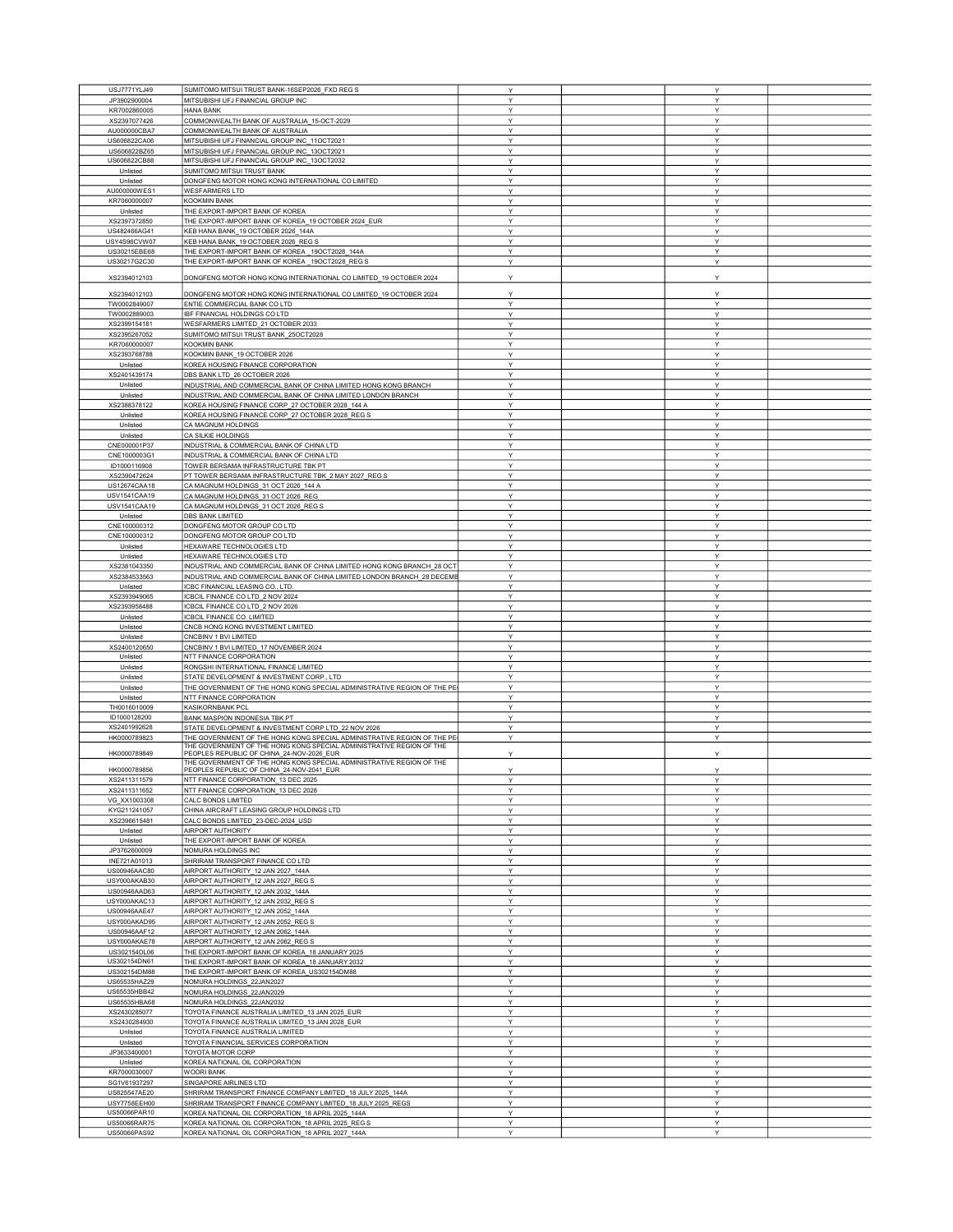| USJ7771YLJ49<br>JP3902900004 |                                                                                                         |        |        |  |
|------------------------------|---------------------------------------------------------------------------------------------------------|--------|--------|--|
|                              | SUMITOMO MITSUI TRUST BANK-16SEP2026_FXD REG S                                                          | Y      | Υ      |  |
|                              | MITSUBISHI UFJ FINANCIAL GROUP INC                                                                      | Y      | Y      |  |
| KR7002860005                 | <b>HANA BANK</b>                                                                                        | Y      | Υ      |  |
| XS2397077426                 | COMMONWEALTH BANK OF AUSTRALIA_15-OCT-2029                                                              | Y      | Y      |  |
| AU000000CBA7                 | COMMONWEALTH BANK OF AUSTRALIA                                                                          | Y      | Υ      |  |
|                              |                                                                                                         |        |        |  |
| US606822CA06                 | MITSUBISHI UFJ FINANCIAL GROUP INC_11OCT2021                                                            | Υ      | Υ      |  |
| US606822BZ65                 | MITSUBISHI UFJ FINANCIAL GROUP INC_13OCT2021                                                            | Υ      | Υ      |  |
| US606822CB88                 | MITSUBISHI UFJ FINANCIAL GROUP INC_13OCT2032                                                            | Y      | Y      |  |
| Unlisted                     | SUMITOMO MITSUI TRUST BANK                                                                              | Y      | Υ      |  |
|                              |                                                                                                         |        |        |  |
| Unlisted                     | DONGFENG MOTOR HONG KONG INTERNATIONAL CO LIMITED                                                       | Y      | Y      |  |
| AU000000WES1                 | <b>WESFARMERS LTD</b>                                                                                   | Υ      | Υ      |  |
| KR7060000007                 | <b>KOOKMIN BANK</b>                                                                                     | Y      | Υ      |  |
|                              |                                                                                                         |        |        |  |
| Unlisted                     | THE EXPORT-IMPORT BANK OF KOREA                                                                         | Y      | Y      |  |
| XS2397372850                 | THE EXPORT-IMPORT BANK OF KOREA_19 OCTOBER 2024_EUR                                                     | Υ      | Υ      |  |
|                              |                                                                                                         | Y      |        |  |
| US482466AG41                 | KEB HANA BANK_19 OCTOBER 2026_144A                                                                      |        | Υ      |  |
| USY4S96CVW07                 | KEB HANA BANK_19 OCTOBER 2026_REG S                                                                     | Y      | Y      |  |
| US30215EBE68                 | THE EXPORT-IMPORT BANK OF KOREA_19OCT2028_144A                                                          | Υ      | Y      |  |
| US30217G2C30                 | THE EXPORT-IMPORT BANK OF KOREA_19OCT2028_REG S                                                         | Υ      | Υ      |  |
|                              |                                                                                                         |        |        |  |
|                              |                                                                                                         | Y      | Υ      |  |
| XS2394012103                 | DONGFENG MOTOR HONG KONG INTERNATIONAL CO LIMITED_19 OCTOBER 2024                                       |        |        |  |
|                              |                                                                                                         |        |        |  |
| XS2394012103                 | DONGFENG MOTOR HONG KONG INTERNATIONAL CO LIMITED_19 OCTOBER 2024                                       | Y      | Y      |  |
| TW0002849007                 | ENTIE COMMERCIAL BANK CO LTD                                                                            | Y      | Υ      |  |
| TW0002889003                 | IBF FINANCIAL HOLDINGS CO LTD                                                                           | Y      | Υ      |  |
|                              |                                                                                                         | Y      |        |  |
| XS2399154181                 | WESFARMERS LIMITED_21 OCTOBER 2033                                                                      |        | Y      |  |
| XS2395267052                 | SUMITOMO MITSUI TRUST BANK_25OCT2028                                                                    | Y      | Υ      |  |
| KR7060000007                 | <b>KOOKMIN BANK</b>                                                                                     | Y      | Υ      |  |
|                              |                                                                                                         |        |        |  |
| XS2393768788                 | KOOKMIN BANK_19 OCTOBER 2026                                                                            | Y      | Y      |  |
| Unlisted                     | KOREA HOUSING FINANCE CORPORATION                                                                       | Υ      | Υ      |  |
| XS2401439174                 | DBS BANK LTD_26 OCTOBER 2026                                                                            | Y      | Y      |  |
|                              |                                                                                                         |        |        |  |
| Unlisted                     | INDUSTRIAL AND COMMERCIAL BANK OF CHINA LIMITED HONG KONG BRANCH                                        | Y      | Y      |  |
| Unlisted                     | INDUSTRIAL AND COMMERCIAL BANK OF CHINA LIMITED LONDON BRANCH                                           | Y      | Υ      |  |
| XS2388378122                 | KOREA HOUSING FINANCE CORP_27 OCTOBER 2028_144 A                                                        | Y      | Y      |  |
| Unlisted                     | KOREA HOUSING FINANCE CORP_27 OCTOBER 2028_REG S                                                        | Υ      | Υ      |  |
|                              |                                                                                                         |        |        |  |
| Unlisted                     | CA MAGNUM HOLDINGS                                                                                      | Y      | Υ      |  |
| Unlisted                     | CA SILKIE HOLDINGS                                                                                      | Y      | Y      |  |
| CNE000001P37                 |                                                                                                         | Y      | Υ      |  |
|                              | INDUSTRIAL & COMMERCIAL BANK OF CHINA LTD                                                               |        |        |  |
| CNE1000003G1                 | INDUSTRIAL & COMMERCIAL BANK OF CHINA LTD                                                               | Y      | Υ      |  |
| ID1000116908                 | TOWER BERSAMA INFRASTRUCTURE TBK PT                                                                     | Y      | Y      |  |
|                              |                                                                                                         | Y      | Y      |  |
| XS2390472624                 | PT TOWER BERSAMA INFRASTRUCTURE TBK_2 MAY 2027_REG S                                                    |        |        |  |
| US12674CAA18                 | CA MAGNUM HOLDINGS_31 OCT 2026_144 A                                                                    | Y      | Υ      |  |
| USV1541CAA19                 | CA MAGNUM HOLDINGS_31 OCT 2026_REG                                                                      | Y      | Y      |  |
| USV1541CAA19                 | CA MAGNUM HOLDINGS_31 OCT 2026_REG S                                                                    | Υ      | Y      |  |
|                              |                                                                                                         |        |        |  |
| Unlisted                     | <b>DBS BANK LIMITED</b>                                                                                 | Y      | Y      |  |
| CNE100000312                 | DONGFENG MOTOR GROUP CO LTD                                                                             | Y      | Y      |  |
| CNE100000312                 | DONGFENG MOTOR GROUP CO LTD                                                                             | Υ      | Y      |  |
|                              |                                                                                                         |        |        |  |
| Unlisted                     | HEXAWARE TECHNOLOGIES LTD                                                                               | Y      | Y      |  |
| Unlisted                     | HEXAWARE TECHNOLOGIES LTD                                                                               | Υ      | Υ      |  |
| XS2381043350                 | INDUSTRIAL AND COMMERCIAL BANK OF CHINA LIMITED HONG KONG BRANCH_28 OC                                  | Y      | Υ      |  |
|                              |                                                                                                         |        |        |  |
| XS2384533563                 | INDUSTRIAL AND COMMERCIAL BANK OF CHINA LIMITED LONDON BRANCH_28 DECEMB                                 | Y      | Y      |  |
| Unlisted                     | ICBC FINANCIAL LEASING CO., LTD.                                                                        | Y      | Υ      |  |
| XS2393949065                 | ICBCIL FINANCE CO LTD_2 NOV 2024                                                                        | Y      | Y      |  |
|                              |                                                                                                         |        |        |  |
| XS2393958488                 | ICBCIL FINANCE CO LTD_2 NOV 2026                                                                        | Y      | Υ      |  |
| Unlisted                     | ICBCIL FINANCE CO. LIMITED                                                                              | Υ      | Υ      |  |
| Unlisted                     | CNCB HONG KONG INVESTMENT LIMITED                                                                       | Y      | Y      |  |
|                              |                                                                                                         | Y      | Y      |  |
| Unlisted                     | CNCBINV 1 BVI LIMITED                                                                                   |        |        |  |
| XS2400120650                 | CNCBINV 1 BVI LIMITED_17 NOVEMBER 2024                                                                  | Y      | Υ      |  |
| Unlisted                     | NTT FINANCE CORPORATION                                                                                 | Y      | Y      |  |
| Unlisted                     | RONGSHI INTERNATIONAL FINANCE LIMITED                                                                   | Y      | Υ      |  |
|                              |                                                                                                         |        |        |  |
|                              | STATE DEVELOPMENT & INVESTMENT CORP., LTD                                                               | Υ      | Υ      |  |
| Unlisted                     |                                                                                                         | Y      | Υ      |  |
| Unlisted                     |                                                                                                         |        |        |  |
|                              | THE GOVERNMENT OF THE HONG KONG SPECIAL ADMINISTRATIVE REGION OF THE PE                                 |        |        |  |
| Unlisted                     | NTT FINANCE CORPORATION                                                                                 | Y      | Υ      |  |
| TH0016010009                 | KASIKORNBANK PCL                                                                                        | Y      | Υ      |  |
| ID1000128200                 |                                                                                                         | Y      | Y      |  |
|                              | BANK MASPION INDONESIA TBK PT                                                                           |        |        |  |
| XS2401992628                 | STATE DEVELOPMENT & INVESTMENT CORP LTD_22 NOV 2026                                                     | Y      | Υ      |  |
| HK0000789823                 | THE GOVERNMENT OF THE HONG KONG SPECIAL ADMINISTRATIVE REGION OF THE PE                                 | Υ      | Υ      |  |
|                              | THE GOVERNMENT OF THE HONG KONG SPECIAL ADMINISTRATIVE REGION OF THE                                    |        |        |  |
| HK0000789849                 | EOPLES REPUBLIC OF CHINA_24-NOV-2026_EUR                                                                | Y      | Υ      |  |
|                              | THE GOVERNMENT OF THE HONG KONG SPECIAL ADMINISTRATIVE REGION OF THE                                    |        |        |  |
| HK0000789856                 | PEOPLES REPUBLIC OF CHINA 24-NOV-2041 EUR                                                               | Υ      | Υ      |  |
| XS2411311579                 | NTT FINANCE CORPORATION 13 DEC 2025                                                                     | Y      | Y      |  |
|                              |                                                                                                         |        |        |  |
| XS2411311652                 | NTT FINANCE CORPORATION_13 DEC 2028                                                                     | Y      | Y      |  |
| VG_XX1003308                 | CALC BONDS LIMITED                                                                                      | Y      | Y      |  |
| KYG211241057                 | CHINA AIRCRAFT LEASING GROUP HOLDINGS LTD                                                               | Y      | Υ      |  |
|                              |                                                                                                         |        |        |  |
| XS2396615481                 | CALC BONDS LIMITED_23-DEC-2024_USD                                                                      | Y      | Y      |  |
| Unlisted                     | AIRPORT AUTHORITY                                                                                       | Υ      | Υ      |  |
| Unlisted                     | THE EXPORT-IMPORT BANK OF KOREA                                                                         | Υ      | Υ      |  |
|                              | NOMURA HOLDINGS INC                                                                                     | Υ      | Υ      |  |
| JP3762600009                 |                                                                                                         |        |        |  |
| INE721A01013                 | SHRIRAM TRANSPORT FINANCE CO LTD                                                                        | Y      | Y      |  |
| US00946AAC80                 | AIRPORT AUTHORITY 12 JAN 2027 144A                                                                      | Y      | Υ      |  |
| USY000AKAB30                 | AIRPORT AUTHORITY_12 JAN 2027_REG S                                                                     | Y      | Y      |  |
|                              |                                                                                                         |        |        |  |
| US00946AAD63                 | AIRPORT AUTHORITY_12 JAN 2032_144A                                                                      | Υ      | Υ      |  |
| USY000AKAC13                 | AIRPORT AUTHORITY 12 JAN 2032 REG S                                                                     | Y      | Y      |  |
| US00946AAE47                 | AIRPORT AUTHORITY_12 JAN 2052_144A                                                                      | Y      | Y      |  |
|                              |                                                                                                         | Υ      | Υ      |  |
| USY000AKAD95                 | AIRPORT AUTHORITY_12 JAN 2052_REG S                                                                     |        |        |  |
| US00946AAF12                 | AIRPORT AUTHORITY 12 JAN 2062 144A                                                                      | Υ      | Υ      |  |
| USY000AKAE78                 | AIRPORT AUTHORITY_12 JAN 2062_REG S                                                                     | Y      | Y      |  |
| US302154DL06                 | THE EXPORT-IMPORT BANK OF KOREA_18 JANUARY 2025                                                         | Υ      | Y      |  |
|                              |                                                                                                         |        |        |  |
| US302154DN61                 | THE EXPORT-IMPORT BANK OF KOREA 18 JANUARY 2032                                                         | Υ      | Υ      |  |
| US302154DM88                 | THE EXPORT-IMPORT BANK OF KOREA_US302154DM88                                                            | Y      | Y      |  |
|                              |                                                                                                         |        | Υ      |  |
| US65535HAZ29                 | NOMURA HOLDINGS_22JAN2027                                                                               | Υ      |        |  |
| US65535HBB42                 | NOMURA HOLDINGS_22JAN2029                                                                               | Y      | Υ      |  |
| US65535HBA68                 | NOMURA HOLDINGS_22JAN2032                                                                               | Y      | Y      |  |
| XS2430285077                 |                                                                                                         | Y      | Y      |  |
|                              | TOYOTA FINANCE AUSTRALIA LIMITED_13 JAN 2025_EUR                                                        |        |        |  |
| XS2430284930                 | TOYOTA FINANCE AUSTRALIA LIMITED_13 JAN 2028_EUR                                                        | Y      | Y      |  |
| Unlisted                     | TOYOTA FINANCE AUSTRALIA LIMITED                                                                        | Υ      | Υ      |  |
| Unlisted                     | TOYOTA FINANCIAL SERVICES CORPORATION                                                                   | Y      | Y      |  |
|                              |                                                                                                         |        |        |  |
| JP3633400001                 | TOYOTA MOTOR CORP                                                                                       | Y      | Υ      |  |
| Unlisted                     | KOREA NATIONAL OIL CORPORATION                                                                          | Y      | Υ      |  |
| KR7000030007                 | <b>WOORI BANK</b>                                                                                       | Y      | Y      |  |
|                              |                                                                                                         |        | Y      |  |
| SG1V61937297                 | SINGAPORE AIRLINES LTD                                                                                  | Υ      |        |  |
| US825547AE20                 | SHRIRAM TRANSPORT FINANCE COMPANY LIMITED 18 JULY 2025 144A                                             | Υ      | Υ      |  |
| USY7758EEH00                 | SHRIRAM TRANSPORT FINANCE COMPANY LIMITED_18 JULY 2025_REGS                                             | Y      | Y      |  |
| US50066PAR10                 | KOREA NATIONAL OIL CORPORATION_18 APRIL 2025_144A                                                       | Υ      | Υ      |  |
|                              |                                                                                                         |        |        |  |
| US50066RAR75<br>US50066PAS92 | KOREA NATIONAL OIL CORPORATION_18 APRIL 2025_REG S<br>KOREA NATIONAL OIL CORPORATION_18 APRIL 2027_144A | Y<br>Υ | Υ<br>Υ |  |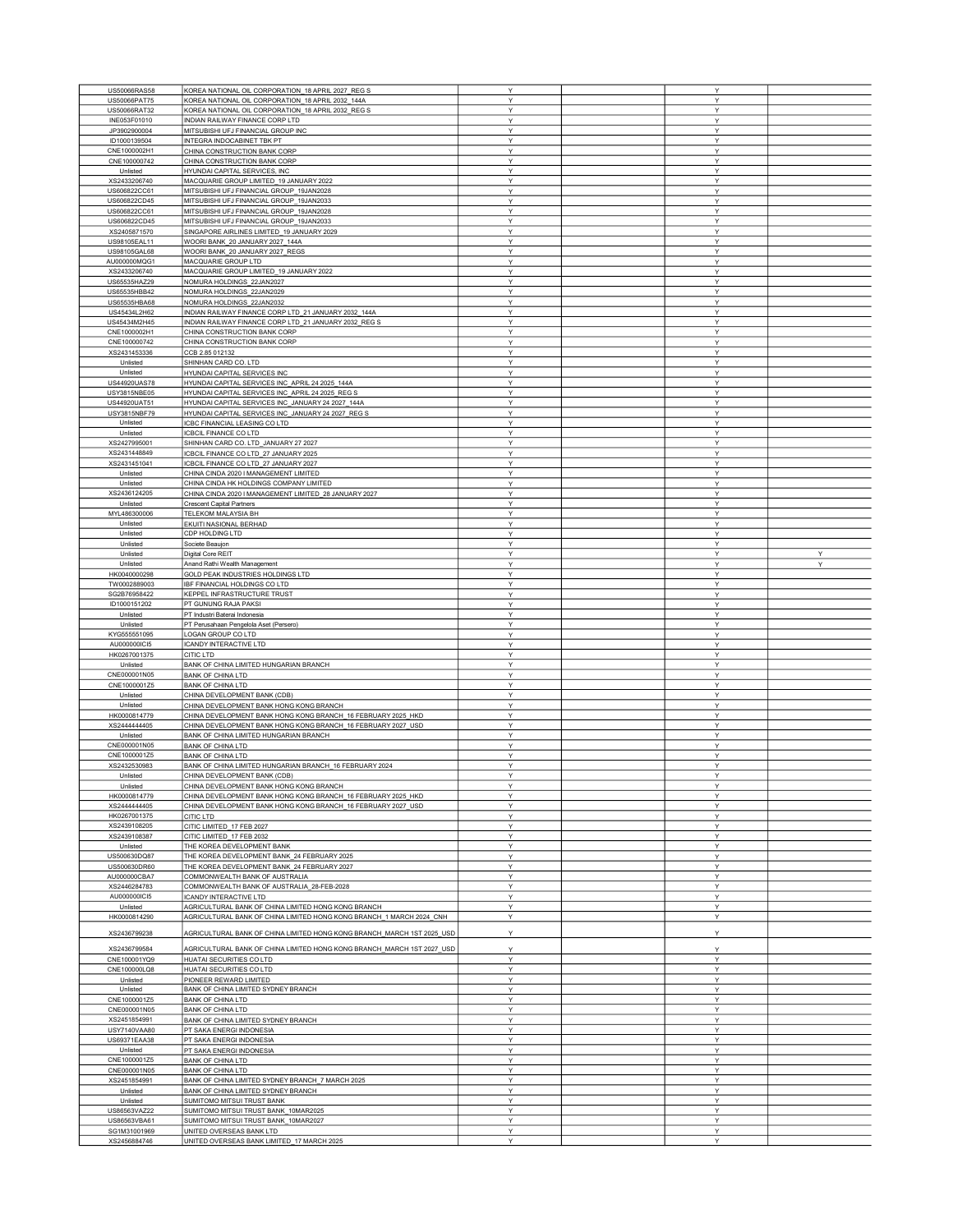| US50066RAS58                 | KOREA NATIONAL OIL CORPORATION_18 APRIL 2027_REG S                     | Y            | Y      |   |
|------------------------------|------------------------------------------------------------------------|--------------|--------|---|
|                              |                                                                        |              |        |   |
| US50066PAT75                 | KOREA NATIONAL OIL CORPORATION_18 APRIL 2032_144A                      | Υ            | Y      |   |
| US50066RAT32                 | KOREA NATIONAL OIL CORPORATION_18 APRIL 2032_REG S                     | Y            | Y      |   |
| INE053F01010                 | INDIAN RAILWAY FINANCE CORP LTD                                        | Y            | Υ      |   |
|                              | MITSUBISHI UFJ FINANCIAL GROUP INC                                     | Y            |        |   |
| JP3902900004                 |                                                                        |              | Υ      |   |
| ID1000139504                 | INTEGRA INDOCABINET TBK PT                                             | Y            | Y      |   |
| CNE1000002H1                 | CHINA CONSTRUCTION BANK CORP                                           | Y            | Υ      |   |
| CNE100000742                 | CHINA CONSTRUCTION BANK CORP                                           | Υ            | Υ      |   |
| Unlisted                     | HYUNDAI CAPITAL SERVICES, INC                                          | Υ            | Y      |   |
|                              |                                                                        |              |        |   |
| XS2433206740                 | MACQUARIE GROUP LIMITED_19 JANUARY 2022                                | Y            | Υ      |   |
| US606822CC61                 | MITSUBISHI UFJ FINANCIAL GROUP_19JAN2028                               | Υ            | Υ      |   |
| US606822CD45                 | MITSUBISHI UFJ FINANCIAL GROUP_19JAN2033                               | Y            | Y      |   |
| US606822CC61                 | MITSUBISHI UFJ FINANCIAL GROUP_19JAN2028                               | Y            | Υ      |   |
|                              |                                                                        |              |        |   |
| US606822CD45                 | MITSUBISHI UFJ FINANCIAL GROUP_19JAN2033                               | Υ            | Y      |   |
| XS2405871570                 | SINGAPORE AIRLINES LIMITED_19 JANUARY 2029                             | Y            | Y      |   |
| US98105EAL11                 | WOORI BANK_20 JANUARY 2027_144A                                        | Υ            | Y      |   |
| US98105GAL68                 | WOORI BANK_20 JANUARY 2027_REGS                                        | Υ            | Υ      |   |
|                              |                                                                        | Y            |        |   |
| AU000000MQG1                 | MACQUARIE GROUP LTD                                                    |              | Υ      |   |
| XS2433206740                 | MACQUARIE GROUP LIMITED_19 JANUARY 2022                                | Υ            | Υ      |   |
| US65535HAZ29                 | NOMURA HOLDINGS_22JAN2027                                              | Υ            | Υ      |   |
| US65535HBB42                 | NOMURA HOLDINGS_22JAN2029                                              | Υ            | Υ      |   |
|                              |                                                                        |              |        |   |
| US65535HBA68                 | NOMURA HOLDINGS_22JAN2032                                              | Y            | Y      |   |
| US45434L2H62                 | INDIAN RAILWAY FINANCE CORP LTD_21 JANUARY 2032_144A                   | Υ            | Y      |   |
| US45434M2H45                 | INDIAN RAILWAY FINANCE CORP LTD_21 JANUARY 2032_REG S                  | Υ            | Υ      |   |
| CNE1000002H1                 | CHINA CONSTRUCTION BANK CORP                                           | Y            | Y      |   |
| CNE100000742                 | CHINA CONSTRUCTION BANK CORP                                           | Y            | Y      |   |
|                              |                                                                        |              |        |   |
| XS2431453336                 | CCB 2.85 012132                                                        | Υ            | Υ      |   |
| Unlisted                     | SHINHAN CARD CO. LTD                                                   | Y            | Y      |   |
| Unlisted                     | HYUNDAI CAPITAL SERVICES INC                                           | Υ            | Υ      |   |
|                              |                                                                        | Y            | Y      |   |
| US44920UAS78                 | HYUNDAI CAPITAL SERVICES INC_APRIL 24 2025_144A                        |              |        |   |
| USY3815NBE05                 | HYUNDAI CAPITAL SERVICES INC_APRIL 24 2025_REG S                       | Y            | Υ      |   |
| US44920UAT51                 | HYUNDAI CAPITAL SERVICES INC_JANUARY 24 2027_144A                      | Υ            | Υ      |   |
| USY3815NBF79                 | HYUNDAI CAPITAL SERVICES INC_JANUARY 24 2027_REG S                     | Y            | Y      |   |
| Unlisted                     | ICBC FINANCIAL LEASING CO LTD                                          | Y            | Y      |   |
|                              |                                                                        |              |        |   |
| Unlisted                     | ICBCIL FINANCE CO LTD                                                  | Y            | Υ      |   |
| XS2427995001                 | SHINHAN CARD CO. LTD_JANUARY 27 2027                                   | Υ            | Υ      |   |
| XS2431448849                 | ICBCIL FINANCE CO LTD_27 JANUARY 2025                                  | Y            | Y      |   |
| XS2431451041                 | CBCIL FINANCE CO LTD_27 JANUARY 2027                                   | Υ            | Υ      |   |
|                              |                                                                        |              |        |   |
| Unlisted                     | CHINA CINDA 2020 I MANAGEMENT LIMITED                                  | Υ            | Υ      |   |
| Unlisted                     | CHINA CINDA HK HOLDINGS COMPANY LIMITED                                | Y            | Y      |   |
| XS2436124205                 | CHINA CINDA 2020 I MANAGEMENT LIMITED_28 JANUARY 2027                  | Υ            | Y      |   |
| Unlisted                     | <b>Crescent Capital Partners</b>                                       | Υ            | Y      |   |
|                              |                                                                        | Y            |        |   |
| MYL486300006                 | TELEKOM MALAYSIA BH                                                    |              | Υ      |   |
| Unlisted                     | EKUITI NASIONAL BERHAD                                                 | $\checkmark$ | Y      |   |
| Unlisted                     | CDP HOLDING LTD                                                        | Υ            | Y      |   |
| Unlisted                     | Societe Beaujon                                                        | Υ            | Y      |   |
|                              |                                                                        |              |        |   |
| Unlisted                     | Digital Core REIT                                                      | Y            | Y      | Y |
| Unlisted                     | Anand Rathi Wealth Management                                          | Y            | Y      | Υ |
| HK0040000298                 | GOLD PEAK INDUSTRIES HOLDINGS LTD                                      | Υ            | Υ      |   |
| TW0002889003                 | IBF FINANCIAL HOLDINGS CO LTD                                          | Y            | Υ      |   |
| SG2B76958422                 | KEPPEL INFRASTRUCTURE TRUST                                            | Y            | Y      |   |
|                              |                                                                        | Υ            | Y      |   |
| ID1000151202                 | PT GUNUNG RAJA PAKSI                                                   |              |        |   |
| Unlisted                     | PT Industri Baterai Indonesia                                          | Y            | Y      |   |
| Unlisted                     | PT Perusahaan Pengelola Aset (Persero)                                 | Υ            | Υ      |   |
| KYG555551095                 | LOGAN GROUP CO LTD                                                     | Y            | Υ      |   |
| AU000000ICI5                 | ICANDY INTERACTIVE LTD                                                 | Y            | Y      |   |
|                              |                                                                        | Υ            |        |   |
| HK0267001375                 | CITIC LTD                                                              |              | Υ      |   |
| Unlisted                     | BANK OF CHINA LIMITED HUNGARIAN BRANCH                                 | Υ            | Y      |   |
| CNE000001N05                 | <b>BANK OF CHINA LTD</b>                                               | Υ            | Y      |   |
| CNE1000001Z5                 | <b>BANK OF CHINA LTD</b>                                               | Y            | Υ      |   |
| Unlisted                     | CHINA DEVELOPMENT BANK (CDB)                                           | Υ            | Y      |   |
|                              |                                                                        |              |        |   |
| Unlisted                     | CHINA DEVELOPMENT BANK HONG KONG BRANCH                                | Y            | Y      |   |
| HK0000814779                 | CHINA DEVELOPMENT BANK HONG KONG BRANCH_16 FEBRUARY 2025_HKD           | Y            | Υ      |   |
| XS2444444405                 | CHINA DEVELOPMENT BANK HONG KONG BRANCH_16 FEBRUARY 2027_USD           | Υ            | Υ      |   |
| Unlisted                     | BANK OF CHINA LIMITED HUNGARIAN BRANCH                                 | Y            | Y      |   |
| CNE000001N05                 |                                                                        | Υ            | Υ      |   |
|                              | <b>BANK OF CHINA LTD</b>                                               |              |        |   |
| CNE1000001Z5                 | <b>BANK OF CHINA LTD</b>                                               | Y            | Y      |   |
| XS2432530983                 | BANK OF CHINA LIMITED HUNGARIAN BRANCH_16 FEBRUARY 2024                | Y            | Y      |   |
| Unlisted                     | CHINA DEVELOPMENT BANK (CDB)                                           | Y            | v      |   |
| Unlisted                     | CHINA DEVELOPMENT BANK HONG KONG BRANCH                                | Υ            | Y      |   |
|                              |                                                                        | Y            |        |   |
| HK0000814779                 | CHINA DEVELOPMENT BANK HONG KONG BRANCH_16 FEBRUARY 2025_HKD           |              |        |   |
| XS2444444405                 | CHINA DEVELOPMENT BANK HONG KONG BRANCH 16 FEBRUARY 2027 USD           |              | Y      |   |
| HK0267001375                 | CITIC LTD                                                              | Υ            | Y      |   |
|                              |                                                                        | Y            | Y      |   |
| XS2439108205                 | CITIC LIMITED 17 FEB 2027                                              | Υ            | Y      |   |
|                              |                                                                        |              | Y      |   |
| XS2439108387                 | CITIC LIMITED_17 FEB 2032                                              | Y            |        |   |
| Unlisted                     | THE KOREA DEVELOPMENT BANK                                             | Υ            | Υ      |   |
| US500630DQ87                 | THE KOREA DEVELOPMENT BANK_24 FEBRUARY 2025                            | Υ            | Y      |   |
| US500630DR60                 | THE KOREA DEVELOPMENT BANK_24 FEBRUARY 2027                            | Υ            | Y      |   |
|                              |                                                                        |              |        |   |
| AU000000CBA7                 | COMMONWEALTH BANK OF AUSTRALIA                                         | Υ            | Υ      |   |
| XS2446284783                 | COMMONWEALTH BANK OF AUSTRALIA 28-FEB-2028                             | Y            | Y      |   |
| AU000000ICI5                 | ICANDY INTERACTIVE LTD                                                 | Y            | Y      |   |
| Unlisted                     | AGRICULTURAL BANK OF CHINA LIMITED HONG KONG BRANCH                    | Υ            | Υ      |   |
| HK0000814290                 | AGRICULTURAL BANK OF CHINA LIMITED HONG KONG BRANCH 1 MARCH 2024 CNH   | Υ            | Υ      |   |
|                              |                                                                        |              |        |   |
| XS2436799238                 | AGRICULTURAL BANK OF CHINA LIMITED HONG KONG BRANCH_MARCH 1ST 2025_USD | Υ            | Y      |   |
|                              |                                                                        |              |        |   |
| XS2436799584                 | AGRICULTURAL BANK OF CHINA LIMITED HONG KONG BRANCH_MARCH 1ST 2027_USD | Υ            | Υ      |   |
| CNE100001YQ9                 | HUATAI SECURITIES CO LTD                                               | Y            | Y      |   |
|                              |                                                                        |              |        |   |
| CNE100000LQ8                 | HUATAI SECURITIES CO LTD                                               | Υ            | Y      |   |
| Unlisted                     | PIONEER REWARD LIMITED                                                 | Υ            | Υ      |   |
| Unlisted                     | BANK OF CHINA LIMITED SYDNEY BRANCH                                    | Υ            | Υ      |   |
| CNE1000001Z5                 | <b>BANK OF CHINA LTD</b>                                               | Υ            | Υ      |   |
|                              |                                                                        |              |        |   |
| CNE000001N05                 | <b>BANK OF CHINA LTD</b>                                               | Υ            | Y      |   |
| XS2451854991                 | BANK OF CHINA LIMITED SYDNEY BRANCH                                    | Υ            | Y      |   |
| USY7140VAA80                 | PT SAKA ENERGI INDONESIA                                               | Y            | Y      |   |
| US69371EAA38                 | PT SAKA ENERGI INDONESIA                                               | Υ            | Y      |   |
| Unlisted                     | PT SAKA ENERGI INDONESIA                                               | Υ            | Y      |   |
|                              |                                                                        |              |        |   |
| CNE1000001Z5                 | <b>BANK OF CHINA LTD</b>                                               | Y            | Υ      |   |
| CNE000001N05                 | <b>BANK OF CHINA LTD</b>                                               | Y            | Υ      |   |
| XS2451854991                 | BANK OF CHINA LIMITED SYDNEY BRANCH 7 MARCH 2025                       | Υ            | Y      |   |
| Unlisted                     | BANK OF CHINA LIMITED SYDNEY BRANCH                                    | Y            | Y      |   |
|                              |                                                                        |              |        |   |
| Unlisted                     | SUMITOMO MITSUI TRUST BANK                                             | Υ<br>Y       | Υ      |   |
| US86563VAZ22                 | SUMITOMO MITSUI TRUST BANK 10MAR2025                                   |              | Υ      |   |
| US86563VBA61                 | SUMITOMO MITSUI TRUST BANK_10MAR2027                                   | Υ            | Υ      |   |
| SG1M31001969<br>XS2456884746 | UNITED OVERSEAS BANK LTD<br>UNITED OVERSEAS BANK LIMITED_17 MARCH 2025 | Υ<br>Υ       | Υ<br>Y |   |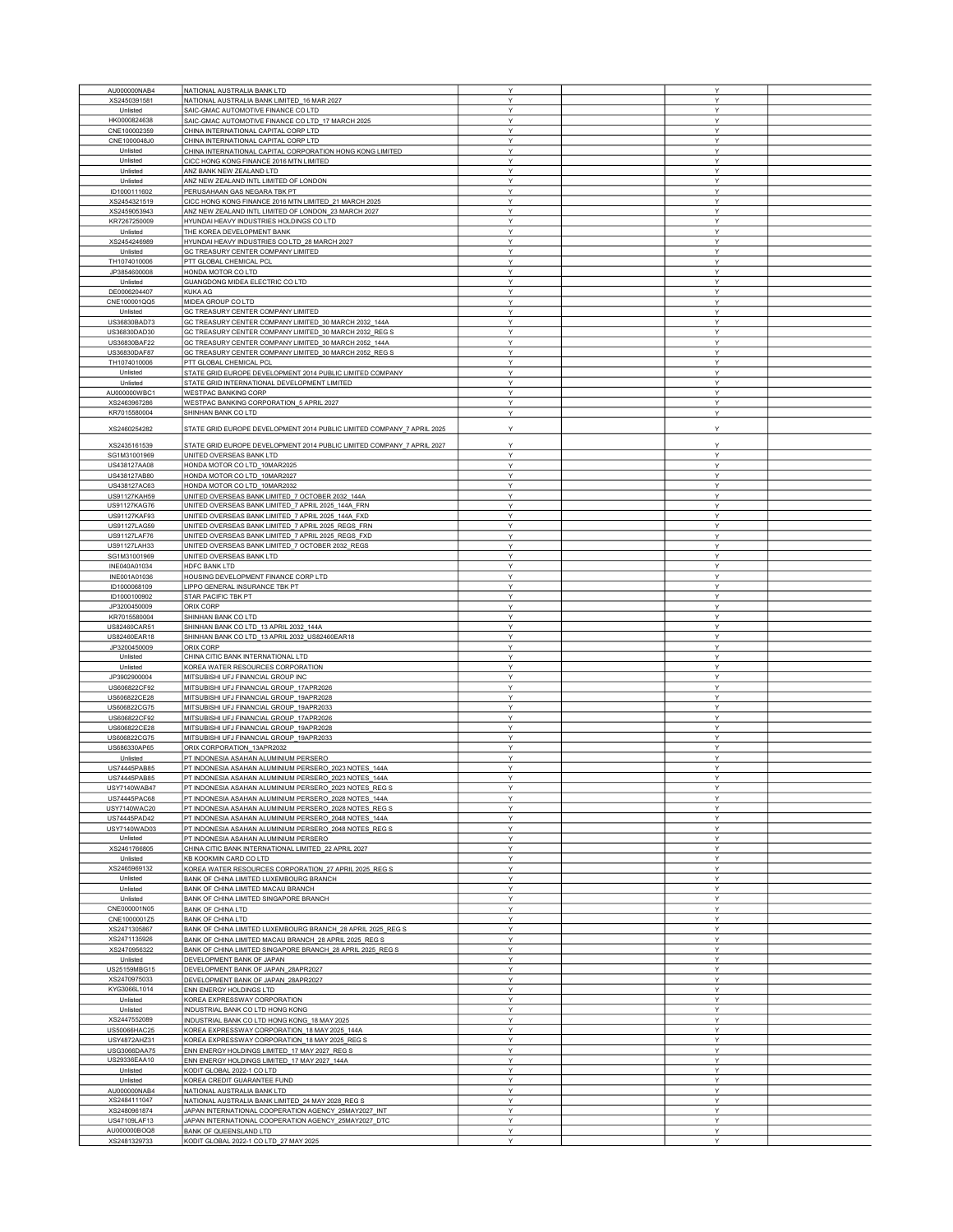| AU000000NAB4        | NATIONAL AUSTRALIA BANK LTD                                            | Y      | Y |  |
|---------------------|------------------------------------------------------------------------|--------|---|--|
| XS2450391581        | NATIONAL AUSTRALIA BANK LIMITED_16 MAR 2027                            | Y      | Υ |  |
| Unlisted            | SAIC-GMAC AUTOMOTIVE FINANCE CO LTD                                    | Y      | Y |  |
| HK0000824638        | SAIC-GMAC AUTOMOTIVE FINANCE CO LTD_17 MARCH 2025                      | Y      | Υ |  |
| CNE100002359        | CHINA INTERNATIONAL CAPITAL CORP LTD                                   | Y      | Y |  |
| CNE1000048J0        | CHINA INTERNATIONAL CAPITAL CORP LTD                                   | Y      | Υ |  |
|                     |                                                                        |        |   |  |
| Unlisted            | CHINA INTERNATIONAL CAPITAL CORPORATION HONG KONG LIMITED              | Y      | Υ |  |
| Unlisted            | CICC HONG KONG FINANCE 2016 MTN LIMITED                                | Y      | Υ |  |
| Unlisted            | ANZ BANK NEW ZEALAND LTD                                               | Y      | Y |  |
| Unlisted            | ANZ NEW ZEALAND INTL LIMITED OF LONDON                                 | Y      | Y |  |
| ID1000111602        | PERUSAHAAN GAS NEGARA TBK PT                                           | Υ      | Υ |  |
|                     |                                                                        | Y      | Y |  |
| XS2454321519        | CICC HONG KONG FINANCE 2016 MTN LIMITED_21 MARCH 2025                  |        |   |  |
| XS2459053943        | ANZ NEW ZEALAND INTL LIMITED OF LONDON_23 MARCH 2027                   | Υ      | Υ |  |
| KR7267250009        | HYUNDAI HEAVY INDUSTRIES HOLDINGS CO LTD                               | Y      | Υ |  |
| Unlisted            | THE KOREA DEVELOPMENT BANK                                             | Y      | Y |  |
| XS2454246989        | HYUNDAI HEAVY INDUSTRIES CO LTD_28 MARCH 2027                          | Υ      | Υ |  |
| Unlisted            | GC TREASURY CENTER COMPANY LIMITED                                     | Y      | Y |  |
| TH1074010006        |                                                                        | Υ      | Υ |  |
|                     | PTT GLOBAL CHEMICAL PCL                                                |        |   |  |
| JP3854600008        | HONDA MOTOR CO LTD                                                     | Y      | Υ |  |
| Unlisted            | GUANGDONG MIDEA ELECTRIC CO LTD                                        | Y      | Y |  |
| DE0006204407        | <b>KUKA AG</b>                                                         | Y      | Υ |  |
| CNE100001QQ5        | MIDEA GROUP CO LTD                                                     | Y      | Y |  |
| Unlisted            | GC TREASURY CENTER COMPANY LIMITED                                     | Y      | Y |  |
|                     |                                                                        |        |   |  |
| US36830BAD73        | GC TREASURY CENTER COMPANY LIMITED 30 MARCH 2032 144A                  | Υ      | Υ |  |
| US36830DAD30        | GC TREASURY CENTER COMPANY LIMITED_30 MARCH 2032_REG S                 | Y      | Υ |  |
| US36830BAF22        | GC TREASURY CENTER COMPANY LIMITED_30 MARCH 2052_144A                  | Y      | Y |  |
| US36830DAF87        | GC TREASURY CENTER COMPANY LIMITED_30 MARCH 2052_REG S                 | Y      | Υ |  |
| TH1074010006        | PTT GLOBAL CHEMICAL PCL                                                | Y      | Y |  |
|                     |                                                                        |        |   |  |
| Unlisted            | STATE GRID EUROPE DEVELOPMENT 2014 PUBLIC LIMITED COMPANY              | Y      | Υ |  |
| Unlisted            | STATE GRID INTERNATIONAL DEVELOPMENT LIMITED                           | Υ      | Υ |  |
| AU000000WBC1        | WESTPAC BANKING CORP                                                   | Y      | Υ |  |
| XS2463967286        | WESTPAC BANKING CORPORATION_5 APRIL 2027                               | Y      | Υ |  |
| KR7015580004        | SHINHAN BANK CO LTD                                                    | Υ      | Υ |  |
|                     |                                                                        |        |   |  |
| XS2460254282        | STATE GRID EUROPE DEVELOPMENT 2014 PUBLIC LIMITED COMPANY 7 APRIL 2025 | Υ      | Υ |  |
|                     |                                                                        |        |   |  |
| XS2435161539        | STATE GRID EUROPE DEVELOPMENT 2014 PUBLIC LIMITED COMPANY 7 APRIL 2027 | Y      | Υ |  |
| SG1M31001969        | UNITED OVERSEAS BANK LTD                                               | Y      | Υ |  |
|                     |                                                                        |        |   |  |
| US438127AA08        | HONDA MOTOR CO LTD_10MAR2025                                           | Υ      | Y |  |
| US438127AB80        | HONDA MOTOR CO LTD_10MAR2027                                           | Υ      | Υ |  |
| US438127AC63        | HONDA MOTOR CO LTD 10MAR2032                                           | Υ      | Υ |  |
| <b>US91127KAH59</b> | UNITED OVERSEAS BANK LIMITED_7 OCTOBER 2032_144A                       | Υ      | Y |  |
| US91127KAG76        | UNITED OVERSEAS BANK LIMITED_7 APRIL 2025_144A_FRN                     | Y      | Υ |  |
|                     |                                                                        | Y      | Υ |  |
| US91127KAF93        | UNITED OVERSEAS BANK LIMITED_7 APRIL 2025_144A_FXD                     |        |   |  |
| US91127LAG59        | UNITED OVERSEAS BANK LIMITED_7 APRIL 2025_REGS_FRN                     | Y      | Y |  |
| US91127LAF76        | UNITED OVERSEAS BANK LIMITED_7 APRIL 2025_REGS_FXD                     | Y      | Y |  |
| US91127LAH33        | UNITED OVERSEAS BANK LIMITED_7 OCTOBER 2032_REGS                       | Υ      | Υ |  |
| SG1M31001969        | UNITED OVERSEAS BANK LTD                                               | Y      | Υ |  |
| INE040A01034        | HDFC BANK LTD                                                          | Y      | Y |  |
|                     |                                                                        |        |   |  |
| INE001A01036        | HOUSING DEVELOPMENT FINANCE CORP LTD                                   | Y      | Υ |  |
| ID1000068109        | LIPPO GENERAL INSURANCE TBK PT                                         | Y      | Y |  |
| ID1000100902        | STAR PACIFIC TBK PT                                                    | Y      | Υ |  |
| JP3200450009        | ORIX CORP                                                              | Υ      | Υ |  |
| KR7015580004        | SHINHAN BANK CO LTD                                                    | Y      | Y |  |
|                     |                                                                        | Υ      | Υ |  |
| US82460CAR51        | SHINHAN BANK CO LTD_13 APRIL 2032_144A                                 |        |   |  |
| US82460EAR18        | SHINHAN BANK CO LTD_13 APRIL 2032_US82460EAR18                         | Y      | Υ |  |
| JP3200450009        | ORIX CORP                                                              | Y      | Υ |  |
| Unlisted            | CHINA CITIC BANK INTERNATIONAL LTD                                     | Υ      | Υ |  |
| Unlisted            | KOREA WATER RESOURCES CORPORATION                                      | Y      | Υ |  |
| JP3902900004        | MITSUBISHI UFJ FINANCIAL GROUP INC                                     | Y      | Υ |  |
|                     |                                                                        |        |   |  |
| US606822CF92        | MITSUBISHI UFJ FINANCIAL GROUP_17APR2026                               | Υ      | Υ |  |
| US606822CE28        | MITSUBISHI UFJ FINANCIAL GROUP 19APR2028                               | Y      | Υ |  |
| US606822CG75        | MITSUBISHI UFJ FINANCIAL GROUP_19APR2033                               | Y      | Y |  |
| US606822CF92        | MITSUBISHI UFJ FINANCIAL GROUP_17APR2026                               | Y      | Y |  |
| US606822CE28        | MITSUBISHI UFJ FINANCIAL GROUP_19APR2028                               | Y      | Y |  |
| US606822CG75        | MITSUBISHI UFJ FINANCIAL GROUP_19APR2033                               | Y      | Υ |  |
|                     |                                                                        |        |   |  |
| US686330AP65        | ORIX CORPORATION_13APR2032                                             | $\vee$ | Y |  |
| Unlisted            | PT INDONESIA ASAHAN ALUMINIUM PERSERO                                  | Y      | Y |  |
| US74445PAB85        | PT INDONESIA ASAHAN ALUMINIUM PERSERO_2023 NOTES_144A                  | Y      | Y |  |
| US74445PAB85        | PT INDONESIA ASAHAN ALUMINIUM PERSERO_2023 NOTES_144A                  | Υ      | Υ |  |
| USY7140WAB47        | PT INDONESIA ASAHAN ALUMINIUM PERSERO 2023 NOTES REG S                 | Y      | Y |  |
| US74445PAC68        | PT INDONESIA ASAHAN ALUMINIUM PERSERO 2028 NOTES 144A                  | Y      | Υ |  |
|                     |                                                                        |        |   |  |
| USY7140WAC20        | PT INDONESIA ASAHAN ALUMINIUM PERSERO_2028 NOTES_REG S                 | Y      | Y |  |
| US74445PAD42        | PT INDONESIA ASAHAN ALUMINIUM PERSERO_2048 NOTES_144A                  | Y      | Y |  |
| USY7140WAD03        | PT INDONESIA ASAHAN ALUMINIUM PERSERO_2048 NOTES_REG S                 | Y      | Υ |  |
| Unlisted            | PT INDONESIA ASAHAN ALUMINIUM PERSERO                                  | Y      | Υ |  |
| XS2461766805        | CHINA CITIC BANK INTERNATIONAL LIMITED 22 APRIL 2027                   | Υ      | Υ |  |
| Unlisted            | KB KOOKMIN CARD CO LTD                                                 | Υ      | Υ |  |
| XS2465969132        | KOREA WATER RESOURCES CORPORATION 27 APRIL 2025 REG S                  | Υ      |   |  |
|                     |                                                                        |        | Υ |  |
| Unlisted            | BANK OF CHINA LIMITED LUXEMBOURG BRANCH                                | Y      | Υ |  |
| Unlisted            | BANK OF CHINA LIMITED MACAU BRANCH                                     | Y      | Υ |  |
| Unlisted            | BANK OF CHINA LIMITED SINGAPORE BRANCH                                 | Y      | Y |  |
| CNE000001N05        | <b>BANK OF CHINA LTD</b>                                               | Υ      | Υ |  |
| CNE1000001Z5        | <b>BANK OF CHINA LTD</b>                                               | Υ      | Y |  |
|                     |                                                                        |        |   |  |
| XS2471305867        | BANK OF CHINA LIMITED LUXEMBOURG BRANCH_28 APRIL 2025_REG S            | Y      | Y |  |
| XS2471135926        | BANK OF CHINA LIMITED MACAU BRANCH 28 APRIL 2025 REG S                 | Y      | Υ |  |
| XS2470956322        | BANK OF CHINA LIMITED SINGAPORE BRANCH 28 APRIL 2025 REG S             | Υ      | Υ |  |
| Unlisted            | DEVELOPMENT BANK OF JAPAN                                              | Y      | Y |  |
| US25159MBG15        | DEVELOPMENT BANK OF JAPAN_28APR2027                                    | Υ      | Y |  |
| XS2470975033        | DEVELOPMENT BANK OF JAPAN_28APR2027                                    | Υ      | Υ |  |
|                     |                                                                        |        |   |  |
| KYG3066L1014        | ENN ENERGY HOLDINGS LTD                                                | Υ      | Υ |  |
| Unlisted            | KOREA EXPRESSWAY CORPORATION                                           | Υ      | Υ |  |
| Unlisted            | INDUSTRIAL BANK CO LTD HONG KONG                                       | Y      | Υ |  |
| XS2447552089        | INDUSTRIAL BANK CO LTD HONG KONG_18 MAY 2025                           | Y      | Υ |  |
| US50066HAC25        | KOREA EXPRESSWAY CORPORATION_18 MAY 2025_144A                          | Y      | Y |  |
|                     |                                                                        |        |   |  |
| USY4872AHZ31        | KOREA EXPRESSWAY CORPORATION_18 MAY 2025_REG S                         | Y      | Y |  |
| USG3066DAA75        | ENN ENERGY HOLDINGS LIMITED_17 MAY 2027_REG S                          | Υ      | Υ |  |
| US29336EAA10        | ENN ENERGY HOLDINGS LIMITED_17 MAY 2027_144A                           | Y      | Υ |  |
| Unlisted            | KODIT GLOBAL 2022-1 CO LTD                                             | Y      | Y |  |
| Unlisted            | KOREA CREDIT GUARANTEE FUND                                            | Y      | Y |  |
| AU000000NAB4        | NATIONAL AUSTRALIA BANK LTD                                            | Y      | Υ |  |
|                     |                                                                        |        |   |  |
| XS2484111047        | NATIONAL AUSTRALIA BANK LIMITED_24 MAY 2028_REG S                      | Υ      | Υ |  |
| XS2480961874        | JAPAN INTERNATIONAL COOPERATION AGENCY 25MAY2027 INT                   | Y      | Y |  |
| US47109LAF13        | JAPAN INTERNATIONAL COOPERATION AGENCY_25MAY2027_DTC                   | Y      | Y |  |
| AU000000BOQ8        | BANK OF QUEENSLAND LTD                                                 | Υ      | Υ |  |
| XS2481329733        | KODIT GLOBAL 2022-1 CO LTD_27 MAY 2025                                 | Υ      | Υ |  |
|                     |                                                                        |        |   |  |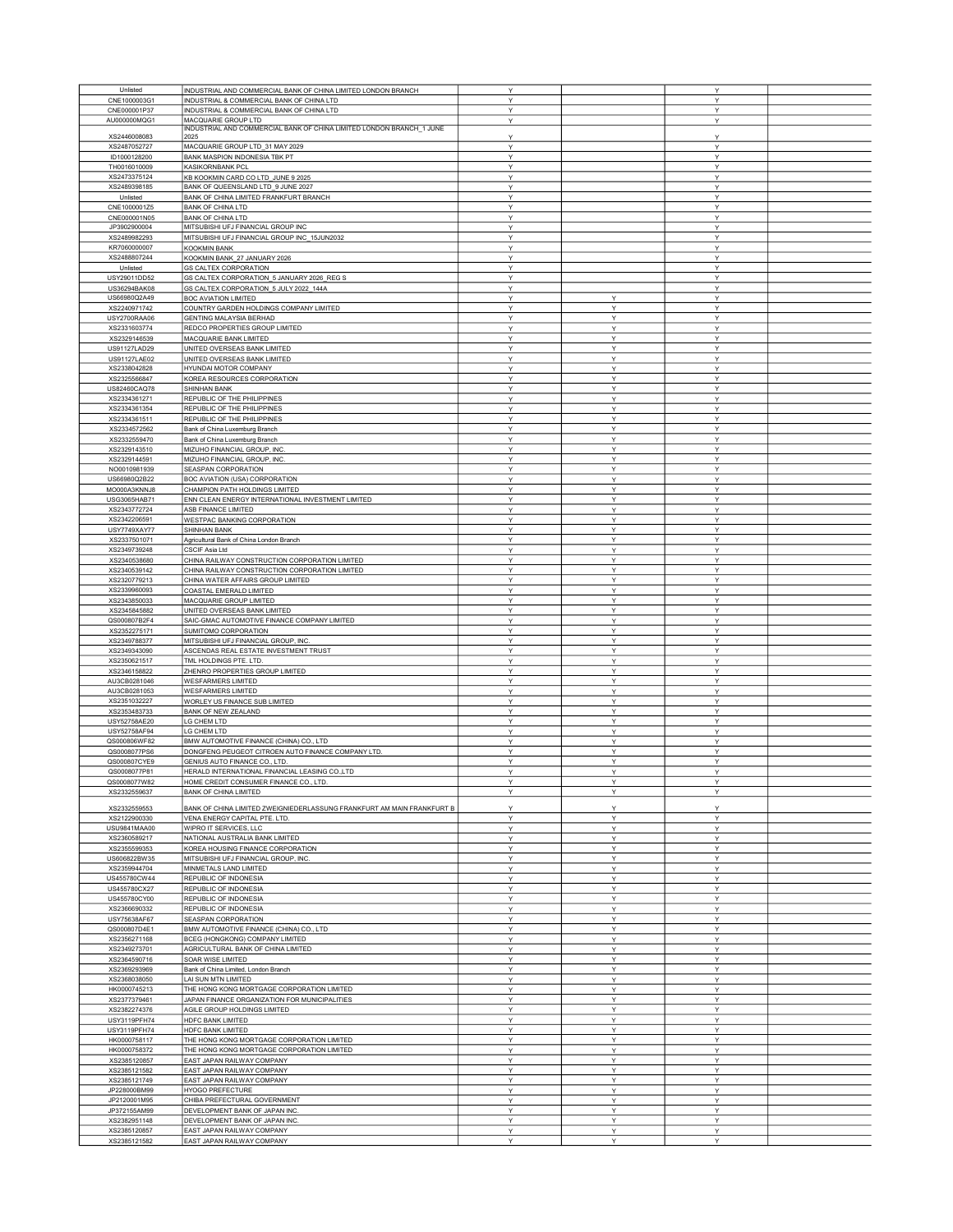| Unlisted            | INDUSTRIAL AND COMMERCIAL BANK OF CHINA LIMITED LONDON BRANCH          | Y            |              | Y |  |
|---------------------|------------------------------------------------------------------------|--------------|--------------|---|--|
|                     |                                                                        |              |              |   |  |
| CNE1000003G1        | INDUSTRIAL & COMMERCIAL BANK OF CHINA LTD                              | Υ            |              | Y |  |
| CNE000001P37        | INDUSTRIAL & COMMERCIAL BANK OF CHINA LTD                              | Υ            |              | Υ |  |
| AU000000MQG1        | MACQUARIE GROUP LTD                                                    | Υ            |              | Υ |  |
|                     | INDUSTRIAL AND COMMERCIAL BANK OF CHINA LIMITED LONDON BRANCH 1 JUNE   |              |              |   |  |
| XS2446008083        | 2025                                                                   | Y            |              | Υ |  |
| XS2487052727        | MACQUARIE GROUP LTD_31 MAY 2029                                        | Y            |              | Y |  |
|                     |                                                                        |              |              |   |  |
| ID1000128200        | BANK MASPION INDONESIA TBK PT                                          | Υ            |              | Y |  |
| TH0016010009        | KASIKORNBANK PCL                                                       | Υ            |              | Υ |  |
| XS2473375124        | KB KOOKMIN CARD CO LTD_JUNE 9 2025                                     | Υ            |              | Υ |  |
| XS2489398185        | BANK OF QUEENSLAND LTD_9 JUNE 2027                                     | Y            |              | Y |  |
|                     |                                                                        |              |              |   |  |
| Unlisted            | BANK OF CHINA LIMITED FRANKFURT BRANCH                                 | Υ            |              | Υ |  |
| CNE1000001Z5        | <b>BANK OF CHINA LTD</b>                                               | Y            |              | Y |  |
| CNE000001N05        | <b>BANK OF CHINA LTD</b>                                               | Υ            |              | Y |  |
|                     |                                                                        |              |              |   |  |
| JP3902900004        | MITSUBISHI UFJ FINANCIAL GROUP INC                                     | Y            |              | Y |  |
| XS2489982293        | MITSUBISHI UFJ FINANCIAL GROUP INC_15JUN2032                           | Υ            |              | Υ |  |
| KR7060000007        | <b>KOOKMIN BANK</b>                                                    | Υ            |              | Υ |  |
| XS2488807244        |                                                                        | Υ            |              | Υ |  |
|                     | KOOKMIN BANK_27 JANUARY 2026                                           |              |              |   |  |
| Unlisted            | <b>GS CALTEX CORPORATION</b>                                           | Y            |              | Y |  |
| USY29011DD52        | GS CALTEX CORPORATION_5 JANUARY 2026_REG S                             | Y            |              | Υ |  |
| US36294BAK08        | GS CALTEX CORPORATION_5 JULY 2022_144A                                 | Υ            |              | Y |  |
|                     |                                                                        |              |              |   |  |
| US66980Q2A49        | <b>BOC AVIATION LIMITED</b>                                            | Υ            | Y            | Y |  |
| XS2240971742        | COUNTRY GARDEN HOLDINGS COMPANY LIMITED                                | Υ            | Υ            | Υ |  |
| USY2700RAA06        | <b>GENTING MALAYSIA BERHAD</b>                                         | Y            | Y            | Υ |  |
| XS2331603774        | REDCO PROPERTIES GROUP LIMITED                                         | Y            | Y            | Y |  |
|                     |                                                                        |              |              |   |  |
| XS2329146539        | MACQUARIE BANK LIMITED                                                 | Υ            | Y            | Y |  |
| US91127LAD29        | UNITED OVERSEAS BANK LIMITED                                           | Y            | Υ            | Υ |  |
| US91127LAE02        | UNITED OVERSEAS BANK LIMITED                                           | Υ            | Υ            | Υ |  |
| XS2338042828        | HYUNDAI MOTOR COMPANY                                                  | Υ            | Υ            | Υ |  |
|                     |                                                                        |              |              |   |  |
| XS2325566847        | KOREA RESOURCES CORPORATION                                            | Υ            | Υ            | Υ |  |
| US82460CAQ78        | SHINHAN BANK                                                           | Υ            | Υ            | Υ |  |
| XS2334361271        | REPUBLIC OF THE PHILIPPINES                                            | Y            | Y            | Y |  |
| XS2334361354        | REPUBLIC OF THE PHILIPPINES                                            | Y            | Y            | Y |  |
|                     |                                                                        |              |              |   |  |
| XS2334361511        | REPUBLIC OF THE PHILIPPINES                                            | Υ            | Υ            | Υ |  |
| XS2334572562        | Bank of China Luxemburg Branch                                         | Υ            | Υ            | Υ |  |
| XS2332559470        | Bank of China Luxemburg Branch                                         | Y            | Y            | Y |  |
|                     | MIZUHO FINANCIAL GROUP, INC                                            | Υ            | Y            | Υ |  |
| XS2329143510        |                                                                        |              |              |   |  |
| XS2329144591        | MIZUHO FINANCIAL GROUP, INC.                                           | Y            | Υ            | Υ |  |
| NO0010981939        | SEASPAN CORPORATION                                                    | Y            | Y            | Y |  |
| US66980Q2B22        | BOC AVIATION (USA) CORPORATION                                         | Y            | Υ            | Y |  |
|                     |                                                                        |              |              |   |  |
| MO000A3KNNJ8        | CHAMPION PATH HOLDINGS LIMITED                                         | Υ            | Y            | Υ |  |
| USG3065HAB71        | ENN CLEAN ENERGY INTERNATIONAL INVESTMENT LIMITED                      | Υ            | Υ            | Υ |  |
| XS2343772724        | ASB FINANCE LIMITED                                                    | $\checkmark$ | $\checkmark$ | Y |  |
| XS2342206591        | WESTPAC BANKING CORPORATION                                            | Y            | Υ            | Y |  |
|                     |                                                                        |              |              |   |  |
| <b>USY7749XAY77</b> | <b>SHINHAN BANK</b>                                                    | Υ            | Υ            | Y |  |
| XS2337501071        | Agricultural Bank of China London Branch                               | Y            | Y            | Y |  |
| XS2349739248        | CSCIF Asia Ltd                                                         | Υ            | Υ            | Υ |  |
|                     |                                                                        |              |              |   |  |
| XS2340538680        | CHINA RAILWAY CONSTRUCTION CORPORATION LIMITED                         | Υ            | Υ            | Υ |  |
| XS2340539142        | CHINA RAILWAY CONSTRUCTION CORPORATION LIMITED                         | Y            | Y            | Y |  |
| XS2320779213        | CHINA WATER AFFAIRS GROUP LIMITED                                      | Y            | Y            | Y |  |
| XS2339960093        | COASTAL EMERALD LIMITED                                                | Y            | Y            | Υ |  |
|                     |                                                                        |              |              |   |  |
| XS2343850033        | MACQUARIE GROUP LIMITED                                                | Y            | Υ            | Y |  |
| XS2345845882        | UNITED OVERSEAS BANK LIMITED                                           | Υ            | Υ            | Υ |  |
| QS000807B2F4        | SAIC-GMAC AUTOMOTIVE FINANCE COMPANY LIMITED                           | Υ            | Υ            | Υ |  |
|                     |                                                                        | Υ            | Y            | Υ |  |
| XS2352275171        | SUMITOMO CORPORATION                                                   |              |              |   |  |
| XS2349788377        | MITSUBISHI UFJ FINANCIAL GROUP, INC                                    | Υ            | Υ            | Υ |  |
| XS2349343090        | ASCENDAS REAL ESTATE INVESTMENT TRUST                                  | Y            | Υ            | Υ |  |
| XS2350621517        | TML HOLDINGS PTE. LTD.                                                 | Υ            | Υ            | Υ |  |
|                     |                                                                        |              |              |   |  |
| XS2346158822        | ZHENRO PROPERTIES GROUP LIMITED                                        | Υ            | Υ            | Υ |  |
| AU3CB0281046        | WESFARMERS LIMITED                                                     | Υ            | Υ            | Υ |  |
| AU3CB0281053        | WESFARMERS LIMITED                                                     | Y            | Y            | Y |  |
| XS2351032227        | WORLEY US FINANCE SUB LIMITED                                          | Υ            | Y            | Υ |  |
|                     |                                                                        |              |              |   |  |
| XS2353483733        | BANK OF NEW ZEALAND                                                    | Y            | Υ            | Y |  |
| USY52758AE20        | LG CHEM LTD                                                            | Y            | Y            | Y |  |
| USY52758AF94        | LG CHEM LTD                                                            | Y            | Υ            | Y |  |
|                     |                                                                        |              |              |   |  |
| QS000806WF82        | BMW AUTOMOTIVE FINANCE (CHINA) CO., LTD                                | Y            | Y            | Y |  |
| QS0008077PS6        | DONGFENG PEUGEOT CITROEN AUTO FINANCE COMPANY LTD.                     | Υ            | Υ            | Υ |  |
| QS000807CYE9        | GENIUS AUTO FINANCE CO., LTD.                                          | Y            | v            | Y |  |
| QS0008077P81        | HERALD INTERNATIONAL FINANCIAL LEASING CO.,LTD                         | Y            | Y            | Y |  |
|                     |                                                                        |              |              |   |  |
| QS0008077W82        | HOME CREDIT CONSUMER FINANCE CO., LTD.                                 |              |              |   |  |
| XS2332559637        | <b>BANK OF CHINA LIMITED</b>                                           | Y            | Υ            | Y |  |
|                     |                                                                        |              |              |   |  |
| XS2332559553        | BANK OF CHINA LIMITED ZWEIGNIEDERLASSUNG FRANKFURT AM MAIN FRANKFURT B | Y            | Y            | Y |  |
| XS2122900330        | VENA ENERGY CAPITAL PTE. LTD.                                          | Y            | Y            | Y |  |
| USU9841MAA00        | WIPRO IT SERVICES, LLC                                                 | Υ            | Υ            | Υ |  |
| XS2360589217        | NATIONAL AUSTRALIA BANK LIMITED                                        | Y            | Υ            | Y |  |
|                     |                                                                        |              |              |   |  |
| XS2355599353        | KOREA HOUSING FINANCE CORPORATION                                      | Υ            | Υ            | Υ |  |
| US606822BW35        | MITSUBISHI UFJ FINANCIAL GROUP, INC.                                   | Υ            | Υ            | Υ |  |
| XS2359944704        | MINMETALS LAND LIMITED                                                 | Y            | Y            | Υ |  |
| US455780CW44        | REPUBLIC OF INDONESIA                                                  | Υ            | Υ            | Υ |  |
| US455780CX27        | REPUBLIC OF INDONESIA                                                  | Y            | Υ            | Υ |  |
| US455780CY00        | REPUBLIC OF INDONESIA                                                  |              |              |   |  |
|                     |                                                                        | Υ            | Υ            | Υ |  |
| XS2366690332        | REPUBLIC OF INDONESIA                                                  | Υ            | Υ            | Υ |  |
| USY75638AF67        | SEASPAN CORPORATION                                                    | Υ            | Υ            | Υ |  |
| QS000807D4E1        | BMW AUTOMOTIVE FINANCE (CHINA) CO., LTD                                | Y            | Y            | Υ |  |
|                     |                                                                        |              |              |   |  |
| XS2356271168        | BCEG (HONGKONG) COMPANY LIMITED                                        | Υ            | Υ            | Υ |  |
| XS2349273701        | AGRICULTURAL BANK OF CHINA LIMITED                                     | Υ            | Υ            | Υ |  |
| XS2364590716        | SOAR WISE LIMITED                                                      | Y            | Y            | Y |  |
| XS2369293969        | Bank of China Limited, London Branch                                   | Υ            | Υ            | Υ |  |
|                     |                                                                        |              |              |   |  |
| XS2368038050        | LAI SUN MTN LIMITED                                                    | Υ            | Υ            | Υ |  |
| HK0000745213        | THE HONG KONG MORTGAGE CORPORATION LIMITED                             | Υ            | Υ            | Υ |  |
| XS2377379461        | JAPAN FINANCE ORGANIZATION FOR MUNICIPALITIES                          | Y            | Y            | Y |  |
| XS2382274376        | AGILE GROUP HOLDINGS LIMITED                                           | Y            | Υ            | Y |  |
|                     |                                                                        |              |              |   |  |
| USY3119PFH74        | HDFC BANK LIMITED                                                      | Υ            | Υ            | Υ |  |
| USY3119PFH74        | HDFC BANK LIMITED                                                      | Y            | Υ            | Y |  |
| HK0000758117        | THE HONG KONG MORTGAGE CORPORATION LIMITED                             | Υ            | Y            | Υ |  |
| HK0000758372        | THE HONG KONG MORTGAGE CORPORATION LIMITED                             | Υ            | Υ            | Υ |  |
|                     |                                                                        |              |              |   |  |
| XS2385120857        | EAST JAPAN RAILWAY COMPANY                                             | Υ            | Y            | Υ |  |
| XS2385121582        | EAST JAPAN RAILWAY COMPANY                                             | Y            | Υ            | Y |  |
| XS2385121749        | EAST JAPAN RAILWAY COMPANY                                             | Y            | Υ            | Y |  |
| JP228000BM99        | HYOGO PREFECTURE                                                       | Y            | Υ            | Y |  |
|                     |                                                                        |              |              |   |  |
| JP2120001M95        | CHIBA PREFECTURAL GOVERNMENT                                           | Υ            | Υ            | Υ |  |
| JP372155AM99        | DEVELOPMENT BANK OF JAPAN INC.                                         | Υ            | Υ            | Υ |  |
| XS2382951148        | DEVELOPMENT BANK OF JAPAN INC.                                         | Y            | Y            | Y |  |
| XS2385120857        | EAST JAPAN RAILWAY COMPANY                                             | Υ            | Υ            | Υ |  |
| XS2385121582        | EAST JAPAN RAILWAY COMPANY                                             | Y            | Υ            | Υ |  |
|                     |                                                                        |              |              |   |  |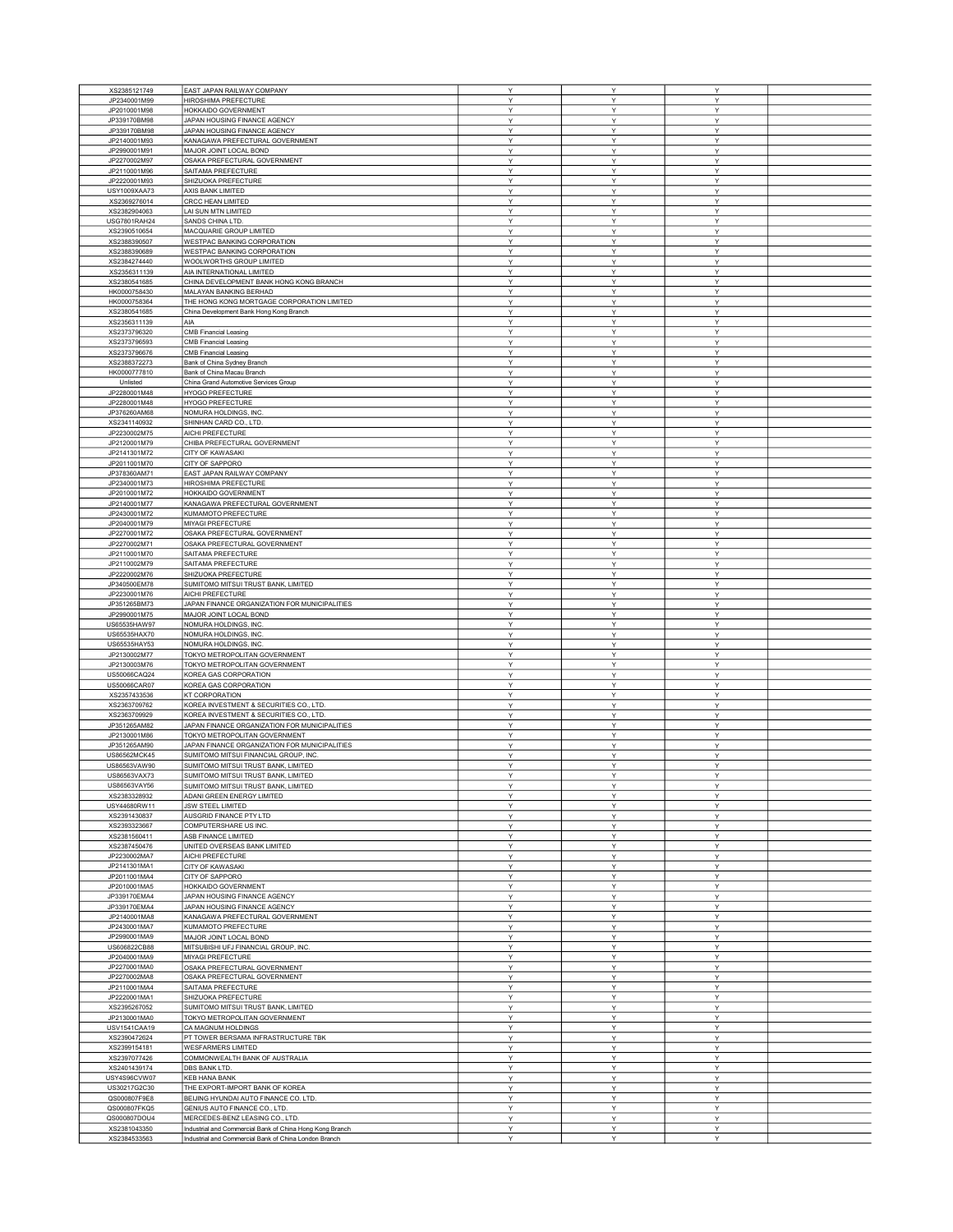| XS2385121749        | EAST JAPAN RAILWAY COMPANY                               | Υ | Υ | Y |  |
|---------------------|----------------------------------------------------------|---|---|---|--|
| JP2340001M99        | HIROSHIMA PREFECTURE                                     | Y | Y | Y |  |
| JP2010001M98        | HOKKAIDO GOVERNMENT                                      | Υ | Υ | Υ |  |
| JP339170BM98        | JAPAN HOUSING FINANCE AGENCY                             | Y | Υ | Υ |  |
| JP339170BM98        | JAPAN HOUSING FINANCE AGENCY                             | Y | Y | Y |  |
|                     |                                                          |   |   |   |  |
| JP2140001M93        | KANAGAWA PREFECTURAL GOVERNMENT                          | Ŷ | Υ | Υ |  |
| JP2990001M91        | MAJOR JOINT LOCAL BOND                                   | Υ | Υ | Y |  |
| JP2270002M97        | OSAKA PREFECTURAL GOVERNMENT                             | Y | Y | Y |  |
| JP2110001M96        | SAITAMA PREFECTURE                                       | Υ | Υ | Υ |  |
| JP2220001M93        | SHIZUOKA PREFECTURE                                      | Υ | Υ | Υ |  |
|                     |                                                          |   |   |   |  |
| USY1009XAA73        | AXIS BANK LIMITED                                        | Υ | Υ | Υ |  |
| XS2369276014        | CRCC HEAN LIMITED                                        | Υ | Υ | Υ |  |
| XS2382904063        | LAI SUN MTN LIMITED                                      | Υ | Υ | Υ |  |
| <b>USG7801RAH24</b> | SANDS CHINA LTD.                                         | Y | Υ | Υ |  |
|                     |                                                          |   |   |   |  |
| XS2390510654        | MACQUARIE GROUP LIMITED                                  | Υ | Υ | Y |  |
| XS2388390507        | WESTPAC BANKING CORPORATION                              | Υ | Υ | Υ |  |
| XS2388390689        | WESTPAC BANKING CORPORATION                              | Υ | Υ | Υ |  |
| XS2384274440        | WOOLWORTHS GROUP LIMITED                                 | Υ | Y | Y |  |
|                     |                                                          |   |   |   |  |
| XS2356311139        | AIA INTERNATIONAL LIMITED                                | Y | Υ | Y |  |
| XS2380541685        | CHINA DEVELOPMENT BANK HONG KONG BRANCH                  | Υ | Υ | Y |  |
| HK0000758430        | MALAYAN BANKING BERHAD                                   | Υ | Υ | Y |  |
|                     |                                                          |   |   |   |  |
| HK0000758364        | THE HONG KONG MORTGAGE CORPORATION LIMITED               | Υ | Y | Υ |  |
| XS2380541685        | China Development Bank Hong Kong Branch                  | Υ | Υ | Υ |  |
| XS2356311139        | AIA                                                      | Υ | Y | Υ |  |
| XS2373796320        | <b>CMB Financial Leasing</b>                             | Υ | Υ | Υ |  |
|                     |                                                          |   |   |   |  |
| XS2373796593        | <b>CMB Financial Leasing</b>                             | Υ | Υ | Y |  |
| XS2373796676        | <b>CMB Financial Leasing</b>                             | Υ | Υ | Y |  |
| XS2388372273        | Bank of China Sydney Branch                              | Υ | Υ | Υ |  |
| HK0000777810        | Bank of China Macau Branch                               | Y | Υ | Υ |  |
|                     |                                                          |   |   |   |  |
| Unlisted            | China Grand Automotive Services Group                    | Y | Y | Y |  |
| JP2280001M48        | <b>HYOGO PREFECTURE</b>                                  | Υ | Υ | Υ |  |
| JP2280001M48        | HYOGO PREFECTURE                                         | Υ | Υ | Y |  |
| JP376260AM68        | NOMURA HOLDINGS, INC.                                    | Y | Y | Y |  |
|                     |                                                          |   |   |   |  |
| XS2341140932        | SHINHAN CARD CO., LTD.                                   | Υ | Y | Y |  |
| JP2230002M75        | AICHI PREFECTURE                                         | Υ | Υ | Υ |  |
| JP2120001M79        | CHIBA PREFECTURAL GOVERNMENT                             | Υ | Υ | Υ |  |
|                     | <b>CITY OF KAWASAKI</b>                                  |   |   |   |  |
| JP2141301M72        |                                                          | Υ | Υ | Υ |  |
| JP2011001M70        | CITY OF SAPPORO                                          | Υ | Υ | Υ |  |
| JP378360AM71        | EAST JAPAN RAILWAY COMPANY                               | Y | Υ | Υ |  |
| JP2340001M73        | HIROSHIMA PREFECTURE                                     | Υ | Υ | Υ |  |
|                     | HOKKAIDO GOVERNMENT                                      |   |   |   |  |
| JP2010001M72        |                                                          | Υ | Υ | Υ |  |
| JP2140001M77        | KANAGAWA PREFECTURAL GOVERNMENT                          | Υ | Υ | Υ |  |
| JP2430001M72        | KUMAMOTO PREFECTURE                                      | Υ | Y | Υ |  |
| JP2040001M79        | <b>MIYAGI PREFECTURE</b>                                 | Y | Υ | Y |  |
|                     |                                                          |   |   |   |  |
| JP2270001M72        | OSAKA PREFECTURAL GOVERNMENT                             | Υ | Υ | Y |  |
| JP2270002M71        | OSAKA PREFECTURAL GOVERNMENT                             | Υ | Y | Y |  |
| JP2110001M70        | SAITAMA PREFECTURE                                       | Υ | Υ | Υ |  |
|                     |                                                          |   |   |   |  |
| JP2110002M79        | SAITAMA PREFECTURE                                       | Υ | Υ | Υ |  |
| JP2220002M76        | SHIZUOKA PREFECTURE                                      | Y | Y | Y |  |
| JP340500EM78        | SUMITOMO MITSUI TRUST BANK, LIMITED                      | Υ | Υ | Υ |  |
| JP2230001M76        | AICHI PREFECTURE                                         | Υ | Υ | Y |  |
|                     |                                                          |   |   |   |  |
| JP351265BM73        | JAPAN FINANCE ORGANIZATION FOR MUNICIPALITIES            | Υ | Υ | Υ |  |
| JP2990001M75        | MAJOR JOINT LOCAL BOND                                   | Υ | Υ | Υ |  |
| US65535HAW97        | NOMURA HOLDINGS, INC.                                    | Υ | Υ | Υ |  |
| US65535HAX70        | NOMURA HOLDINGS, INC.                                    | Y | Y | Y |  |
|                     |                                                          |   |   |   |  |
| US65535HAY53        | NOMURA HOLDINGS, INC.                                    | Υ | Υ | Υ |  |
| JP2130002M77        | TOKYO METROPOLITAN GOVERNMENT                            | Υ | Υ | Y |  |
| JP2130003M76        | TOKYO METROPOLITAN GOVERNMENT                            | Y | Y | Y |  |
| US50066CAQ24        | KOREA GAS CORPORATION                                    | Y | Y | Y |  |
|                     |                                                          |   |   |   |  |
| US50066CAR07        | KOREA GAS CORPORATION                                    | Υ | Υ | Υ |  |
| XS2357433536        | <b>KT CORPORATION</b>                                    | Υ | Υ | Υ |  |
| XS2363709762        | KOREA INVESTMENT & SECURITIES CO., LTD                   | Υ | Y | Υ |  |
| XS2363709929        | KOREA INVESTMENT & SECURITIES CO., LTD.                  | Υ | Υ | Y |  |
|                     |                                                          |   |   |   |  |
| JP351265AM82        | JAPAN FINANCE ORGANIZATION FOR MUNICIPALITIES            | Υ | Υ | Y |  |
| JP2130001M86        | TOKYO METROPOLITAN GOVERNMENT                            | Y | Υ | Y |  |
| JP351265AM90        | JAPAN FINANCE ORGANIZATION FOR MUNICIPALITIES            | Y | Y | Y |  |
| US86562MCK45        | SUMITOMO MITSUI FINANCIAL GROUP, INC.                    | Υ | Υ | Υ |  |
| US86563VAW90        | SUMITOMO MITSUI TRUST BANK, LIMITED                      | Y | Ý | Y |  |
|                     |                                                          |   |   |   |  |
| US86563VAX73        | SUMITOMO MITSUI TRUST BANK, LIMITED                      | Ÿ | Ÿ | Y |  |
| US86563VAY56        | SUMITOMO MITSUI TRUST BANK, LIMITED                      | Y | Y | Y |  |
| XS2383328932        | ADANI GREEN ENERGY LIMITED                               | Υ | Y | Y |  |
|                     |                                                          |   |   |   |  |
| USY44680RW11        | JSW STEEL LIMITED                                        | Υ | Υ | Υ |  |
| XS2391430837        | AUSGRID FINANCE PTY LTD                                  | Υ | Υ | Y |  |
| XS2393323667        | COMPUTERSHARE US INC.                                    | Y | Y | Y |  |
| XS2381560411        | ASB FINANCE LIMITED                                      | Υ | Υ | Υ |  |
| XS2387450476        | UNITED OVERSEAS BANK LIMITED                             | Υ | Υ | Υ |  |
| JP2230002MA7        | AICHI PREFECTURE                                         |   |   |   |  |
|                     |                                                          | Υ | Υ | Υ |  |
| JP2141301MA1        | <b>CITY OF KAWASAKI</b>                                  | Υ |   | Y |  |
| JP2011001MA4        | CITY OF SAPPORO                                          |   | Υ |   |  |
| JP2010001MA5        |                                                          | Υ | Υ | Υ |  |
|                     |                                                          |   |   |   |  |
| JP339170EMA4        | HOKKAIDO GOVERNMENT                                      | Υ | Y | Y |  |
|                     | JAPAN HOUSING FINANCE AGENCY                             | Υ | Υ | Υ |  |
| JP339170EMA4        | JAPAN HOUSING FINANCE AGENCY                             | Υ | Υ | Υ |  |
| JP2140001MA8        |                                                          | Y | Y | Y |  |
|                     | KANAGAWA PREFECTURAL GOVERNMENT                          |   |   |   |  |
| JP2430001MA7        | KUMAMOTO PREFECTURE                                      | Υ | Y | Y |  |
| JP2990001MA9        | MAJOR JOINT LOCAL BOND                                   | Y | Y | Υ |  |
| US606822CB88        | MITSUBISHI UFJ FINANCIAL GROUP, INC.                     | Υ | Υ | Υ |  |
| JP2040001MA9        | MIYAGI PREFECTURE                                        | Y | Y | Y |  |
|                     |                                                          |   |   |   |  |
| JP2270001MA0        | OSAKA PREFECTURAL GOVERNMENT                             | Υ | Υ | Υ |  |
| JP2270002MA8        | OSAKA PREFECTURAL GOVERNMENT                             | Υ | Υ | Y |  |
| JP2110001MA4        | SAITAMA PREFECTURE                                       | Υ | Υ | Υ |  |
| JP2220001MA1        | SHIZUOKA PREFECTURE                                      | Y | Y | Y |  |
|                     |                                                          |   |   |   |  |
| XS2395267052        | SUMITOMO MITSUI TRUST BANK, LIMITED                      | Υ | Υ | Υ |  |
| JP2130001MA0        | TOKYO METROPOLITAN GOVERNMENT                            | Υ | Y | Y |  |
| USV1541CAA19        | CA MAGNUM HOLDINGS                                       | Υ | Υ | Y |  |
| XS2390472624        | PT TOWER BERSAMA INFRASTRUCTURE TBK                      | Υ | Υ | Y |  |
|                     |                                                          |   |   |   |  |
| XS2399154181        | <b>WESFARMERS LIMITED</b>                                | Y | Υ | Y |  |
| XS2397077426        | COMMONWEALTH BANK OF AUSTRALIA                           | Υ | Υ | Υ |  |
| XS2401439174        | DBS BANK LTD.                                            | Υ | Υ | Y |  |
| USY4S96CVW07        | <b>KEB HANA BANK</b>                                     | Y | Y | Y |  |
|                     |                                                          |   |   |   |  |
| US30217G2C30        | THE EXPORT-IMPORT BANK OF KOREA                          | Υ | Υ | Υ |  |
| QS000807F9E8        | BEIJING HYUNDAI AUTO FINANCE CO. LTD.                    | Υ | Υ | Υ |  |
| QS000807FKQ5        | GENIUS AUTO FINANCE CO., LTD.                            | Y | Υ | Y |  |
| QS000807DOU4        | MERCEDES-BENZ LEASING CO., LTD.                          | Υ | Y | Y |  |
| XS2381043350        | Industrial and Commercial Bank of China Hong Kong Branch | Υ | Υ | Υ |  |
| XS2384533563        | Industrial and Commercial Bank of China London Branch    | Y | Y | Y |  |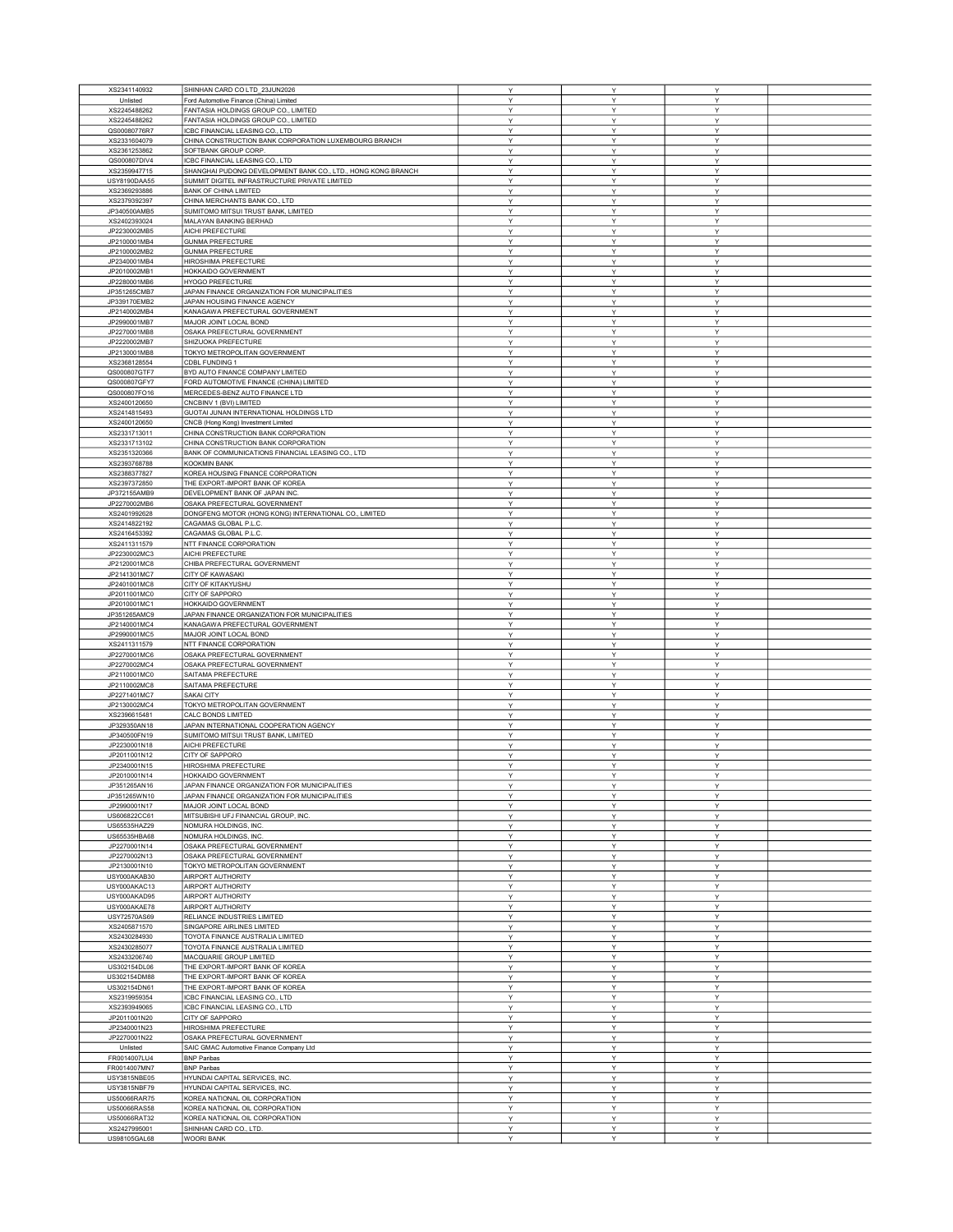| XS2341140932                 | SHINHAN CARD CO LTD_23JUN2026                                | Υ | Υ | Y |  |
|------------------------------|--------------------------------------------------------------|---|---|---|--|
| Unlisted                     | Ford Automotive Finance (China) Limited                      | Υ | Υ | Υ |  |
| XS2245488262                 | FANTASIA HOLDINGS GROUP CO., LIMITED                         | Υ | Υ | Y |  |
| XS2245488262                 | FANTASIA HOLDINGS GROUP CO., LIMITED                         | Υ | Υ | Υ |  |
| QS00080776R7                 | ICBC FINANCIAL LEASING CO., LTD                              | Υ | Υ | Υ |  |
| XS2331604079                 | CHINA CONSTRUCTION BANK CORPORATION LUXEMBOURG BRANCH        | Y | Y | Y |  |
| XS2361253862                 | SOFTBANK GROUP CORP                                          | Υ | Υ | Υ |  |
| QS000807DIV4                 | ICBC FINANCIAL LEASING CO., LTD                              | Υ | Υ | Υ |  |
| XS2359947715                 | SHANGHAI PUDONG DEVELOPMENT BANK CO., LTD., HONG KONG BRANCH | Y | Υ | Y |  |
|                              | SUMMIT DIGITEL INFRASTRUCTURE PRIVATE LIMITED                | Υ | Y | Y |  |
| USY8190DAA55                 |                                                              | Y | Y | Υ |  |
| XS2369293886                 | <b>BANK OF CHINA LIMITED</b>                                 |   | Y |   |  |
| XS2379392397                 | CHINA MERCHANTS BANK CO., LTD                                | Υ |   | Υ |  |
| JP340500AMB5                 | SUMITOMO MITSUI TRUST BANK, LIMITED                          | Υ | Υ | Υ |  |
| XS2402393024                 | MALAYAN BANKING BERHAD                                       | Υ | Υ | Υ |  |
| JP2230002MB5                 | AICHI PREFECTURE                                             | Y | Y | Y |  |
| JP2100001MB4                 | <b>GUNMA PREFECTURE</b>                                      | Υ | Υ | Υ |  |
| JP2100002MB2                 | <b>GUNMA PREFECTURE</b>                                      | Υ | Υ | Υ |  |
| JP2340001MB4                 | HIROSHIMA PREFECTURE                                         | Υ | Υ | Υ |  |
| JP2010002MB1                 | HOKKAIDO GOVERNMENT                                          | Υ | Y | Y |  |
| JP2280001MB6                 | HYOGO PREFECTURE                                             | Υ | Υ | Y |  |
| JP351265CMB7                 | JAPAN FINANCE ORGANIZATION FOR MUNICIPALITIES                | Y | Υ | Υ |  |
| JP339170EMB2                 | JAPAN HOUSING FINANCE AGENCY                                 | Y | Y | Y |  |
| JP2140002MB4                 | KANAGAWA PREFECTURAL GOVERNMENT                              | Y | Y | Y |  |
| JP2990001MB7                 | MAJOR JOINT LOCAL BOND                                       | Υ | Υ | Υ |  |
| JP2270001MB8                 | OSAKA PREFECTURAL GOVERNMENT                                 | Υ | Y | Υ |  |
| JP2220002MB7                 | SHIZUOKA PREFECTURE                                          | Υ | Υ | Y |  |
| JP2130001MB8                 | TOKYO METROPOLITAN GOVERNMENT                                | Υ | Υ | Y |  |
| XS2368128554                 | CDBL FUNDING 1                                               | Υ | Υ | Y |  |
| QS000807GTF7                 | BYD AUTO FINANCE COMPANY LIMITED                             | Υ | Υ | Υ |  |
| QS000807GFY7                 | FORD AUTOMOTIVE FINANCE (CHINA) LIMITED                      | Y | Υ | Υ |  |
| QS000807FO16                 | MERCEDES-BENZ AUTO FINANCE LTD                               | Υ | Y | Υ |  |
|                              | CNCBINV 1 (BVI) LIMITED                                      | Υ | Υ | Υ |  |
| XS2400120650<br>XS2414815493 |                                                              |   | Y |   |  |
|                              | GUOTAI JUNAN INTERNATIONAL HOLDINGS LTD                      | Υ |   | Υ |  |
| XS2400120650                 | CNCB (Hong Kong) Investment Limited                          | Y | Y | Y |  |
| XS2331713011                 | CHINA CONSTRUCTION BANK CORPORATION                          | Υ | Y | Υ |  |
| XS2331713102                 | CHINA CONSTRUCTION BANK CORPORATION                          | Υ | Υ | Υ |  |
| XS2351320366                 | BANK OF COMMUNICATIONS FINANCIAL LEASING CO., LTD            | Y | Y | Y |  |
| XS2393768788                 | <b>KOOKMIN BANK</b>                                          | Υ | Υ | Υ |  |
| XS2388377827                 | KOREA HOUSING FINANCE CORPORATION                            | Υ | Υ | Υ |  |
| XS2397372850                 | THE EXPORT-IMPORT BANK OF KOREA                              | Y | Y | Y |  |
| JP372155AMB9                 | DEVELOPMENT BANK OF JAPAN INC.                               | Υ | Υ | Υ |  |
| JP2270002MB6                 | OSAKA PREFECTURAL GOVERNMENT                                 | Υ | Υ | Υ |  |
| XS2401992628                 | DONGFENG MOTOR (HONG KONG) INTERNATIONAL CO., LIMITED        | Υ | Υ | Υ |  |
| XS2414822192                 | CAGAMAS GLOBAL P.L.C.                                        | Υ | Y | Y |  |
| XS2416453392                 | CAGAMAS GLOBAL P.L.C.                                        | Υ | Υ | Y |  |
| XS2411311579                 | NTT FINANCE CORPORATION                                      | Υ | Υ | Y |  |
|                              | AICHI PREFECTURE                                             | Y | Y | Y |  |
| JP2230002MC3                 |                                                              |   |   |   |  |
| JP2120001MC8                 | CHIBA PREFECTURAL GOVERNMENT                                 | Y | Y | Y |  |
| JP2141301MC7                 | <b>CITY OF KAWASAKI</b>                                      | Υ | Υ | Υ |  |
| JP2401001MC8                 | CITY OF KITAKYUSHU                                           | Υ | Y | Υ |  |
| JP2011001MC0                 | CITY OF SAPPORO                                              | Υ | Υ | Y |  |
| JP2010001MC1                 | HOKKAIDO GOVERNMENT                                          | Υ | Υ | Y |  |
| JP351265AMC9                 | JAPAN FINANCE ORGANIZATION FOR MUNICIPALITIES                | Υ | Υ | Y |  |
| JP2140001MC4                 | KANAGAWA PREFECTURAL GOVERNMENT                              | Υ | Υ | Υ |  |
| JP2990001MC5                 | MAJOR JOINT LOCAL BOND                                       | Y | Υ | Υ |  |
| XS2411311579                 | NTT FINANCE CORPORATION                                      | Υ | Υ | Y |  |
| JP2270001MC6                 | OSAKA PREFECTURAL GOVERNMENT                                 | Υ | Υ | Υ |  |
| JP2270002MC4                 | OSAKA PREFECTURAL GOVERNMENT                                 | Υ | Y | Υ |  |
| JP2110001MC0                 | SAITAMA PREFECTURE                                           | Y | Υ | Y |  |
| JP2110002MC8                 | SAITAMA PREFECTURE                                           | Υ | Υ | Υ |  |
| JP2271401MC7                 | <b>SAKAI CITY</b>                                            | Υ | Υ | Υ |  |
| JP2130002MC4                 | TOKYO METROPOLITAN GOVERNMENT                                | Y | Y | Y |  |
| XS2396615481                 | CALC BONDS LIMITED                                           | Υ | Υ | Υ |  |
| JP329350AN18                 | JAPAN INTERNATIONAL COOPERATION AGENCY                       | Υ | Υ | Υ |  |
| JP340500FN19                 | SUMITOMO MITSUI TRUST BANK, LIMITED                          | Y | Y | Y |  |
| JP2230001N18                 | AICHI PREFECTURE                                             | Υ | Υ | Υ |  |
| JP2011001N12                 | CITY OF SAPPORO                                              | Y | Y | Y |  |
|                              | HIROSHIMA PREFECTURE                                         | Υ | Y | Υ |  |
| JP2340001N15<br>JP2010001N14 | HOKKAIDO GOVERNMENT                                          | v | v | v |  |
|                              |                                                              |   |   |   |  |
| JP351265AN16                 | JAPAN FINANCE ORGANIZATION FOR MUNICIPALITIES                | Υ |   | Y |  |
| JP351265WN10                 | JAPAN FINANCE ORGANIZATION FOR MUNICIPALITIES                | Y | Υ | Υ |  |
| JP2990001N17                 | MAJOR JOINT LOCAL BOND                                       | Y | Y | Y |  |
| US606822CC61                 | MITSUBISHI UFJ FINANCIAL GROUP, INC.                         | Y | Y | Υ |  |
| US65535HAZ29                 | NOMURA HOLDINGS, INC.                                        | Υ | Υ | Υ |  |
| US65535HBA68                 | NOMURA HOLDINGS, INC.                                        | Υ | Y | Υ |  |
| JP2270001N14                 | OSAKA PREFECTURAL GOVERNMENT                                 | Υ | Υ | Y |  |
| JP2270002N13                 | OSAKA PREFECTURAL GOVERNMENT                                 | Υ | Υ | Υ |  |
| JP2130001N10                 | TOKYO METROPOLITAN GOVERNMENT                                | Υ | Υ | Y |  |
| USY000AKAB30                 | AIRPORT AUTHORITY                                            | Υ | Υ | Υ |  |
| USY000AKAC13                 | AIRPORT AUTHORITY                                            | Y | Υ | Υ |  |
| USY000AKAD95                 | AIRPORT AUTHORITY                                            | Υ | Υ | Υ |  |
| USY000AKAE78                 | AIRPORT AUTHORITY                                            | Υ | Υ | Υ |  |
| USY72570AS69                 | RELIANCE INDUSTRIES LIMITED                                  | Y | Y | Y |  |
| XS2405871570                 | SINGAPORE AIRLINES LIMITED                                   | Υ | Y | Y |  |
| XS2430284930                 | TOYOTA FINANCE AUSTRALIA LIMITED                             | Υ | Υ | Υ |  |
| XS2430285077                 | TOYOTA FINANCE AUSTRALIA LIMITED                             | Υ | Υ | Y |  |
| XS2433206740                 | MACQUARIE GROUP LIMITED                                      | Y | Y | Y |  |
| US302154DL06                 | THE EXPORT-IMPORT BANK OF KOREA                              | Υ | Υ | Υ |  |
| US302154DM88                 | THE EXPORT-IMPORT BANK OF KOREA                              | Y | Υ | Υ |  |
| US302154DN61                 | THE EXPORT-IMPORT BANK OF KOREA                              | Y | Y | Y |  |
| XS2319959354                 | ICBC FINANCIAL LEASING CO., LTD                              | Υ | Υ | Y |  |
| XS2393949065                 | ICBC FINANCIAL LEASING CO., LTD                              | Υ | Υ | Υ |  |
| JP2011001N20                 | CITY OF SAPPORO                                              | Υ | Υ | Υ |  |
|                              |                                                              |   |   |   |  |
| JP2340001N23                 | HIROSHIMA PREFECTURE                                         | Υ | Υ | Υ |  |
| JP2270001N22                 | OSAKA PREFECTURAL GOVERNMENT                                 | Υ | Υ | Y |  |
| Unlisted                     | SAIC GMAC Automotive Finance Company Ltd                     | Υ | Υ | Υ |  |
| FR0014007LU4                 | <b>BNP Paribas</b>                                           | Y | Y | Y |  |
| FR0014007MN7                 | <b>BNP Paribas</b>                                           | Y | Y | Υ |  |
| USY3815NBE05                 | HYUNDAI CAPITAL SERVICES, INC.                               | Υ | Υ | Υ |  |
| USY3815NBF79                 | HYUNDAI CAPITAL SERVICES, INC                                | Υ | Y | Υ |  |
| US50066RAR75                 | KOREA NATIONAL OIL CORPORATION                               | Y | Υ | Y |  |
| US50066RAS58                 | KOREA NATIONAL OIL CORPORATION                               | Υ | Υ | Υ |  |
| US50066RAT32                 | KOREA NATIONAL OIL CORPORATION                               | Υ | Y | Y |  |
| XS2427995001                 | SHINHAN CARD CO., LTD.                                       | Υ | Υ | Υ |  |
| US98105GAL68                 | <b>WOORI BANK</b>                                            | Υ | Y | Υ |  |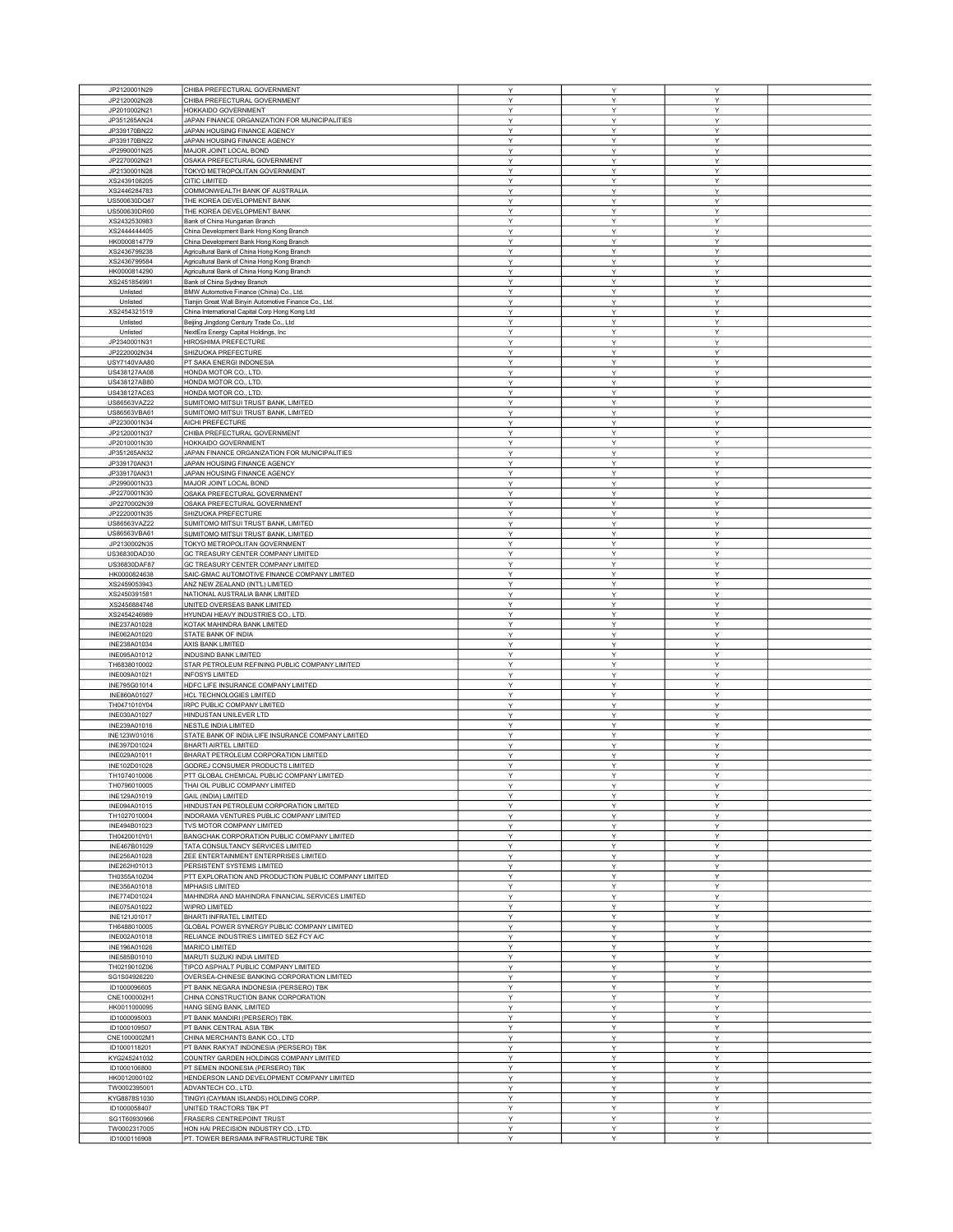| JP2120001N29                 |                                                                             |              |        |        |  |
|------------------------------|-----------------------------------------------------------------------------|--------------|--------|--------|--|
|                              | CHIBA PREFECTURAL GOVERNMENT                                                | Υ            | Υ      | Y      |  |
| JP2120002N28                 | CHIBA PREFECTURAL GOVERNMENT                                                | Υ            | Y      | Y      |  |
| JP2010002N21                 | HOKKAIDO GOVERNMENT                                                         | Υ            | Υ      | Υ      |  |
| JP351265AN24                 | JAPAN FINANCE ORGANIZATION FOR MUNICIPALITIES                               | Y            | Υ      | Υ      |  |
| JP339170BN22                 | JAPAN HOUSING FINANCE AGENCY                                                | Y            | Y      | Y      |  |
|                              |                                                                             |              |        |        |  |
| JP339170BN22                 | JAPAN HOUSING FINANCE AGENCY                                                | Y            | Υ      | Υ      |  |
| JP2990001N25                 | MAJOR JOINT LOCAL BOND                                                      | Υ            | Υ      | Y      |  |
| JP2270002N21                 | OSAKA PREFECTURAL GOVERNMENT                                                | Y            | Y      | Υ      |  |
| JP2130001N28                 | TOKYO METROPOLITAN GOVERNMENT                                               | Υ            | Υ      | Υ      |  |
|                              |                                                                             |              |        |        |  |
| XS2439108205                 | CITIC LIMITED                                                               | Y            | Υ      | Υ      |  |
| XS2446284783                 | COMMONWEALTH BANK OF AUSTRALIA                                              | Y            | Υ      | Υ      |  |
| US500630DQ87                 | THE KOREA DEVELOPMENT BANK                                                  | Y            | Υ      | Υ      |  |
| US500630DR60                 | THE KOREA DEVELOPMENT BANK                                                  | Υ            | Υ      | Υ      |  |
|                              |                                                                             |              |        |        |  |
| XS2432530983                 | Bank of China Hungarian Branch                                              | Υ            | Υ      | Υ      |  |
| XS2444444405                 | China Development Bank Hong Kong Branch                                     | Υ            | Υ      | Υ      |  |
| HK0000814779                 | China Development Bank Hong Kong Branch                                     | Υ            | Y      | Υ      |  |
|                              |                                                                             | Y            | Υ      | Υ      |  |
| XS2436799238                 | Agricultural Bank of China Hong Kong Branch                                 |              |        |        |  |
| XS2436799584                 | Agricultural Bank of China Hong Kong Branch                                 | Y            | Y      | Y      |  |
| HK0000814290                 | Agricultural Bank of China Hong Kong Branch                                 | Υ            | Ý      | Y      |  |
| XS2451854991                 | Bank of China Sydney Branch                                                 | Υ            | Υ      | Y      |  |
|                              |                                                                             |              |        |        |  |
| Unlisted                     | BMW Automotive Finance (China) Co., Ltd.                                    | Y            | Υ      | Y      |  |
| Unlisted                     | Tianjin Great Wall Binyin Automotive Finance Co., Ltd.                      | Υ            | Y      | Υ      |  |
| XS2454321519                 | China International Capital Corp Hong Kong Ltd                              | Y            | Υ      | Υ      |  |
| Unlisted                     | Beijing Jingdong Century Trade Co., Ltd                                     | Y            | Y      | Υ      |  |
|                              |                                                                             |              |        |        |  |
| Unlisted                     | NextEra Energy Capital Holdings, Inc.                                       | Υ            | Υ      | Υ      |  |
| JP2340001N31                 | HIROSHIMA PREFECTURE                                                        | Υ            | Υ      | Υ      |  |
| JP2220002N34                 | SHIZUOKA PREFECTURE                                                         | Υ            | Y      | Y      |  |
|                              |                                                                             |              |        |        |  |
| USY7140VAA80                 | PT SAKA ENERGI INDONESIA                                                    | Υ            | Υ      | Υ      |  |
| US438127AA08                 | HONDA MOTOR CO., LTD.                                                       | Y            | Υ      | Y      |  |
| US438127AB80                 | HONDA MOTOR CO., LTD.                                                       | Y            | Y      | Y      |  |
| US438127AC63                 | HONDA MOTOR CO., LTD.                                                       | Y            | Υ      | Υ      |  |
|                              | SUMITOMO MITSUI TRUST BANK, LIMITED                                         |              |        |        |  |
| US86563VAZ22                 |                                                                             | Υ            | Υ      | Y      |  |
| US86563VBA61                 | SUMITOMO MITSUI TRUST BANK, LIMITED                                         | Y            | Y      | Y      |  |
| JP2230001N34                 | AICHI PREFECTURE                                                            | Y            | Y      | Y      |  |
| JP2120001N37                 | CHIBA PREFECTURAL GOVERNMENT                                                | Υ            | Υ      | Υ      |  |
|                              |                                                                             |              |        |        |  |
| JP2010001N30                 | HOKKAIDO GOVERNMENT                                                         | Y            | Υ      | Υ      |  |
| JP351265AN32                 | JAPAN FINANCE ORGANIZATION FOR MUNICIPALITIES                               | Υ            | Υ      | Υ      |  |
| JP339170AN31                 | JAPAN HOUSING FINANCE AGENCY                                                | Υ            | Υ      | Υ      |  |
| JP339170AN31                 | JAPAN HOUSING FINANCE AGENCY                                                | Y            | Υ      | Υ      |  |
|                              |                                                                             |              |        |        |  |
| JP2990001N33                 | MAJOR JOINT LOCAL BOND                                                      | Υ            | Υ      | Y      |  |
| JP2270001N30                 | OSAKA PREFECTURAL GOVERNMENT                                                | Υ            | Y      | Υ      |  |
| JP2270002N39                 | OSAKA PREFECTURAL GOVERNMENT                                                | Υ            | Υ      | Υ      |  |
|                              |                                                                             |              |        |        |  |
| JP2220001N35                 | SHIZUOKA PREFECTURE                                                         | Υ            | Y      | Υ      |  |
| US86563VAZ22                 | SUMITOMO MITSUI TRUST BANK, LIMITED                                         | Υ            | Ý      | Y      |  |
| US86563VBA61                 | SUMITOMO MITSUI TRUST BANK, LIMITED                                         | Υ            | Υ      | Y      |  |
|                              |                                                                             |              |        |        |  |
| JP2130002N35                 | TOKYO METROPOLITAN GOVERNMENT                                               | Υ            | Υ      | Υ      |  |
| US36830DAD30                 | GC TREASURY CENTER COMPANY LIMITED                                          | Υ            | Y      | Υ      |  |
| US36830DAF87                 | GC TREASURY CENTER COMPANY LIMITED                                          | Υ            | Υ      | Y      |  |
| HK0000824638                 | SAIC-GMAC AUTOMOTIVE FINANCE COMPANY LIMITED                                | Y            | Y      | Y      |  |
|                              |                                                                             |              |        |        |  |
| XS2459053943                 | ANZ NEW ZEALAND (INT'L) LIMITED                                             | Υ            | Υ      | Υ      |  |
| XS2450391581                 | NATIONAL AUSTRALIA BANK LIMITED                                             | Υ            | Υ      | Y      |  |
| XS2456884746                 | UNITED OVERSEAS BANK LIMITED                                                | Υ            | Y      | Y      |  |
|                              |                                                                             | Υ            | Υ      | Υ      |  |
| XS2454246989                 | HYUNDAI HEAVY INDUSTRIES CO., LTD.                                          |              |        |        |  |
|                              |                                                                             |              |        |        |  |
| INE237A01028                 | KOTAK MAHINDRA BANK LIMITED                                                 | Y            | Υ      | Υ      |  |
|                              |                                                                             | Y            | Y      | Y      |  |
| INE062A01020                 | STATE BANK OF INDIA                                                         |              |        |        |  |
| INE238A01034                 | AXIS BANK LIMITED                                                           | Υ            | Υ      | Y      |  |
| INE095A01012                 | <b>INDUSIND BANK LIMITED</b>                                                | Υ            | Υ      | Υ      |  |
| TH6838010002                 | STAR PETROLEUM REFINING PUBLIC COMPANY LIMITED                              | Y            | Y      | Y      |  |
|                              |                                                                             |              | Y      | Y      |  |
| INE009A01021                 | <b>INFOSYS LIMITED</b>                                                      | Υ            |        |        |  |
| INE795G01014                 | HDFC LIFE INSURANCE COMPANY LIMITED                                         | Υ            | Υ      | Υ      |  |
| INE860A01027                 | HCL TECHNOLOGIES LIMITED                                                    | Υ            | Υ      | Υ      |  |
| TH0471010Y04                 | IRPC PUBLIC COMPANY LIMITED                                                 | Υ            | Y      | Y      |  |
| INE030A01027                 | HINDUSTAN UNILEVER LTD                                                      | Υ            | Y      | Υ      |  |
|                              |                                                                             |              |        |        |  |
| INE239A01016                 | NESTLE INDIA LIMITED                                                        | Υ            | Y      | Y      |  |
| INE123W01016                 | STATE BANK OF INDIA LIFE INSURANCE COMPANY LIMITED                          | Y            | Υ      | Y      |  |
| INE397D01024                 | BHARTI AIRTEL LIMITED                                                       | Υ            | Y      | Y      |  |
|                              |                                                                             | Υ            | Y      | Y      |  |
| INE029A01011                 | BHARAT PETROLEUM CORPORATION LIMITED                                        |              | Y      | Y      |  |
| INE102D01028                 | GODREJ CONSUMER PRODUCTS LIMITED                                            | Υ            |        |        |  |
| TH1074010006                 | PTT GLOBAL CHEMICAL PUBLIC COMPANY LIMITED                                  | $\checkmark$ | Ÿ      | Y      |  |
| TH0796010005                 | THAI OIL PUBLIC COMPANY LIMITED                                             | Y            | Y      | Y      |  |
| INE129A01019                 | GAIL (INDIA) LIMITED                                                        | Υ            | Y      | Y      |  |
|                              |                                                                             |              |        |        |  |
| INE094A01015                 | HINDUSTAN PETROLEUM CORPORATION LIMITED                                     | Y            | Y      | Υ      |  |
| TH1027010004                 | INDORAMA VENTURES PUBLIC COMPANY LIMITED                                    | Y            | Υ      | Y      |  |
| INE494B01023                 | TVS MOTOR COMPANY LIMITED                                                   | Y            | Y      | Y      |  |
| TH0420010Y01                 | BANGCHAK CORPORATION PUBLIC COMPANY LIMITED                                 | Υ            | Υ      | Υ      |  |
|                              |                                                                             |              |        |        |  |
| INE467B01029                 | TATA CONSULTANCY SERVICES LIMITED                                           | Υ            | Υ      | Υ      |  |
| INE256A01028                 | ZEE ENTERTAINMENT ENTERPRISES LIMITED                                       | Υ            | Y      | Y      |  |
| INE262H01013                 | PERSISTENT SYSTEMS LIMITED                                                  | Υ            | Υ      | Y      |  |
| TH0355A10Z04                 | PTT EXPLORATION AND PRODUCTION PUBLIC COMPANY LIMITED                       | Y            | Y      | Υ      |  |
|                              |                                                                             |              |        |        |  |
| INE356A01018                 | <b>MPHASIS LIMITED</b>                                                      | Y            | Y      | Y      |  |
| INE774D01024                 | MAHINDRA AND MAHINDRA FINANCIAL SERVICES LIMITED                            | Y            | Υ      | Υ      |  |
| INE075A01022                 | WIPRO LIMITED                                                               | Υ            | Υ      | Υ      |  |
| INE121J01017                 | BHARTI INFRATEL LIMITED                                                     | Y            | Y      | Y      |  |
|                              |                                                                             |              |        |        |  |
| TH6488010005                 | GLOBAL POWER SYNERGY PUBLIC COMPANY LIMITED                                 | Y            | Y      | Y      |  |
| INE002A01018                 | RELIANCE INDUSTRIES LIMITED SEZ FCY A/C                                     | Y            | Y      | Y      |  |
| INE196A01026                 | MARICO LIMITED                                                              | Y            | Υ      | Υ      |  |
|                              |                                                                             | Y            | Y      | Y      |  |
| INE585B01010                 | MARUTI SUZUKI INDIA LIMITED                                                 |              |        |        |  |
| TH0219010Z06                 | TIPCO ASPHALT PUBLIC COMPANY LIMITED                                        | Υ            | Υ      | Υ      |  |
| SG1S04926220                 | OVERSEA-CHINESE BANKING CORPORATION LIMITED                                 | Υ            | Υ      | Y      |  |
| ID1000096605                 | PT BANK NEGARA INDONESIA (PERSERO) TBK                                      | Y            | Υ      | Y      |  |
|                              |                                                                             |              |        |        |  |
| CNE1000002H1                 | CHINA CONSTRUCTION BANK CORPORATION                                         | Y            | Y      | Y      |  |
| HK0011000095                 | HANG SENG BANK, LIMITED                                                     | Y            | Υ      | Υ      |  |
| ID1000095003                 | PT BANK MANDIRI (PERSERO) TBK.                                              | Y            | Y      | Y      |  |
|                              |                                                                             |              |        |        |  |
| ID1000109507                 | PT BANK CENTRAL ASIA TBK                                                    | Υ            | Υ      | Υ      |  |
| CNE1000002M1                 | CHINA MERCHANTS BANK CO., LTD                                               | Υ            | Υ      | Υ      |  |
| ID1000118201                 | PT BANK RAKYAT INDONESIA (PERSERO) TBK                                      | Y            | Y      | Y      |  |
| KYG245241032                 | COUNTRY GARDEN HOLDINGS COMPANY LIMITED                                     | Y            | Y      | Υ      |  |
|                              |                                                                             |              |        |        |  |
| ID1000106800                 | PT SEMEN INDONESIA (PERSERO) TBK                                            | Y            | Υ      | Y      |  |
| HK0012000102                 | HENDERSON LAND DEVELOPMENT COMPANY LIMITED                                  | Y            | Y      | Y      |  |
| TW0002395001                 | ADVANTECH CO., LTD.                                                         | Υ            | Υ      | Υ      |  |
| KYG8878S1030                 | TINGYI (CAYMAN ISLANDS) HOLDING CORP.                                       | Υ            | Y      | Y      |  |
|                              |                                                                             | Y            | Y      | Y      |  |
| ID1000058407                 | UNITED TRACTORS TBK PT                                                      |              |        |        |  |
| SG1T60930966                 | <b>FRASERS CENTREPOINT TRUST</b>                                            | Υ            | Y      | Y      |  |
| TW0002317005<br>ID1000116908 | HON HAI PRECISION INDUSTRY CO., LTD<br>PT. TOWER BERSAMA INFRASTRUCTURE TBK | Y<br>Υ       | Y<br>Y | Y<br>Y |  |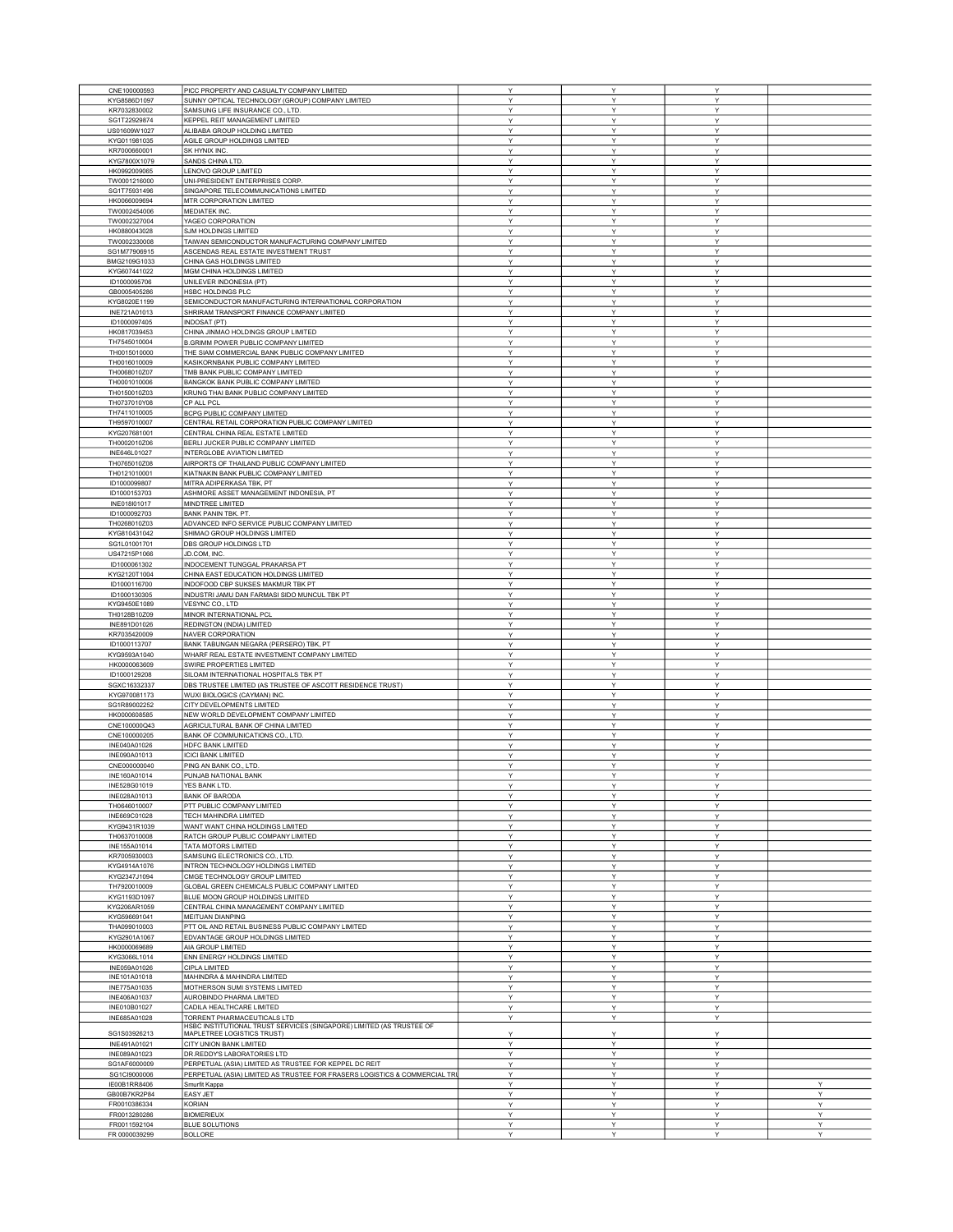| CNE100000593 | PICC PROPERTY AND CASUALTY COMPANY LIMITED                                 | Υ | Y | Y |   |
|--------------|----------------------------------------------------------------------------|---|---|---|---|
| KYG8586D1097 | SUNNY OPTICAL TECHNOLOGY (GROUP) COMPANY LIMITED                           | Y | Y | Y |   |
| KR7032830002 | SAMSUNG LIFE INSURANCE CO., LTD.                                           | Y | Υ | Y |   |
| SG1T22929874 | KEPPEL REIT MANAGEMENT LIMITED                                             | Y | Y | Y |   |
| US01609W1027 | ALIBABA GROUP HOLDING LIMITED                                              | Y | Y | Y |   |
| KYG011981035 | AGILE GROUP HOLDINGS LIMITED                                               | Υ | Υ | Υ |   |
| KR7000660001 | SK HYNIX INC.                                                              | Υ | Υ | Y |   |
| KYG7800X1079 | SANDS CHINA LTD.                                                           | Y | Y | Y |   |
| HK0992009065 | LENOVO GROUP LIMITED                                                       | Υ | Υ | Υ |   |
| TW0001216000 | UNI-PRESIDENT ENTERPRISES CORP                                             | Y | Y | Y |   |
| SG1T75931496 | SINGAPORE TELECOMMUNICATIONS LIMITED                                       | Υ | Υ | Υ |   |
| HK0066009694 | MTR CORPORATION LIMITED                                                    | Υ | Υ | Υ |   |
| TW0002454006 | MEDIATEK INC.                                                              | Υ | Υ | Y |   |
| TW0002327004 | YAGEO CORPORATION                                                          | Υ | Υ | Υ |   |
| HK0880043028 | SJM HOLDINGS LIMITED                                                       | Y | Y | Y |   |
| TW0002330008 | TAIWAN SEMICONDUCTOR MANUFACTURING COMPANY LIMITED                         | Υ | Y | Y |   |
| SG1M77906915 |                                                                            | Y | Υ | Υ |   |
|              | ASCENDAS REAL ESTATE INVESTMENT TRUST<br>CHINA GAS HOLDINGS LIMITED        | Y | Y | Y |   |
| BMG2109G1033 |                                                                            |   |   |   |   |
| KYG607441022 | MGM CHINA HOLDINGS LIMITED                                                 | Y | Y | Υ |   |
| ID1000095706 | UNILEVER INDONESIA (PT)                                                    | Y | Υ | Y |   |
| GB0005405286 | <b>HSBC HOLDINGS PLC</b>                                                   | Y | Υ | Y |   |
| KYG8020E1199 | SEMICONDUCTOR MANUFACTURING INTERNATIONAL CORPORATION                      | Y | Y | Y |   |
| INE721A01013 | SHRIRAM TRANSPORT FINANCE COMPANY LIMITED                                  | Υ | Υ | Υ |   |
| ID1000097405 | INDOSAT (PT)                                                               | Υ | Y | Υ |   |
| HK0817039453 | CHINA JINMAO HOLDINGS GROUP LIMITED                                        | Υ | Y | Υ |   |
| TH7545010004 | B.GRIMM POWER PUBLIC COMPANY LIMITED                                       | Υ | Y | Y |   |
| TH0015010000 | THE SIAM COMMERCIAL BANK PUBLIC COMPANY LIMITED                            | Υ | Y | Y |   |
| TH0016010009 | KASIKORNBANK PUBLIC COMPANY LIMITED                                        | Υ | Υ | Υ |   |
| TH0068010Z07 | TMB BANK PUBLIC COMPANY LIMITED                                            | Y | Υ | Y |   |
| TH0001010006 | BANGKOK BANK PUBLIC COMPANY LIMITED                                        | Y | Y | Y |   |
| TH0150010Z03 | KRUNG THAI BANK PUBLIC COMPANY LIMITED                                     | Υ | Υ | Υ |   |
|              |                                                                            |   |   |   |   |
| TH0737010Y08 | CP ALL PCL                                                                 | Υ | Υ | Y |   |
| TH7411010005 | BCPG PUBLIC COMPANY LIMITED                                                | Y | Y | Y |   |
| TH9597010007 | CENTRAL RETAIL CORPORATION PUBLIC COMPANY LIMITED                          | Y | Y | Y |   |
| KYG207681001 | CENTRAL CHINA REAL ESTATE LIMITED                                          | Y | Y | Υ |   |
| TH0002010Z06 | BERLI JUCKER PUBLIC COMPANY LIMITED                                        | Υ | Υ | Υ |   |
| INE646L01027 | INTERGLOBE AVIATION LIMITED                                                | Υ | Υ | Υ |   |
| TH0765010Z08 | AIRPORTS OF THAILAND PUBLIC COMPANY LIMITED                                | Υ | Υ | Y |   |
| TH0121010001 | KIATNAKIN BANK PUBLIC COMPANY LIMITED                                      | Υ | Υ | Υ |   |
| ID1000099807 | MITRA ADIPERKASA TBK, PT                                                   | Y | Y | Y |   |
| ID1000153703 | ASHMORE ASSET MANAGEMENT INDONESIA, PT                                     | Υ | Y | Y |   |
| INE018I01017 | MINDTREE LIMITED                                                           | Y | Υ | Υ |   |
| ID1000092703 | BANK PANIN TBK. PT.                                                        | Υ | Y | Y |   |
|              |                                                                            |   |   |   |   |
| TH0268010Z03 | ADVANCED INFO SERVICE PUBLIC COMPANY LIMITED                               | Y | Y | Υ |   |
| KYG810431042 | SHIMAO GROUP HOLDINGS LIMITED                                              | Y | Y | Y |   |
| SG1L01001701 | DBS GROUP HOLDINGS LTD                                                     | Y | Υ | Y |   |
| US47215P1066 | JD.COM, INC.                                                               | Υ | Y | Υ |   |
| ID1000061302 | INDOCEMENT TUNGGAL PRAKARSA PT                                             | Υ | Υ | Υ |   |
| KYG2120T1004 | CHINA EAST EDUCATION HOLDINGS LIMITED                                      | Y | Y | Y |   |
| ID1000116700 | INDOFOOD CBP SUKSES MAKMUR TBK PT                                          | Υ | Υ | Υ |   |
| ID1000130305 | INDUSTRI JAMU DAN FARMASI SIDO MUNCUL TBK PT                               | Υ | Υ | Y |   |
| KYG9450E1089 | VESYNC CO., LTD                                                            | Υ | Y | Y |   |
| TH0128B10Z09 | MINOR INTERNATIONAL PCL                                                    | Υ | Υ | Υ |   |
| INE891D01026 | REDINGTON (INDIA) LIMITED                                                  | Y | Υ | Υ |   |
| KR7035420009 | NAVER CORPORATION                                                          | Y | Y | Y |   |
| ID1000113707 | BANK TABUNGAN NEGARA (PERSERO) TBK, PT                                     | Υ | Υ | Υ |   |
|              |                                                                            |   |   |   |   |
| KYG9593A1040 | WHARF REAL ESTATE INVESTMENT COMPANY LIMITED                               | Υ | Υ | Y |   |
| HK0000063609 | SWIRE PROPERTIES LIMITED                                                   | Y | Y | Y |   |
| ID1000129208 | SILOAM INTERNATIONAL HOSPITALS TBK PT                                      | Y | Υ | Y |   |
| SGXC16332337 | DBS TRUSTEE LIMITED (AS TRUSTEE OF ASCOTT RESIDENCE TRUST)                 | Y | Y | Υ |   |
| KYG970081173 | WUXI BIOLOGICS (CAYMAN) INC.                                               | Υ | Υ | Υ |   |
| SG1R89002252 | CITY DEVELOPMENTS LIMITED                                                  | Υ | Y | Υ |   |
| HK0000608585 | NEW WORLD DEVELOPMENT COMPANY LIMITED                                      | Υ | Υ | Y |   |
| CNE100000Q43 | AGRICULTURAL BANK OF CHINA LIMITED                                         | Υ | Υ | Y |   |
| CNE100000205 | BANK OF COMMUNICATIONS CO., LTD.                                           | Y | Υ | Y |   |
| INE040A01026 | HDFC BANK LIMITED                                                          | Y | Y | Y |   |
| INE090A01013 | <b>ICICI BANK LIMITED</b>                                                  | Y | Y | Y |   |
| CNE000000040 | PING AN BANK CO., LTD                                                      | Y | Y | Y |   |
| INE160A01014 | PUNJAB NATIONAL BANK                                                       | Ÿ | Ÿ | v |   |
| INE528G01019 | YES BANK LTD.                                                              | Υ | Υ | Υ |   |
|              |                                                                            |   |   |   |   |
| INE028A01013 | <b>BANK OF BARODA</b><br>PTT PUBLIC COMPANY LIMITED                        | Υ | Y | Υ |   |
| TH0646010007 |                                                                            | Υ | Y | Υ |   |
| INE669C01028 | TECH MAHINDRA LIMITED                                                      | Y | Υ | Y |   |
| KYG9431R1039 | WANT WANT CHINA HOLDINGS LIMITED                                           | Y | Y | Y |   |
| TH0637010008 | RATCH GROUP PUBLIC COMPANY LIMITED                                         | Υ | Υ | Υ |   |
| INE155A01014 | TATA MOTORS LIMITED                                                        | Υ | Υ | Υ |   |
| KR7005930003 | SAMSUNG ELECTRONICS CO., LTD.                                              | Υ | Y | Υ |   |
| KYG4914A1076 | INTRON TECHNOLOGY HOLDINGS LIMITED                                         | Υ | Υ | Y |   |
| KYG2347J1094 | CMGE TECHNOLOGY GROUP LIMITED                                              | Y | Υ | Υ |   |
| TH7920010009 | GLOBAL GREEN CHEMICALS PUBLIC COMPANY LIMITED                              | Y | Y | Y |   |
| KYG1193D1097 | BLUE MOON GROUP HOLDINGS LIMITED                                           | Υ | Υ | Υ |   |
| KYG206AR1059 | CENTRAL CHINA MANAGEMENT COMPANY LIMITED                                   | Υ | Υ | Υ |   |
| KYG596691041 | MEITUAN DIANPING                                                           | Y | Y | Y |   |
| THA099010003 | PTT OIL AND RETAIL BUSINESS PUBLIC COMPANY LIMITED                         | Y | Υ | Y |   |
|              | EDVANTAGE GROUP HOLDINGS LIMITED                                           | Y | Y | Υ |   |
| KYG2901A1067 | AIA GROUP LIMITED                                                          |   |   |   |   |
| HK0000069689 |                                                                            | Y | Υ | Y |   |
| KYG3066L1014 | ENN ENERGY HOLDINGS LIMITED                                                | Y | Y | Y |   |
| INE059A01026 | CIPLA LIMITED                                                              | Υ | Υ | Υ |   |
| INE101A01018 | MAHINDRA & MAHINDRA LIMITED                                                | Υ | Υ | Υ |   |
| INE775A01035 | MOTHERSON SUMI SYSTEMS LIMITED                                             | Y | Υ | Y |   |
| INE406A01037 | AUROBINDO PHARMA LIMITED                                                   | Y | Y | Y |   |
| INE010B01027 | CADILA HEALTHCARE LIMITED                                                  | Y | Υ | Y |   |
| INE685A01028 | TORRENT PHARMACEUTICALS LTD                                                | Y | Υ | Υ |   |
|              | HSBC INSTITUTIONAL TRUST SERVICES (SINGAPORE) LIMITED (AS TRUSTEE OF       |   |   |   |   |
| SG1S03926213 | MAPLETREE LOGISTICS TRUST)                                                 | Υ | Υ | Υ |   |
| INE491A01021 | CITY UNION BANK LIMITED                                                    | Υ | Υ | Υ |   |
| INE089A01023 | DR.REDDY'S LABORATORIES LTD                                                | Y | Υ | Y |   |
| SG1AF6000009 | PERPETUAL (ASIA) LIMITED AS TRUSTEE FOR KEPPEL DC REIT                     | Y | Y | Y |   |
| SG1CI9000006 | PERPETUAL (ASIA) LIMITED AS TRUSTEE FOR FRASERS LOGISTICS & COMMERCIAL TRI | Υ | Υ | Υ |   |
| IE00B1RR8406 | Smurfit Kappa                                                              | Υ | Υ | Υ | Y |
| GB00B7KR2P84 | EASY JET                                                                   | Y | Y | Y | Υ |
| FR0010386334 | <b>KORIAN</b>                                                              | Y | Υ | Y | Υ |
| FR0013280286 | <b>BIOMERIEUX</b>                                                          | Υ | Υ | Y | Y |
| FR0011592104 | <b>BLUE SOLUTIONS</b>                                                      | Y | Y | Y | Y |
|              |                                                                            |   |   |   |   |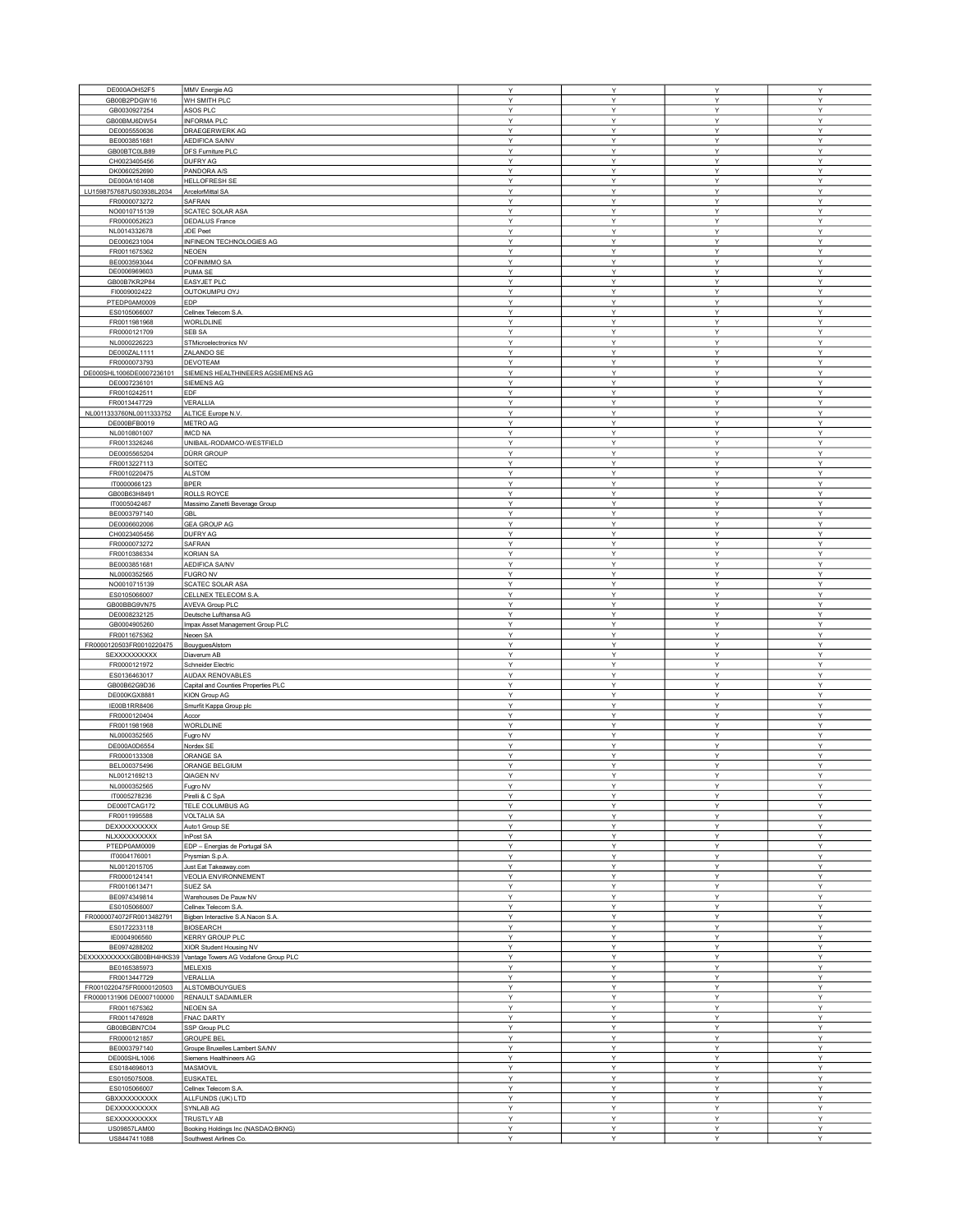| DE000AOH52F5              | MMV Energie AG                       | Y | Y            | Y | Y |
|---------------------------|--------------------------------------|---|--------------|---|---|
| GB00B2PDGW16              | WH SMITH PLC                         | Υ | Υ            | Υ | Υ |
| GB0030927254              | ASOS PLC                             | Υ | Υ            | Υ | Υ |
| GB00BMJ6DW54              | <b>INFORMA PLC</b>                   | Y | Y            | Y | Y |
| DE0005550636              |                                      | Υ | Y            | Υ | Y |
|                           | DRAEGERWERK AG                       |   |              |   |   |
| BE0003851681              | AEDIFICA SA/NV                       | Υ | Υ            | Υ | Υ |
| GB00BTC0LB89              | DFS Furniture PLC                    | Υ | Y            | Υ | Υ |
| CH0023405456              | DUFRY AG                             | Υ | Y            | Υ | Y |
| DK0060252690              | PANDORA A/S                          | Υ | Y            | Υ | Y |
| DE000A161408              |                                      | Υ | Υ            | Y | Υ |
|                           | HELLOFRESH SE                        |   |              |   |   |
| LU1598757687US03938L2034  | ArcelorMittal SA                     | Y | Y            | Υ | Υ |
| FR0000073272              | SAFRAN                               | Υ | Υ            | Υ | Υ |
| NO0010715139              | SCATEC SOLAR ASA                     | Υ | Υ            | Υ | Y |
| FR0000052623              | <b>DEDALUS France</b>                | Y | Υ            | Υ | Υ |
|                           |                                      |   |              |   |   |
| NL0014332678              | JDE Peet                             | Υ | Υ            | Υ | Υ |
| DE0006231004              | INFINEON TECHNOLOGIES AG             | Y | Υ            | Υ | Υ |
| FR0011675362              | <b>NEOEN</b>                         | Υ | Υ            | Υ | Υ |
| BE0003593044              | COFINIMMO SA                         | Υ | Υ            | Υ | Υ |
| DE0006969603              |                                      | Υ | Y            | Υ | Υ |
|                           | PUMA SE                              |   |              |   |   |
| GB00B7KR2P84              | EASYJET PLC                          | Υ | Υ            | Υ | Υ |
| FI0009002422              | OUTOKUMPU OYJ                        | Υ | Υ            | Υ | Y |
| PTEDP0AM0009              | EDP                                  | Υ | Υ            | Y | Υ |
| ES0105066007              | Cellnex Telecom S.A.                 | Y | Y            | Υ | Y |
|                           |                                      |   | Y            |   |   |
| FR0011981968              | WORLDLINE                            | Υ |              | Υ | Υ |
| FR0000121709              | SEB SA                               | Υ | Υ            | Υ | Υ |
| NL0000226223              | STMicroelectronics NV                | Υ | Y            | Υ | Υ |
| DE000ZAL1111              | ZALANDO SE                           | Υ | Υ            | Υ | Υ |
| FR0000073793              | <b>DEVOTEAM</b>                      | Υ | Υ            | Υ | Υ |
|                           |                                      |   |              |   |   |
| DE000SHL1006DE0007236101  | SIEMENS HEALTHINEERS AGSIEMENS AG    | Y | Y            | Y | Y |
| DE0007236101              | <b>SIEMENS AG</b>                    | Υ | $\checkmark$ | Υ | Y |
| FR0010242511              | EDF                                  | Υ | Υ            | Υ | Υ |
| FR0013447729              | VERALLIA                             | Υ | Υ            | Υ | Υ |
|                           |                                      | Y | Y            |   | Y |
| NL0011333760NL0011333752  | ALTICE Europe N.V.                   |   |              | Υ |   |
| DE000BFB0019              | <b>METRO AG</b>                      | Υ | Υ            | Υ | Y |
| NL0010801007              | IMCD NA                              | Υ | Υ            | Y | Y |
| FR0013326246              | UNIBAIL-RODAMCO-WESTFIELD            | Υ | Y            | Υ | Υ |
| DE0005565204              | DÜRR GROUP                           | Υ | Y            | Υ | Υ |
|                           |                                      |   |              |   |   |
| FR0013227113              | SOITEC                               | Υ | Y            | Υ | Y |
| FR0010220475              | <b>ALSTOM</b>                        | Υ | Υ            | Υ | Υ |
| IT0000066123              | <b>BPER</b>                          | Υ | Υ            | Υ | Υ |
| GB00B63H8491              | ROLLS ROYCE                          | Y | Υ            | Y | Υ |
| IT0005042467              | Massimo Zanetti Beverage Group       | Y | Y            | Υ | Y |
|                           |                                      |   |              |   |   |
| BE0003797140              | <b>GBL</b>                           | Υ | Y            | Υ | Υ |
| DE0006602006              | <b>GEA GROUP AG</b>                  | Υ | Y            | Υ | Υ |
| CH0023405456              | DUFRY AG                             | Υ | Υ            | Υ | Υ |
| FR0000073272              | SAFRAN                               | Υ | Υ            | Υ | Υ |
|                           |                                      | Υ | Υ            | Y | Υ |
| FR0010386334              | <b>KORIAN SA</b>                     |   |              |   |   |
| BE0003851681              | AEDIFICA SA/NV                       | Υ | Y            | Υ | Y |
| NL0000352565              | <b>FUGRO NV</b>                      | Υ | Y            | Υ | Υ |
| NO0010715139              | SCATEC SOLAR ASA                     | Υ | Υ            | Υ | Υ |
| ES0105066007              | CELLNEX TELECOM S.A.                 | Υ | Y            | Υ | Y |
|                           |                                      |   | Υ            |   | Υ |
| GB00BBG9VN75              | <b>AVEVA Group PLC</b>               | Υ |              | Υ |   |
| DE0008232125              | Deutsche Lufthansa AG                | Υ | Υ            | Υ | Υ |
| GB0004905260              | Impax Asset Management Group PLC     | Y | Y            | Y | Y |
| FR0011675362              | Neoen SA                             | Υ | Υ            | Υ | Y |
| FR0000120503FR0010220475  | BouyguesAlstom                       | Υ | Y            | Υ | Υ |
|                           |                                      |   |              |   |   |
| SEXXXXXXXXX               | Diaverum AB                          | Υ | Υ            | Υ | Υ |
| FR0000121972              | <b>Schneider Electric</b>            | Υ | Y            | Υ | Υ |
| ES0136463017              | AUDAX RENOVABLES                     | Υ | Y            | Υ | Y |
| GB00B62G9D36              | Capital and Counties Properties PLC  | Υ | Υ            | Y | Υ |
| DE000KGX8881              |                                      | Υ | Y            | Υ | Υ |
|                           | <b>KION Group AG</b>                 |   |              |   |   |
| IE00B1RR8406              | Smurfit Kappa Group plc              | Υ | Υ            | Υ | Υ |
| FR0000120404              | Accor                                | Υ | Υ            | Υ | Y |
| FR0011981968              | <b>WORLDLINE</b>                     | Y | Υ            | Υ | Υ |
| NL0000352565              | Fugro NV                             | Υ | Υ            | Υ | Υ |
|                           |                                      |   |              |   |   |
| DE000A0D6554              | Nordex SE                            | Υ | Υ            | Υ | Υ |
| FR0000133308              | ORANGE SA                            | Υ | Υ            | Υ | Υ |
| BEL000375496              | ORANGE BELGIUM                       | Υ | Υ            | Υ | Υ |
| NL0012169213              | QIAGEN NV                            | Y | v            | Y | Y |
| NL0000352565              | Fugro NV                             | Y | Υ            | Υ | Υ |
|                           |                                      |   |              |   |   |
| IT0005278236              | Pirelli & C SpA                      | Υ | Y            | Υ | Y |
| DE000TCAG172              | TELE COLUMBUS AG                     | Υ | Υ            | Y | Y |
| FR0011995588              | VOLTALIA SA                          | Υ | Y            | Υ | Y |
| DEXXXXXXXXX               | Auto1 Group SE                       | Υ | Υ            | Υ | Υ |
| NLXXXXXXXXXX              | InPost SA                            | Υ | Υ            | Υ | Υ |
| PTEDP0AM0009              | EDP - Energias de Portugal SA        | Υ | Υ            | Υ | Υ |
|                           |                                      |   |              |   |   |
| IT0004176001              | Prysmian S.p.A.                      | Υ | Υ            | Υ | Υ |
| NL0012015705              | Just Eat Takeaway.com                | Υ | Υ            | Υ | Υ |
| FR0000124141              | <b>VEOLIA ENVIRONNEMENT</b>          | Y | Y            | Y | Y |
| FR0010613471              | SUEZ SA                              | Υ | $\vee$       | Υ | Y |
|                           |                                      | Υ | Υ            | Υ | Υ |
| BE0974349814              | Warehouses De Pauw NV                |   |              |   |   |
| ES0105066007              | Cellnex Telecom S.A.                 | Υ | Y            | Υ | Υ |
| FR0000074072FR0013482791  | Bigben Interactive S.A.Nacon S.A.    | Υ | Y            | Υ | Y |
| ES0172233118              | <b>BIOSEARCH</b>                     | Υ | Υ            | Υ | Y |
| IE0004906560              | <b>KERRY GROUP PLC</b>               | Υ | Υ            | Y | Y |
|                           |                                      |   |              |   |   |
| BE0974288202              | XIOR Student Housing NV              | Υ | Y            | Υ | Υ |
| DEXXXXXXXXXGB00BH4HKS39   | Vantage Towers AG Vodafone Group PLC | Υ | Υ            | Υ | Y |
| BE0165385973              | MELEXIS                              | Υ | Υ            | Υ | Y |
| FR0013447729              | VERALLIA                             | Υ | Υ            | Υ | Υ |
|                           | ALSTOMBOUYGUES                       | Υ | Υ            | Υ | Υ |
| FR0010220475FR0000120503  |                                      |   |              |   |   |
| FR0000131906 DE0007100000 | RENAULT SADAIMLER                    | Y | Y            | Y | Y |
| FR0011675362              | <b>NEOEN SA</b>                      | Υ | Y            | Y | Y |
| FR0011476928              | FNAC DARTY                           | Υ | Υ            | Υ | Y |
| GB00BGBN7C04              | SSP Group PLC                        | Υ | Υ            | Υ | Υ |
|                           | <b>GROUPE BEL</b>                    |   |              | Υ | Υ |
| FR0000121857              |                                      | Υ | Υ            |   |   |
| BE0003797140              | Groupe Bruxelles Lambert SA/NV       | Υ | Υ            | Υ | Y |
| DE000SHL1006              | Siemens Healthineers AG              | Y | Υ            | Y | Y |
| ES0184696013              | <b>MASMOVIL</b>                      | Y | Y            | Y | Y |
| ES0105075008.             | <b>EUSKATEL</b>                      | Υ | Υ            | Y | Υ |
|                           |                                      |   | Υ            |   |   |
| ES0105066007              | Cellnex Telecom S.A.                 | Υ |              | Υ | Υ |
| GBXXXXXXXXXX              | ALLFUNDS (UK) LTD                    | Υ | Y            | Υ | Y |
| DEXXXXXXXXXX              | SYNLAB AG                            | Υ | Y            | Υ | Y |
| SEXXXXXXXXXX              | TRUSTLY AB                           | Υ | Υ            | Υ | Υ |
| US09857LAM00              | Booking Holdings Inc (NASDAQ:BKNG)   | Y | Y            | Y | Y |
| US8447411088              | Southwest Airlines Co.               | Υ |              |   | Y |
|                           |                                      |   | Υ            | Υ |   |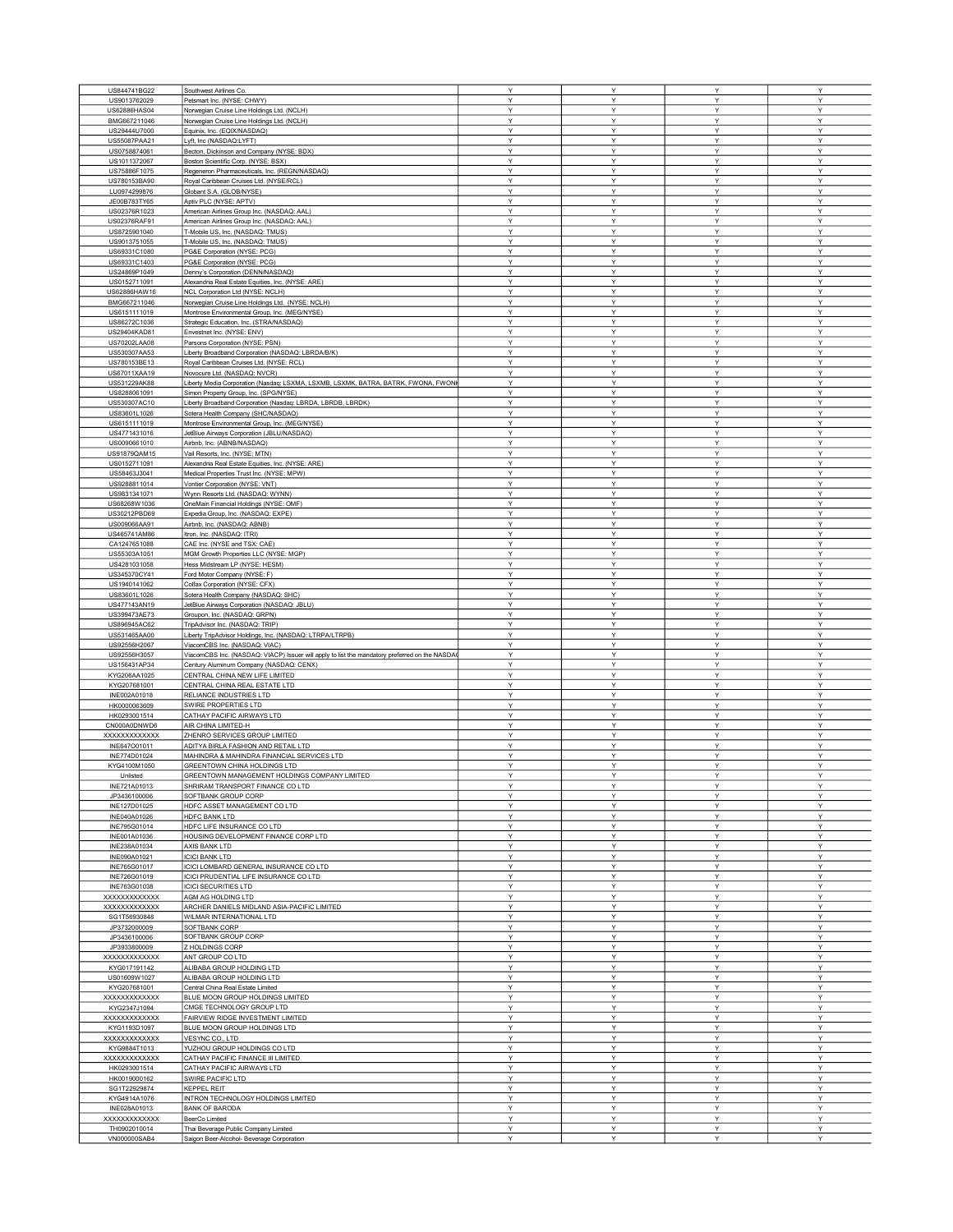| US844741BG22                 | Southwest Airlines Co.                                                                        |
|------------------------------|-----------------------------------------------------------------------------------------------|
| US9013762029                 | Petsmart Inc. (NYSE: CHWY)                                                                    |
| US62886HAS04                 | Norwegian Cruise Line Holdings Ltd. (NCLH)                                                    |
|                              |                                                                                               |
| BMG667211046                 | Norwegian Cruise Line Holdings Ltd. (NCLH)                                                    |
| US29444U7000                 | Equinix, Inc. (EQIX/NASDAQ)                                                                   |
| US55087PAA21                 |                                                                                               |
|                              | Lyft, Inc (NASDAQ:LYFT)                                                                       |
| US0758874061                 | Becton, Dickinson and Company (NYSE: BDX)                                                     |
| US1011372067                 | Boston Scientific Corp. (NYSE: BSX)                                                           |
| US75886F1075                 |                                                                                               |
|                              | Regeneron Pharmaceuticals, Inc. (REGN/NASDAQ)                                                 |
| US780153BA90                 | Royal Caribbean Cruises Ltd. (NYSE/RCL)                                                       |
| LU0974299876                 | Globant S.A. (GLOB/NYSE)                                                                      |
|                              |                                                                                               |
| JE00B783TY65                 | Aptiv PLC (NYSE: APTV)                                                                        |
| US02376R1023                 | American Airlines Group Inc. (NASDAQ: AAL)                                                    |
| US02376RAF91                 |                                                                                               |
|                              | American Airlines Group Inc. (NASDAQ: AAL)                                                    |
| US8725901040                 | T-Mobile US, Inc. (NASDAQ: TMUS)                                                              |
| US9013751055                 | T-Mobile US, Inc. (NASDAQ: TMUS)                                                              |
|                              |                                                                                               |
| US69331C1080                 | PG&E Corporation (NYSE: PCG)                                                                  |
| US69331C1403                 | PG&E Corporation (NYSE: PCG)                                                                  |
| US24869P1049                 | Denny's Corporation (DENN/NASDAQ)                                                             |
|                              |                                                                                               |
| US0152711091                 | Alexandria Real Estate Equities, Inc. (NYSE: ARE)                                             |
| US62886HAW16                 | NCL Corporation Ltd (NYSE: NCLH)                                                              |
| BMG667211046                 | Norwegian Cruise Line Holdings Ltd. (NYSE: NCLH)                                              |
|                              |                                                                                               |
| US6151111019                 | Montrose Environmental Group, Inc. (MEG/NYSE)                                                 |
| US86272C1036                 | Strategic Education, Inc. (STRA/NASDAQ)                                                       |
|                              |                                                                                               |
| US29404KAD81                 | Envestnet Inc. (NYSE: ENV)                                                                    |
| US70202LAA08                 | Parsons Corporation (NYSE: PSN)                                                               |
| US530307AA53                 | Liberty Broadband Corporation (NASDAQ: LBRDA/B/K)                                             |
|                              |                                                                                               |
| US780153BE13                 | Royal Caribbean Cruises Ltd. (NYSE: RCL)                                                      |
| US67011XAA19                 | Novocure Ltd. (NASDAQ: NVCR)                                                                  |
|                              |                                                                                               |
| US531229AK88                 | Liberty Media Corporation (Nasdaq: LSXMA, LSXMB, LSXMK, BATRA, BATRK, FWONA, FWON             |
| US8288061091                 | Simon Property Group, Inc. (SPG/NYSE)                                                         |
| US530307AC10                 | Liberty Broadband Corporation (Nasdaq: LBRDA, LBRDB, LBRDK)                                   |
|                              |                                                                                               |
| US83601L1026                 | Sotera Health Company (SHC/NASDAQ)                                                            |
| US6151111019                 | Montrose Environmental Group, Inc. (MEG/NYSE)                                                 |
| US4771431016                 | JetBlue Airways Corporation (JBLU/NASDAQ)                                                     |
|                              |                                                                                               |
| US0090661010                 | Airbnb, Inc. (ABNB/NASDAQ)                                                                    |
| US91879QAM15                 | Vail Resorts, Inc. (NYSE: MTN)                                                                |
|                              |                                                                                               |
| US0152711091                 | Alexandria Real Estate Equities, Inc. (NYSE: ARE)                                             |
| US58463J3041                 | Medical Properties Trust Inc. (NYSE: MPW)                                                     |
| US9288811014                 | Vontier Corporation (NYSE: VNT)                                                               |
|                              |                                                                                               |
| US9831341071                 | Wynn Resorts Ltd. (NASDAQ: WYNN)                                                              |
| US68268W1036                 | OneMain Financial Holdings (NYSE: OMF)                                                        |
|                              |                                                                                               |
| US30212PBD69                 | Expedia Group, Inc. (NASDAQ: EXPE)                                                            |
| US009066AA91                 | Airbnb, Inc. (NASDAQ: ABNB)                                                                   |
| US465741AM86                 | Itron, Inc. (NASDAQ: ITRI)                                                                    |
|                              |                                                                                               |
| CA1247651088                 | CAE Inc. (NYSE and TSX: CAE)                                                                  |
| US55303A1051                 | MGM Growth Properties LLC (NYSE: MGP)                                                         |
|                              |                                                                                               |
| US4281031058                 | Hess Midstream LP (NYSE: HESM)                                                                |
| US345370CY41                 | Ford Motor Company (NYSE: F)                                                                  |
| US1940141062                 | Colfax Corporation (NYSE: CFX)                                                                |
|                              |                                                                                               |
| US83601L1026                 | Sotera Health Company (NASDAQ: SHC)                                                           |
| US477143AN19                 | JetBlue Airways Corporation (NASDAQ: JBLU)                                                    |
| US399473AE73                 | Groupon, Inc. (NASDAQ: GRPN)                                                                  |
|                              |                                                                                               |
| US896945AC62                 | TripAdvisor Inc. (NASDAQ: TRIP)                                                               |
| US531465AA00                 | Liberty TripAdvisor Holdings, Inc. (NASDAQ: LTRPA/LTRPB)                                      |
|                              |                                                                                               |
| US92556H2067                 | ViacomCBS Inc. (NASDAQ: VIAC)                                                                 |
| US92556H3057                 | ViacomCBS Inc. (NASDAQ: VIACP) Issuer will apply to list the mandatory preferred on the NASDA |
| US156431AP34                 | Century Aluminum Company (NASDAQ: CENX)                                                       |
|                              |                                                                                               |
| KYG206AA1025                 | CENTRAL CHINA NEW LIFE LIMITED                                                                |
| KYG207681001                 | CENTRAL CHINA REAL ESTATE LTD                                                                 |
| INE002A01018                 | RELIANCE INDUSTRIES LTD                                                                       |
|                              |                                                                                               |
| HK0000063609                 | SWIRE PROPERTIES LTD                                                                          |
| HK0293001514                 | CATHAY PACIFIC AIRWAYS LTD                                                                    |
|                              |                                                                                               |
| CN000A0DNWD6                 | AIR CHINA LIMITED-H                                                                           |
| XXXXXXXXXXXX                 | ZHENRO SERVICES GROUP LIMITED                                                                 |
| INE647O01011                 | ADITYA BIRLA FASHION AND RETAIL LTD                                                           |
|                              |                                                                                               |
| INE774D01024                 | MAHINDRA & MAHINDRA FINANCIAL SERVICES LTD                                                    |
| KYG4100M1050                 | GREENTOWN CHINA HOLDINGS LTD                                                                  |
|                              |                                                                                               |
| Unlisted                     | GREENTOWN MANAGEMENT HOLDINGS COMPANY LIMITED                                                 |
| INE721A01013                 | SHRIRAM TRANSPORT FINANCE CO LTD                                                              |
| JP3436100006                 | SOFTBANK GROUP CORP                                                                           |
|                              |                                                                                               |
| INE127D01025                 | HDFC ASSET MANAGEMENT CO LTD                                                                  |
| INE040A01026                 | HDFC BANK LTD                                                                                 |
| INE795G01014                 | HDFC LIFE INSURANCE CO LTD                                                                    |
|                              |                                                                                               |
| INE001A01036                 | HOUSING DEVELOPMENT FINANCE CORP LTD                                                          |
| INE238A01034                 | AXIS BANK LTD                                                                                 |
|                              |                                                                                               |
| INE090A01021                 | <b>ICICI BANK LTD</b>                                                                         |
| INE765G01017                 | ICICI LOMBARD GENERAL INSURANCE CO LTD                                                        |
| INE726G01019                 | ICICI PRUDENTIAL LIFE INSURANCE CO LTD                                                        |
|                              |                                                                                               |
| INE763G01038                 | <b>ICICI SECURITIES LTD</b>                                                                   |
| XXXXXXXXXXXX                 | AGM AG HOLDING LTD                                                                            |
| XXXXXXXXXXXX                 | ARCHER DANIELS MIDLAND ASIA-PACIFIC LIMITED                                                   |
|                              |                                                                                               |
| SG1T56930848                 | WILMAR INTERNATIONAL LTD                                                                      |
| JP3732000009                 | SOFTBANK CORP                                                                                 |
|                              | SOFTBANK GROUP CORP                                                                           |
| JP3436100006                 |                                                                                               |
| JP3933800009                 | Z HOLDINGS CORP                                                                               |
| XXXXXXXXXXXXX                | ANT GROUP CO LTD                                                                              |
|                              |                                                                                               |
| KYG017191142                 | ALIBABA GROUP HOLDING LTD                                                                     |
| US01609W1027                 | ALIBABA GROUP HOLDING LTD                                                                     |
|                              |                                                                                               |
| KYG207681001                 | Central China Real Estate Limited                                                             |
| XXXXXXXXXXXX                 | BLUE MOON GROUP HOLDINGS LIMITED                                                              |
| KYG2347J1094                 | CMGE TECHNOLOGY GROUP LTD                                                                     |
|                              |                                                                                               |
| XXXXXXXXXXXX                 | FAIRVIEW RIDGE INVESTMENT LIMITED                                                             |
| KYG1193D1097                 | BLUE MOON GROUP HOLDINGS LTD                                                                  |
|                              |                                                                                               |
| XXXXXXXXXXXX                 | VESYNC CO., LTD                                                                               |
| KYG9884T1013                 | YUZHOU GROUP HOLDINGS CO LTD                                                                  |
| XXXXXXXXXXXX                 | CATHAY PACIFIC FINANCE III LIMITED                                                            |
| HK0293001514                 | CATHAY PACIFIC AIRWAYS LTD                                                                    |
|                              |                                                                                               |
| HK0019000162                 |                                                                                               |
| SG1T22929874                 | SWIRE PACIFIC LTD                                                                             |
|                              |                                                                                               |
| KYG4914A1076                 | KEPPEL REIT                                                                                   |
| INE028A01013                 | INTRON TECHNOLOGY HOLDINGS LIMITED                                                            |
|                              | <b>BANK OF BARODA</b>                                                                         |
|                              |                                                                                               |
| XXXXXXXXXXXX                 | BeerCo Limited                                                                                |
| TH0902010014<br>VN000000SAB4 | Thai Beverage Public Company Limited<br>Saigon Beer-Alcohol- Beverage Corporation             |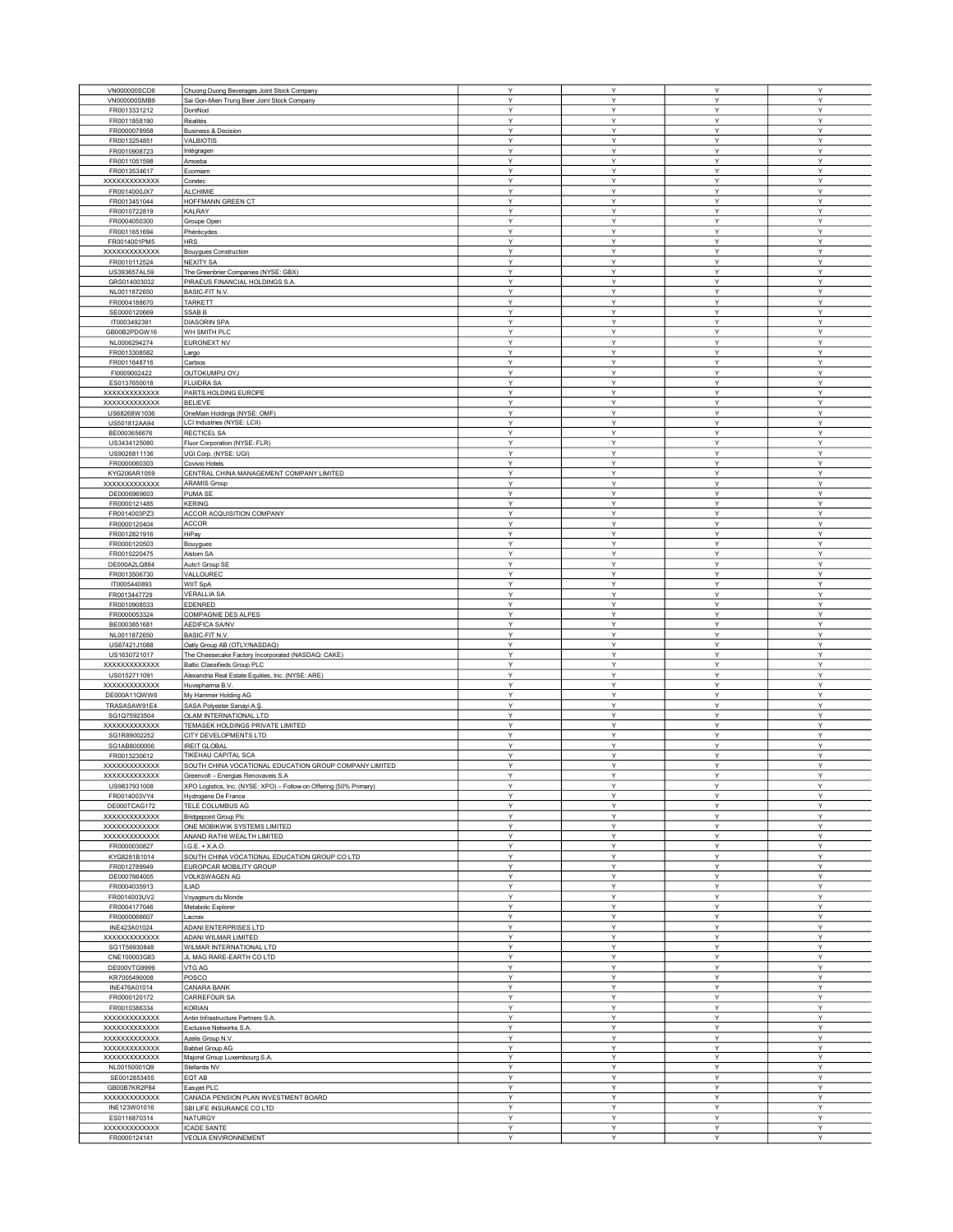|                      |                                                                    |              | Y |              |              |
|----------------------|--------------------------------------------------------------------|--------------|---|--------------|--------------|
| VN000000SCD6         | Chuong Duong Beverages Joint Stock Company                         | Υ            |   | Υ            | Υ            |
| VN000000SMB9         | Sai Gon-Mien Trung Beer Joint Stock Company                        | Y            | Y | Y            | Υ            |
| FR0013331212         | DontNod                                                            | Υ            | Υ | Υ            | Υ            |
| FR0011858190         | Réalités                                                           | Υ            | Υ | Y            | Y            |
| FR0000078958         | <b>Business &amp; Decision</b>                                     | Y            | Y | Y            | Y            |
| FR0013254851         | VALBIOTIS                                                          | Υ            | Y | Υ            | Υ            |
| FR0010908723         | Intégragen                                                         | Υ            | Υ | Υ            | Υ            |
|                      |                                                                    |              |   |              |              |
| FR0011051598         | Amoeba                                                             | Y            | Y | Y            | Y            |
| FR0013534617         | Ecomiam                                                            | Υ            | Υ | Υ            | Y            |
| XXXXXXXXXXXX         | Coretec                                                            | Y            | Y | Υ            | Υ            |
| FR0014000JX7         | <b>ALCHIMIE</b>                                                    | Υ            | Υ | Υ            | Υ            |
| FR0013451044         | HOFFMANN GREEN CT                                                  | Y            | Y | Υ            | Υ            |
|                      |                                                                    | Υ            | Υ | Υ            | Υ            |
| FR0010722819         | <b>KALRAY</b>                                                      |              |   |              |              |
| FR0004050300         | Groupe Open                                                        | Υ            | Υ | Υ            | Y            |
| FR0011651694         | Phérécydes                                                         | Y            | Υ | Y            | Υ            |
| FR0014001PM5         | <b>HRS</b>                                                         | Υ            | Υ | Υ            | Υ            |
| XXXXXXXXXXXXX        | <b>Bouygues Construction</b>                                       | Υ            | Υ | Υ            | Y            |
| FR0010112524         | <b>NEXITY SA</b>                                                   | Υ            | Y | Υ            | Υ            |
|                      |                                                                    | Y            | Υ | Υ            | Υ            |
| US393657AL59         | The Greenbrier Companies (NYSE: GBX)                               |              |   |              |              |
| GRS014003032         | PIRAEUS FINANCIAL HOLDINGS S.A.                                    | Υ            | Υ | Υ            | Υ            |
| NL0011872650         | BASIC-FIT N.V.                                                     | Y            | Υ | Υ            | Υ            |
| FR0004188670         | <b>TARKETT</b>                                                     | Υ            | Υ | Υ            | Y            |
| SE0000120669         | <b>SSABB</b>                                                       | Υ            | Υ | Y            | Y            |
| IT0003492391         | <b>DIASORIN SPA</b>                                                | Υ            | Y | Υ            | Υ            |
|                      |                                                                    |              |   |              |              |
| GB00B2PDGW16         | WH SMITH PLC                                                       | Υ            | Υ | Υ            | Υ            |
| NL0006294274         | EURONEXT NV                                                        | Υ            | Y | Υ            | Υ            |
| FR0013308582         | Largo                                                              | Y            | Y | Y            | Y            |
| FR0011648716         | Carbios                                                            | Υ            | Y | Υ            | Υ            |
| FI0009002422         | OUTOKUMPU OYJ                                                      | Υ            | Υ | Υ            | Y            |
|                      |                                                                    |              |   |              |              |
| ES0137650018         | <b>FLUIDRA SA</b>                                                  | Y            | Y | Υ            | Y            |
| <b>XXXXXXXXXXXXX</b> | PARTS HOLDING EUROPE                                               | Υ            | Y | Υ            | Υ            |
| XXXXXXXXXXXXX        | <b>BELIEVE</b>                                                     | Υ            | Υ | Υ            | Υ            |
| US68268W1036         | OneMain Holdings (NYSE: OMF)                                       | Y            | Y | Υ            | Y            |
| US501812AA94         | LCI Industries (NYSE: LCII)                                        | Υ            | Υ | Υ            | Y            |
|                      |                                                                    |              |   |              |              |
| BE0003656676         | RECTICEL SA                                                        | Υ            | Y | Υ            | Υ            |
| US3434125080         | Fluor Corporation (NYSE: FLR)                                      | Υ            | Υ | Y            | Y            |
| US9026811136         | UGI Corp. (NYSE: UGI)                                              | $\checkmark$ | v | Υ            | $\mathsf{v}$ |
| FR0000060303         | Covivio Hotels                                                     | Υ            | Υ | Υ            | Y            |
| KYG206AR1059         | CENTRAL CHINA MANAGEMENT COMPANY LIMITED                           | Υ            | Υ | Υ            | Υ            |
|                      |                                                                    |              |   |              |              |
| XXXXXXXXXXXXX        | <b>ARAMIS Group</b>                                                | Y            | Υ | Υ            | Y            |
| DE0006969603         | PUMA SE                                                            | Υ            | Υ | Υ            | Υ            |
| FR0000121485         | <b>KERING</b>                                                      | Y            | Υ | Υ            | Y            |
| FR0014003PZ3         | ACCOR ACQUISITION COMPANY                                          | Υ            | Y | Υ            | Υ            |
|                      |                                                                    | Υ            | Υ | Υ            | Υ            |
| FR0000120404         | <b>ACCOR</b>                                                       |              |   |              |              |
| FR0012821916         | HiPay                                                              | Υ            | Υ | Υ            | Υ            |
| FR0000120503         | Bouygues                                                           | Y            | Υ | Υ            | Υ            |
| FR0010220475         | Alstom SA                                                          | Υ            | Υ | Υ            | Y            |
| DE000A2LQ884         | Auto1 Group SE                                                     | Υ            | Υ | Y            | Y            |
|                      |                                                                    | Y            | Y | Υ            | Y            |
| FR0013506730         | VALLOUREC                                                          |              |   |              |              |
| IT0005440893         | WIIT SpA                                                           | Υ            | Υ | Υ            | Υ            |
| FR0013447729         | <b>VERALLIA SA</b>                                                 | Υ            | Υ | Υ            | Υ            |
| FR0010908533         | EDENRED                                                            | Y            | Y | Υ            | Υ            |
| FR0000053324         | COMPAGNIE DES ALPES                                                | Υ            | Υ | Υ            | Υ            |
| BE0003851681         | AEDIFICA SA/NV                                                     | Υ            | Υ | Y            | Y            |
|                      |                                                                    |              |   |              |              |
| NL0011872650         | <b>BASIC-FIT N.V</b>                                               | Y            | Y | Υ            | Υ            |
| US67421J1088         | Oatly Group AB (OTLY/NASDAQ)                                       | Υ            | Υ | Υ            | Y            |
| US1630721017         | The Cheesecake Factory Incorporated (NASDAQ: CAKE)                 | Υ            | Υ | Υ            | Υ            |
| XXXXXXXXXXXX         | Baltic Classifieds Group PLC                                       | Y            | Y | Υ            | Y            |
| US0152711091         | Alexandria Real Estate Equities, Inc. (NYSE: ARE)                  | Y            | Υ | Y            | Υ            |
| XXXXXXXXXXXXX        |                                                                    | Υ            | Υ | Υ            | Υ            |
|                      | Huvepharma B.V.                                                    |              |   |              |              |
| DE000A11QWW6         | My Hammer Holding AG                                               | Υ            | Υ | Υ            | Υ            |
| TRASASAW91E4         | SASA Polyester Sanayi A.Ş                                          | $\checkmark$ | v | Υ            | Y            |
| SG1Q75923504         | OLAM INTERNATIONAL LTD                                             | Υ            | Υ | Υ            | Υ            |
| XXXXXXXXXXXXX        | TEMASEK HOLDINGS PRIVATE LIMITED                                   | Υ            | Υ | Υ            | Υ            |
|                      | CITY DEVELOPMENTS LTD                                              | Y            |   |              | Y            |
| SG1R89002252         |                                                                    |              | Υ | Y            |              |
| SG1AB8000006         | <b>IREIT GLOBAL</b>                                                | Υ            | Υ | Υ            | Y            |
| FR0013230612         | TIKEHAU CAPITAL SCA                                                | Υ            | Υ | Υ            | Y            |
| XXXXXXXXXXXXX        | SOUTH CHINA VOCATIONAL EDUCATION GROUP COMPANY LIMITED             | Y            | Y | Y            | Υ            |
| xxxxxxxxxxxxx        | Greenvolt - Energias Renovaveis S.A                                |              |   | $\checkmark$ | $\checkmark$ |
| US9837931008         | XPO Logistics, Inc. (NYSE: XPO) - Follow-on Offering (50% Primary) | Υ            | Υ | Υ            | Υ            |
| FR0014003VY4         |                                                                    | Υ            | Υ | Y            | Υ            |
|                      | Hydrogene De France                                                |              |   |              |              |
| DE000TCAG172         | TELE COLUMBUS AG                                                   | Υ            | Υ | Υ            | Y            |
| XXXXXXXXXXXXX        | <b>Bridgepoint Group Plc</b>                                       | Υ            | Υ | Y            | Y            |
| XXXXXXXXXXXXX        | ONE MOBIKWIK SYSTEMS LIMITED                                       | Y            | Y | Υ            | Y            |
| XXXXXXXXXXXX         | ANAND RATHI WEALTH LIMITED                                         | Υ            | Υ | Υ            | Y            |
| FR0000030827         | I.G.E. + X.A.O.                                                    | Υ            | Υ | Υ            | Υ            |
| KYG8281B1014         | SOUTH CHINA VOCATIONAL EDUCATION GROUP CO LTD                      | Υ            | Υ | Υ            | Υ            |
|                      |                                                                    |              |   |              |              |
| FR0012789949         | EUROPCAR MOBILITY GROUP                                            | Υ            | Υ | Υ            | Υ            |
| DE0007664005         | VOLKSWAGEN AG                                                      | Υ            | Y | Y            | Y            |
| FR0004035913         | <b>ILIAD</b>                                                       | Y            | Y | Y            | Y            |
| FR0014003UV2         | Voyageurs du Monde                                                 | Υ            | Υ | Υ            | Y            |
| FR0004177046         | Metabolic Explorer                                                 | Υ            | Υ | Υ            | Υ            |
|                      |                                                                    | Y            | Y |              | Y            |
| FR0000066607         | Lacroix                                                            |              |   | Υ            |              |
| INE423A01024         | ADANI ENTERPRISES LTD                                              | Y            | Y | Y            | Υ            |
| XXXXXXXXXXXXX        | ADANI WILMAR LIMITED                                               | Υ            | Υ | Υ            | Υ            |
| SG1T56930848         | WILMAR INTERNATIONAL LTD                                           | Υ            | Υ | Υ            | Υ            |
| CNE100003G83         | JL MAG RARE-EARTH CO LTD                                           | Υ            | Υ | Υ            | Υ            |
|                      |                                                                    |              | Υ |              | Υ            |
| DE000VTG9999         | VTG AG                                                             | Υ            |   | Υ            |              |
| KR7005490008         | POSCO                                                              | Υ            | Υ | Υ            | Y            |
| INE476A01014         | <b>CANARA BANK</b>                                                 | Υ            | Υ | Υ            | Υ            |
| FR0000120172         | CARREFOUR SA                                                       | Υ            | Υ | Υ            | Υ            |
| FR0010386334         | <b>KORIAN</b>                                                      | Υ            | Υ | Y            | Y            |
|                      |                                                                    | Υ            | Y | Υ            | Υ            |
| XXXXXXXXXXXXX        | Antin Infrastructure Partners S.A.                                 |              |   |              |              |
| xxxxxxxxxxxxx        | Exclusive Networks S.A                                             | Y            | Y | Υ            | Υ            |
| XXXXXXXXXXXXX        | Azelis Group N.V.                                                  | Υ            | Υ | Υ            | Υ            |
| XXXXXXXXXXXX         | Babbel Group AG                                                    | Y            | Y | Υ            | Y            |
| XXXXXXXXXXXXX        | Majorel Group Luxembourg S.A.                                      | Υ            | Y | Υ            | Y            |
| NL00150001Q9         |                                                                    | Υ            | Υ | Υ            | Y            |
|                      | Stellantis NV                                                      |              |   |              |              |
| SE0012853455         | EQT AB                                                             | Υ            | Υ | Y            | Υ            |
| GB00B7KR2P84         | Easyjet PLC                                                        | Υ            | Υ | Y            | Υ            |
| XXXXXXXXXXXXX        | CANADA PENSION PLAN INVESTMENT BOARD                               | Υ            | Υ | Υ            | Υ            |
| INE123W01016         | SBI LIFE INSURANCE CO LTD                                          | Υ            | Υ | Υ            | Υ            |
| ES0116870314         | NATURGY                                                            | Υ            | Υ | Υ            | Υ            |
|                      |                                                                    |              |   |              |              |
| XXXXXXXXXXXX         | <b>ICADE SANTE</b>                                                 | Υ            | Υ | Υ            | Υ            |
| FR0000124141         | VEOLIA ENVIRONNEMENT                                               | Υ            | Υ | Υ            | Υ            |